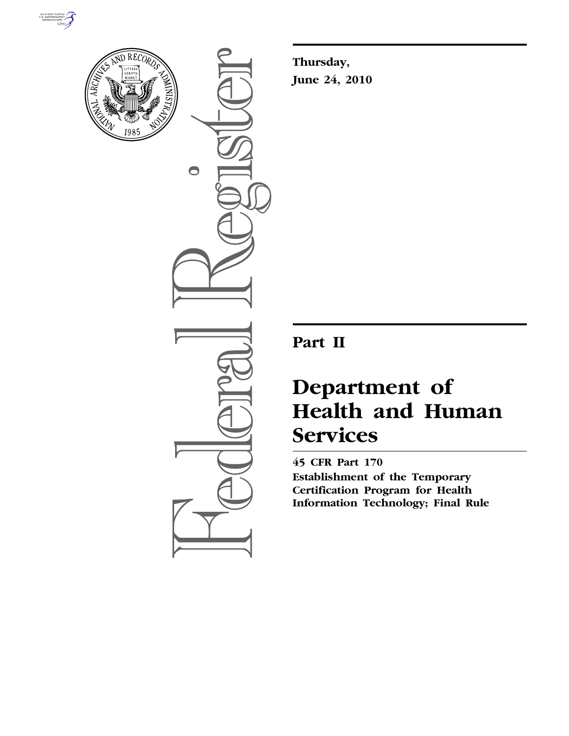



 $\bigcirc$ 

**Thursday, June 24, 2010** 

## **Part II**

# **Department of Health and Human Services**

**45 CFR Part 170 Establishment of the Temporary Certification Program for Health Information Technology; Final Rule**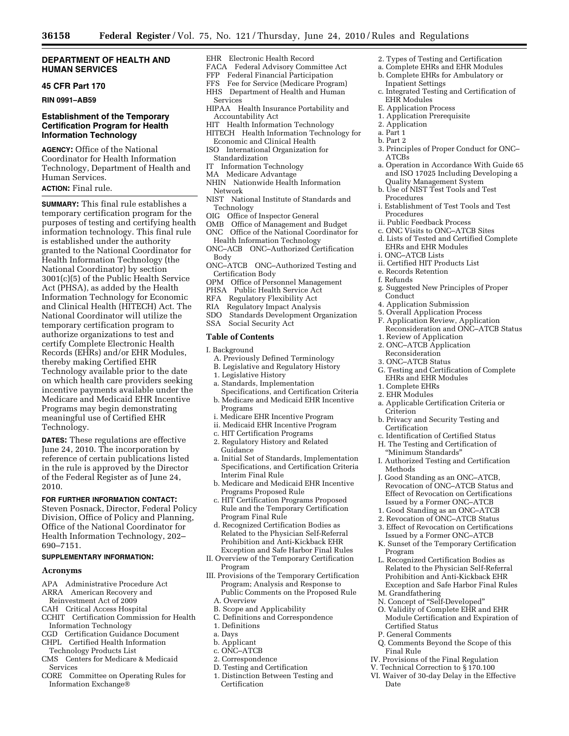#### **DEPARTMENT OF HEALTH AND HUMAN SERVICES**

### **45 CFR Part 170**

**RIN 0991–AB59** 

## **Establishment of the Temporary Certification Program for Health Information Technology**

**AGENCY:** Office of the National Coordinator for Health Information Technology, Department of Health and Human Services.

## **ACTION:** Final rule.

**SUMMARY:** This final rule establishes a temporary certification program for the purposes of testing and certifying health information technology. This final rule is established under the authority granted to the National Coordinator for Health Information Technology (the National Coordinator) by section 3001(c)(5) of the Public Health Service Act (PHSA), as added by the Health Information Technology for Economic and Clinical Health (HITECH) Act. The National Coordinator will utilize the temporary certification program to authorize organizations to test and certify Complete Electronic Health Records (EHRs) and/or EHR Modules, thereby making Certified EHR Technology available prior to the date on which health care providers seeking incentive payments available under the Medicare and Medicaid EHR Incentive Programs may begin demonstrating meaningful use of Certified EHR Technology.

**DATES:** These regulations are effective June 24, 2010. The incorporation by reference of certain publications listed in the rule is approved by the Director of the Federal Register as of June 24, 2010.

#### **FOR FURTHER INFORMATION CONTACT:**

Steven Posnack, Director, Federal Policy Division, Office of Policy and Planning, Office of the National Coordinator for Health Information Technology, 202– 690–7151.

#### **SUPPLEMENTARY INFORMATION:**

#### **Acronyms**

- APA Administrative Procedure Act
- ARRA American Recovery and
- Reinvestment Act of 2009
- CAH Critical Access Hospital
- CCHIT Certification Commission for Health Information Technology
- CGD Certification Guidance Document
- CHPL Certified Health Information
- Technology Products List CMS Centers for Medicare & Medicaid
- Services
- CORE Committee on Operating Rules for Information Exchange®
- EHR Electronic Health Record
- FACA Federal Advisory Committee Act
- FFP Federal Financial Participation
- FFS Fee for Service (Medicare Program) HHS Department of Health and Human Services
- HIPAA Health Insurance Portability and Accountability Act
- HIT Health Information Technology
- HITECH Health Information Technology for Economic and Clinical Health
- ISO International Organization for Standardization
- IT Information Technology
- MA Medicare Advantage
- NHIN Nationwide Health Information Network
- NIST National Institute of Standards and Technology
- OIG Office of Inspector General
- OMB Office of Management and Budget ONC Office of the National Coordinator for
- Health Information Technology ONC–ACB ONC–Authorized Certification Body
- ONC–ATCB ONC–Authorized Testing and Certification Body
- OPM Office of Personnel Management
- PHSA Public Health Service Act
- RFA Regulatory Flexibility Act
- RIA Regulatory Impact Analysis
- SDO Standards Development Organization SSA Social Security Act

## **Table of Contents**

I. Background

- A. Previously Defined Terminology
- B. Legislative and Regulatory History
- 1. Legislative History
- a. Standards, Implementation Specifications, and Certification Criteria
- b. Medicare and Medicaid EHR Incentive Programs
- i. Medicare EHR Incentive Program
- ii. Medicaid EHR Incentive Program
- c. HIT Certification Programs
- 2. Regulatory History and Related Guidance
- a. Initial Set of Standards, Implementation Specifications, and Certification Criteria Interim Final Rule
- b. Medicare and Medicaid EHR Incentive Programs Proposed Rule
- c. HIT Certification Programs Proposed Rule and the Temporary Certification Program Final Rule
- d. Recognized Certification Bodies as Related to the Physician Self-Referral Prohibition and Anti-Kickback EHR Exception and Safe Harbor Final Rules
- II. Overview of the Temporary Certification Program
- III. Provisions of the Temporary Certification Program; Analysis and Response to Public Comments on the Proposed Rule A. Overview
	- B. Scope and Applicability
	- C. Definitions and Correspondence
	- 1. Definitions
	- a. Days
- b. Applicant
- c. ONC–ATCB
- 2. Correspondence
- D. Testing and Certification
- 1. Distinction Between Testing and Certification
- 2. Types of Testing and Certification
- a. Complete EHRs and EHR Modules
- b. Complete EHRs for Ambulatory or Inpatient Settings
- c. Integrated Testing and Certification of EHR Modules
- E. Application Process
- 1. Application Prerequisite
- 2. Application
- a. Part 1
- b. Part 2
- 3. Principles of Proper Conduct for ONC– ATCBs
- a. Operation in Accordance With Guide 65 and ISO 17025 Including Developing a Quality Management System
- b. Use of NIST Test Tools and Test Procedures
- i. Establishment of Test Tools and Test Procedures
- ii. Public Feedback Process
- c. ONC Visits to ONC–ATCB Sites
- d. Lists of Tested and Certified Complete EHRs and EHR Modules i. ONC–ATCB Lists
- ii. Certified HIT Products List
- e. Records Retention
- f. Refunds
	-
- g. Suggested New Principles of Proper Conduct
- 4. Application Submission
- 5. Overall Application Process
- F. Application Review, Application Reconsideration and ONC–ATCB Status
- 1. Review of Application
- 2. ONC–ATCB Application
- Reconsideration
- 3. ONC–ATCB Status
- G. Testing and Certification of Complete EHRs and EHR Modules

a. Applicable Certification Criteria or

b. Privacy and Security Testing and

c. Identification of Certified Status H. The Testing and Certification of ''Minimum Standards''

I. Authorized Testing and Certification

J. Good Standing as an ONC–ATCB, Revocation of ONC–ATCB Status and Effect of Revocation on Certifications Issued by a Former ONC–ATCB 1. Good Standing as an ONC–ATCB 2. Revocation of ONC–ATCB Status 3. Effect of Revocation on Certifications Issued by a Former ONC–ATCB K. Sunset of the Temporary Certification

L. Recognized Certification Bodies as Related to the Physician Self-Referral Prohibition and Anti-Kickback EHR Exception and Safe Harbor Final Rules

Q. Comments Beyond the Scope of this

IV. Provisions of the Final Regulation V. Technical Correction to § 170.100 VI. Waiver of 30-day Delay in the Effective

N. Concept of ''Self-Developed'' O. Validity of Complete EHR and EHR Module Certification and Expiration of

1. Complete EHRs 2. EHR Modules

**Certification** 

Criterion

Methods

Program

M. Grandfathering

Certified Status P. General Comments

Final Rule

Date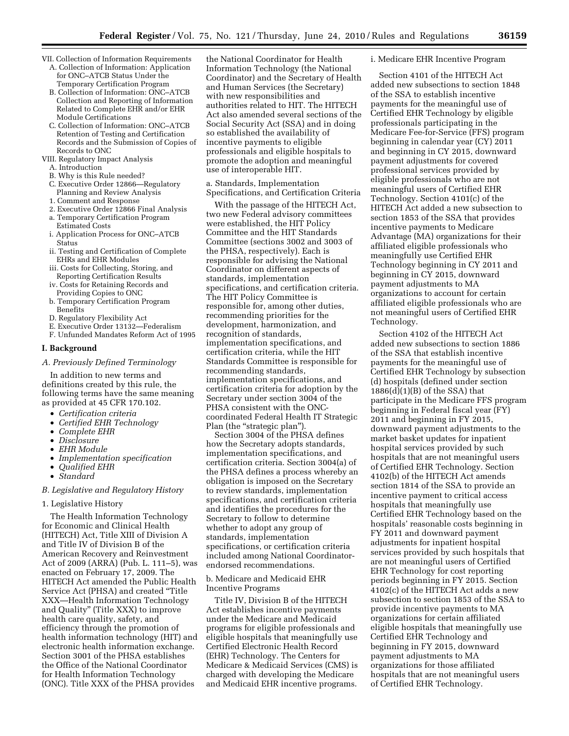- VII. Collection of Information Requirements A. Collection of Information: Application
	- for ONC–ATCB Status Under the Temporary Certification Program
	- B. Collection of Information: ONC–ATCB Collection and Reporting of Information Related to Complete EHR and/or EHR Module Certifications
	- C. Collection of Information: ONC–ATCB Retention of Testing and Certification Records and the Submission of Copies of Records to ONC
- VIII. Regulatory Impact Analysis
	- A. Introduction
	- B. Why is this Rule needed?
	- C. Executive Order 12866—Regulatory Planning and Review Analysis
	- 1. Comment and Response
	- 2. Executive Order 12866 Final Analysis a. Temporary Certification Program
	- Estimated Costs i. Application Process for ONC–ATCB Status
	- ii. Testing and Certification of Complete EHRs and EHR Modules
	- iii. Costs for Collecting, Storing, and Reporting Certification Results
	- iv. Costs for Retaining Records and Providing Copies to ONC
	- b. Temporary Certification Program **Benefits**
	- D. Regulatory Flexibility Act
	- E. Executive Order 13132—Federalism
	- F. Unfunded Mandates Reform Act of 1995

#### **I. Background**

*A. Previously Defined Terminology* 

In addition to new terms and definitions created by this rule, the following terms have the same meaning as provided at 45 CFR 170.102.

- *Certification criteria*
- *Certified EHR Technology*
- *Complete EHR*
- *Disclosure*
- *EHR Module*
- *Implementation specification*
- *Qualified EHR*
- *Standard*

#### *B. Legislative and Regulatory History*

#### 1. Legislative History

The Health Information Technology for Economic and Clinical Health (HITECH) Act, Title XIII of Division A and Title IV of Division B of the American Recovery and Reinvestment Act of 2009 (ARRA) (Pub. L. 111–5), was enacted on February 17, 2009. The HITECH Act amended the Public Health Service Act (PHSA) and created ''Title XXX—Health Information Technology and Quality'' (Title XXX) to improve health care quality, safety, and efficiency through the promotion of health information technology (HIT) and electronic health information exchange. Section 3001 of the PHSA establishes the Office of the National Coordinator for Health Information Technology (ONC). Title XXX of the PHSA provides

the National Coordinator for Health Information Technology (the National Coordinator) and the Secretary of Health and Human Services (the Secretary) with new responsibilities and authorities related to HIT. The HITECH Act also amended several sections of the Social Security Act (SSA) and in doing so established the availability of incentive payments to eligible professionals and eligible hospitals to promote the adoption and meaningful use of interoperable HIT.

a. Standards, Implementation Specifications, and Certification Criteria

With the passage of the HITECH Act, two new Federal advisory committees were established, the HIT Policy Committee and the HIT Standards Committee (sections 3002 and 3003 of the PHSA, respectively). Each is responsible for advising the National Coordinator on different aspects of standards, implementation specifications, and certification criteria. The HIT Policy Committee is responsible for, among other duties, recommending priorities for the development, harmonization, and recognition of standards, implementation specifications, and certification criteria, while the HIT Standards Committee is responsible for recommending standards, implementation specifications, and certification criteria for adoption by the Secretary under section 3004 of the PHSA consistent with the ONCcoordinated Federal Health IT Strategic Plan (the "strategic plan").

Section 3004 of the PHSA defines how the Secretary adopts standards, implementation specifications, and certification criteria. Section 3004(a) of the PHSA defines a process whereby an obligation is imposed on the Secretary to review standards, implementation specifications, and certification criteria and identifies the procedures for the Secretary to follow to determine whether to adopt any group of standards, implementation specifications, or certification criteria included among National Coordinatorendorsed recommendations.

#### b. Medicare and Medicaid EHR Incentive Programs

Title IV, Division B of the HITECH Act establishes incentive payments under the Medicare and Medicaid programs for eligible professionals and eligible hospitals that meaningfully use Certified Electronic Health Record (EHR) Technology. The Centers for Medicare & Medicaid Services (CMS) is charged with developing the Medicare and Medicaid EHR incentive programs.

#### i. Medicare EHR Incentive Program

Section 4101 of the HITECH Act added new subsections to section 1848 of the SSA to establish incentive payments for the meaningful use of Certified EHR Technology by eligible professionals participating in the Medicare Fee-for-Service (FFS) program beginning in calendar year (CY) 2011 and beginning in CY 2015, downward payment adjustments for covered professional services provided by eligible professionals who are not meaningful users of Certified EHR Technology. Section 4101(c) of the HITECH Act added a new subsection to section 1853 of the SSA that provides incentive payments to Medicare Advantage (MA) organizations for their affiliated eligible professionals who meaningfully use Certified EHR Technology beginning in CY 2011 and beginning in CY 2015, downward payment adjustments to MA organizations to account for certain affiliated eligible professionals who are not meaningful users of Certified EHR Technology.

Section 4102 of the HITECH Act added new subsections to section 1886 of the SSA that establish incentive payments for the meaningful use of Certified EHR Technology by subsection (d) hospitals (defined under section 1886(d)(1)(B) of the SSA) that participate in the Medicare FFS program beginning in Federal fiscal year (FY) 2011 and beginning in FY 2015, downward payment adjustments to the market basket updates for inpatient hospital services provided by such hospitals that are not meaningful users of Certified EHR Technology. Section 4102(b) of the HITECH Act amends section 1814 of the SSA to provide an incentive payment to critical access hospitals that meaningfully use Certified EHR Technology based on the hospitals' reasonable costs beginning in FY 2011 and downward payment adjustments for inpatient hospital services provided by such hospitals that are not meaningful users of Certified EHR Technology for cost reporting periods beginning in FY 2015. Section 4102(c) of the HITECH Act adds a new subsection to section 1853 of the SSA to provide incentive payments to MA organizations for certain affiliated eligible hospitals that meaningfully use Certified EHR Technology and beginning in FY 2015, downward payment adjustments to MA organizations for those affiliated hospitals that are not meaningful users of Certified EHR Technology.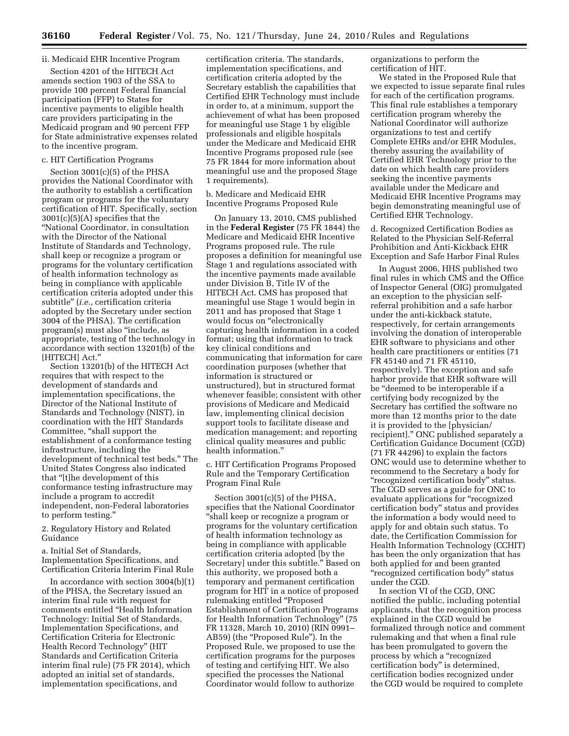#### ii. Medicaid EHR Incentive Program

Section 4201 of the HITECH Act amends section 1903 of the SSA to provide 100 percent Federal financial participation (FFP) to States for incentive payments to eligible health care providers participating in the Medicaid program and 90 percent FFP for State administrative expenses related to the incentive program.

#### c. HIT Certification Programs

Section 3001(c)(5) of the PHSA provides the National Coordinator with the authority to establish a certification program or programs for the voluntary certification of HIT. Specifically, section 3001(c)(5)(A) specifies that the ''National Coordinator, in consultation with the Director of the National Institute of Standards and Technology, shall keep or recognize a program or programs for the voluntary certification of health information technology as being in compliance with applicable certification criteria adopted under this subtitle'' (*i.e.,* certification criteria adopted by the Secretary under section 3004 of the PHSA). The certification program(s) must also ''include, as appropriate, testing of the technology in accordance with section 13201(b) of the [HITECH] Act.''

Section 13201(b) of the HITECH Act requires that with respect to the development of standards and implementation specifications, the Director of the National Institute of Standards and Technology (NIST), in coordination with the HIT Standards Committee, "shall support the establishment of a conformance testing infrastructure, including the development of technical test beds.'' The United States Congress also indicated that ''[t]he development of this conformance testing infrastructure may include a program to accredit independent, non-Federal laboratories to perform testing.''

2. Regulatory History and Related Guidance

a. Initial Set of Standards, Implementation Specifications, and Certification Criteria Interim Final Rule

In accordance with section 3004(b)(1) of the PHSA, the Secretary issued an interim final rule with request for comments entitled ''Health Information Technology: Initial Set of Standards, Implementation Specifications, and Certification Criteria for Electronic Health Record Technology'' (HIT Standards and Certification Criteria interim final rule) (75 FR 2014), which adopted an initial set of standards, implementation specifications, and

certification criteria. The standards, implementation specifications, and certification criteria adopted by the Secretary establish the capabilities that Certified EHR Technology must include in order to, at a minimum, support the achievement of what has been proposed for meaningful use Stage 1 by eligible professionals and eligible hospitals under the Medicare and Medicaid EHR Incentive Programs proposed rule (see 75 FR 1844 for more information about meaningful use and the proposed Stage 1 requirements).

b. Medicare and Medicaid EHR Incentive Programs Proposed Rule

On January 13, 2010, CMS published in the **Federal Register** (75 FR 1844) the Medicare and Medicaid EHR Incentive Programs proposed rule. The rule proposes a definition for meaningful use Stage 1 and regulations associated with the incentive payments made available under Division B, Title IV of the HITECH Act. CMS has proposed that meaningful use Stage 1 would begin in 2011 and has proposed that Stage 1 would focus on "electronically capturing health information in a coded format; using that information to track key clinical conditions and communicating that information for care coordination purposes (whether that information is structured or unstructured), but in structured format whenever feasible; consistent with other provisions of Medicare and Medicaid law, implementing clinical decision support tools to facilitate disease and medication management; and reporting clinical quality measures and public health information.''

c. HIT Certification Programs Proposed Rule and the Temporary Certification Program Final Rule

Section 3001(c)(5) of the PHSA, specifies that the National Coordinator ''shall keep or recognize a program or programs for the voluntary certification of health information technology as being in compliance with applicable certification criteria adopted [by the Secretary] under this subtitle.'' Based on this authority, we proposed both a temporary and permanent certification program for HIT in a notice of proposed rulemaking entitled ''Proposed Establishment of Certification Programs for Health Information Technology'' (75 FR 11328, March 10, 2010) (RIN 0991– AB59) (the "Proposed Rule"). In the Proposed Rule, we proposed to use the certification programs for the purposes of testing and certifying HIT. We also specified the processes the National Coordinator would follow to authorize

organizations to perform the certification of HIT.

We stated in the Proposed Rule that we expected to issue separate final rules for each of the certification programs. This final rule establishes a temporary certification program whereby the National Coordinator will authorize organizations to test and certify Complete EHRs and/or EHR Modules, thereby assuring the availability of Certified EHR Technology prior to the date on which health care providers seeking the incentive payments available under the Medicare and Medicaid EHR Incentive Programs may begin demonstrating meaningful use of Certified EHR Technology.

d. Recognized Certification Bodies as Related to the Physician Self-Referral Prohibition and Anti-Kickback EHR Exception and Safe Harbor Final Rules

In August 2006, HHS published two final rules in which CMS and the Office of Inspector General (OIG) promulgated an exception to the physician selfreferral prohibition and a safe harbor under the anti-kickback statute, respectively, for certain arrangements involving the donation of interoperable EHR software to physicians and other health care practitioners or entities (71 FR 45140 and 71 FR 45110, respectively). The exception and safe harbor provide that EHR software will be "deemed to be interoperable if a certifying body recognized by the Secretary has certified the software no more than 12 months prior to the date it is provided to the [physician/ recipient].'' ONC published separately a Certification Guidance Document (CGD) (71 FR 44296) to explain the factors ONC would use to determine whether to recommend to the Secretary a body for "recognized certification body" status. The CGD serves as a guide for ONC to evaluate applications for "recognized" certification body'' status and provides the information a body would need to apply for and obtain such status. To date, the Certification Commission for Health Information Technology (CCHIT) has been the only organization that has both applied for and been granted ''recognized certification body'' status under the CGD.

In section VI of the CGD, ONC notified the public, including potential applicants, that the recognition process explained in the CGD would be formalized through notice and comment rulemaking and that when a final rule has been promulgated to govern the process by which a ''recognized certification body'' is determined, certification bodies recognized under the CGD would be required to complete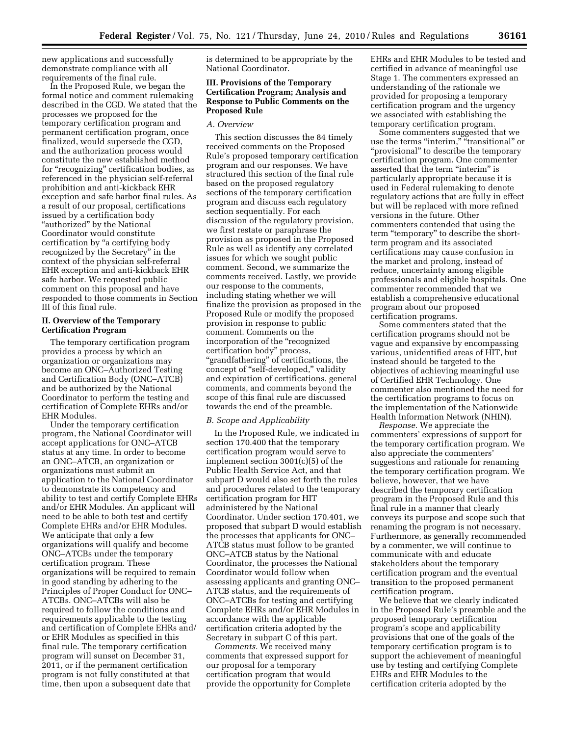new applications and successfully demonstrate compliance with all requirements of the final rule.

In the Proposed Rule, we began the formal notice and comment rulemaking described in the CGD. We stated that the processes we proposed for the temporary certification program and permanent certification program, once finalized, would supersede the CGD, and the authorization process would constitute the new established method for ''recognizing'' certification bodies, as referenced in the physician self-referral prohibition and anti-kickback EHR exception and safe harbor final rules. As a result of our proposal, certifications issued by a certification body "authorized" by the National Coordinator would constitute certification by ''a certifying body recognized by the Secretary'' in the context of the physician self-referral EHR exception and anti-kickback EHR safe harbor. We requested public comment on this proposal and have responded to those comments in Section III of this final rule.

#### **II. Overview of the Temporary Certification Program**

The temporary certification program provides a process by which an organization or organizations may become an ONC–Authorized Testing and Certification Body (ONC–ATCB) and be authorized by the National Coordinator to perform the testing and certification of Complete EHRs and/or EHR Modules.

Under the temporary certification program, the National Coordinator will accept applications for ONC–ATCB status at any time. In order to become an ONC–ATCB, an organization or organizations must submit an application to the National Coordinator to demonstrate its competency and ability to test and certify Complete EHRs and/or EHR Modules. An applicant will need to be able to both test and certify Complete EHRs and/or EHR Modules. We anticipate that only a few organizations will qualify and become ONC–ATCBs under the temporary certification program. These organizations will be required to remain in good standing by adhering to the Principles of Proper Conduct for ONC– ATCBs. ONC–ATCBs will also be required to follow the conditions and requirements applicable to the testing and certification of Complete EHRs and/ or EHR Modules as specified in this final rule. The temporary certification program will sunset on December 31, 2011, or if the permanent certification program is not fully constituted at that time, then upon a subsequent date that

is determined to be appropriate by the National Coordinator.

#### **III. Provisions of the Temporary Certification Program; Analysis and Response to Public Comments on the Proposed Rule**

#### *A. Overview*

This section discusses the 84 timely received comments on the Proposed Rule's proposed temporary certification program and our responses. We have structured this section of the final rule based on the proposed regulatory sections of the temporary certification program and discuss each regulatory section sequentially. For each discussion of the regulatory provision, we first restate or paraphrase the provision as proposed in the Proposed Rule as well as identify any correlated issues for which we sought public comment. Second, we summarize the comments received. Lastly, we provide our response to the comments, including stating whether we will finalize the provision as proposed in the Proposed Rule or modify the proposed provision in response to public comment. Comments on the incorporation of the "recognized certification body'' process, ''grandfathering'' of certifications, the concept of "self-developed," validity and expiration of certifications, general comments, and comments beyond the scope of this final rule are discussed towards the end of the preamble.

#### *B. Scope and Applicability*

In the Proposed Rule, we indicated in section 170.400 that the temporary certification program would serve to implement section 3001(c)(5) of the Public Health Service Act, and that subpart D would also set forth the rules and procedures related to the temporary certification program for HIT administered by the National Coordinator. Under section 170.401, we proposed that subpart D would establish the processes that applicants for ONC– ATCB status must follow to be granted ONC–ATCB status by the National Coordinator, the processes the National Coordinator would follow when assessing applicants and granting ONC– ATCB status, and the requirements of ONC–ATCBs for testing and certifying Complete EHRs and/or EHR Modules in accordance with the applicable certification criteria adopted by the Secretary in subpart C of this part.

*Comments.* We received many comments that expressed support for our proposal for a temporary certification program that would provide the opportunity for Complete EHRs and EHR Modules to be tested and certified in advance of meaningful use Stage 1. The commenters expressed an understanding of the rationale we provided for proposing a temporary certification program and the urgency we associated with establishing the temporary certification program.

Some commenters suggested that we use the terms ''interim,'' ''transitional'' or ''provisional'' to describe the temporary certification program. One commenter asserted that the term "interim" is particularly appropriate because it is used in Federal rulemaking to denote regulatory actions that are fully in effect but will be replaced with more refined versions in the future. Other commenters contended that using the term "temporary" to describe the shortterm program and its associated certifications may cause confusion in the market and prolong, instead of reduce, uncertainty among eligible professionals and eligible hospitals. One commenter recommended that we establish a comprehensive educational program about our proposed certification programs.

Some commenters stated that the certification programs should not be vague and expansive by encompassing various, unidentified areas of HIT, but instead should be targeted to the objectives of achieving meaningful use of Certified EHR Technology. One commenter also mentioned the need for the certification programs to focus on the implementation of the Nationwide Health Information Network (NHIN).

*Response.* We appreciate the commenters' expressions of support for the temporary certification program. We also appreciate the commenters' suggestions and rationale for renaming the temporary certification program. We believe, however, that we have described the temporary certification program in the Proposed Rule and this final rule in a manner that clearly conveys its purpose and scope such that renaming the program is not necessary. Furthermore, as generally recommended by a commenter, we will continue to communicate with and educate stakeholders about the temporary certification program and the eventual transition to the proposed permanent certification program.

We believe that we clearly indicated in the Proposed Rule's preamble and the proposed temporary certification program's scope and applicability provisions that one of the goals of the temporary certification program is to support the achievement of meaningful use by testing and certifying Complete EHRs and EHR Modules to the certification criteria adopted by the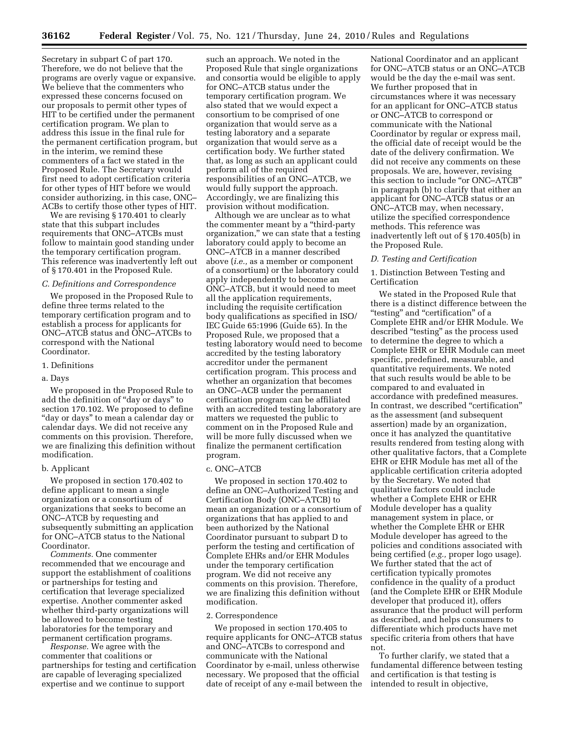Secretary in subpart C of part 170. Therefore, we do not believe that the programs are overly vague or expansive. We believe that the commenters who expressed these concerns focused on our proposals to permit other types of HIT to be certified under the permanent certification program. We plan to address this issue in the final rule for the permanent certification program, but in the interim, we remind these commenters of a fact we stated in the Proposed Rule. The Secretary would first need to adopt certification criteria for other types of HIT before we would consider authorizing, in this case, ONC– ACBs to certify those other types of HIT.

We are revising § 170.401 to clearly state that this subpart includes requirements that ONC–ATCBs must follow to maintain good standing under the temporary certification program. This reference was inadvertently left out of § 170.401 in the Proposed Rule.

#### *C. Definitions and Correspondence*

We proposed in the Proposed Rule to define three terms related to the temporary certification program and to establish a process for applicants for ONC–ATCB status and ONC–ATCBs to correspond with the National Coordinator.

#### 1. Definitions

#### a. Days

We proposed in the Proposed Rule to add the definition of ''day or days'' to section 170.102. We proposed to define ''day or days'' to mean a calendar day or calendar days. We did not receive any comments on this provision. Therefore, we are finalizing this definition without modification.

#### b. Applicant

We proposed in section 170.402 to define applicant to mean a single organization or a consortium of organizations that seeks to become an ONC–ATCB by requesting and subsequently submitting an application for ONC–ATCB status to the National Coordinator.

*Comments.* One commenter recommended that we encourage and support the establishment of coalitions or partnerships for testing and certification that leverage specialized expertise. Another commenter asked whether third-party organizations will be allowed to become testing laboratories for the temporary and permanent certification programs.

*Response.* We agree with the commenter that coalitions or partnerships for testing and certification are capable of leveraging specialized expertise and we continue to support

such an approach. We noted in the Proposed Rule that single organizations and consortia would be eligible to apply for ONC–ATCB status under the temporary certification program. We also stated that we would expect a consortium to be comprised of one organization that would serve as a testing laboratory and a separate organization that would serve as a certification body. We further stated that, as long as such an applicant could perform all of the required responsibilities of an ONC–ATCB, we would fully support the approach. Accordingly, we are finalizing this provision without modification.

Although we are unclear as to what the commenter meant by a ''third-party organization,'' we can state that a testing laboratory could apply to become an ONC–ATCB in a manner described above (*i.e.,* as a member or component of a consortium) or the laboratory could apply independently to become an ONC–ATCB, but it would need to meet all the application requirements, including the requisite certification body qualifications as specified in ISO/ IEC Guide 65:1996 (Guide 65). In the Proposed Rule, we proposed that a testing laboratory would need to become accredited by the testing laboratory accreditor under the permanent certification program. This process and whether an organization that becomes an ONC–ACB under the permanent certification program can be affiliated with an accredited testing laboratory are matters we requested the public to comment on in the Proposed Rule and will be more fully discussed when we finalize the permanent certification program.

#### c. ONC–ATCB

We proposed in section 170.402 to define an ONC–Authorized Testing and Certification Body (ONC–ATCB) to mean an organization or a consortium of organizations that has applied to and been authorized by the National Coordinator pursuant to subpart D to perform the testing and certification of Complete EHRs and/or EHR Modules under the temporary certification program. We did not receive any comments on this provision. Therefore, we are finalizing this definition without modification.

#### 2. Correspondence

We proposed in section 170.405 to require applicants for ONC–ATCB status and ONC–ATCBs to correspond and communicate with the National Coordinator by e-mail, unless otherwise necessary. We proposed that the official date of receipt of any e-mail between the

National Coordinator and an applicant for ONC–ATCB status or an ONC–ATCB would be the day the e-mail was sent. We further proposed that in circumstances where it was necessary for an applicant for ONC–ATCB status or ONC–ATCB to correspond or communicate with the National Coordinator by regular or express mail, the official date of receipt would be the date of the delivery confirmation. We did not receive any comments on these proposals. We are, however, revising this section to include ''or ONC–ATCB'' in paragraph (b) to clarify that either an applicant for ONC–ATCB status or an ONC–ATCB may, when necessary, utilize the specified correspondence methods. This reference was inadvertently left out of § 170.405(b) in the Proposed Rule.

#### *D. Testing and Certification*

1. Distinction Between Testing and Certification

We stated in the Proposed Rule that there is a distinct difference between the ''testing'' and ''certification'' of a Complete EHR and/or EHR Module. We described "testing" as the process used to determine the degree to which a Complete EHR or EHR Module can meet specific, predefined, measurable, and quantitative requirements. We noted that such results would be able to be compared to and evaluated in accordance with predefined measures. In contrast, we described "certification" as the assessment (and subsequent assertion) made by an organization, once it has analyzed the quantitative results rendered from testing along with other qualitative factors, that a Complete EHR or EHR Module has met all of the applicable certification criteria adopted by the Secretary. We noted that qualitative factors could include whether a Complete EHR or EHR Module developer has a quality management system in place, or whether the Complete EHR or EHR Module developer has agreed to the policies and conditions associated with being certified (*e.g.,* proper logo usage). We further stated that the act of certification typically promotes confidence in the quality of a product (and the Complete EHR or EHR Module developer that produced it), offers assurance that the product will perform as described, and helps consumers to differentiate which products have met specific criteria from others that have not.

To further clarify, we stated that a fundamental difference between testing and certification is that testing is intended to result in objective,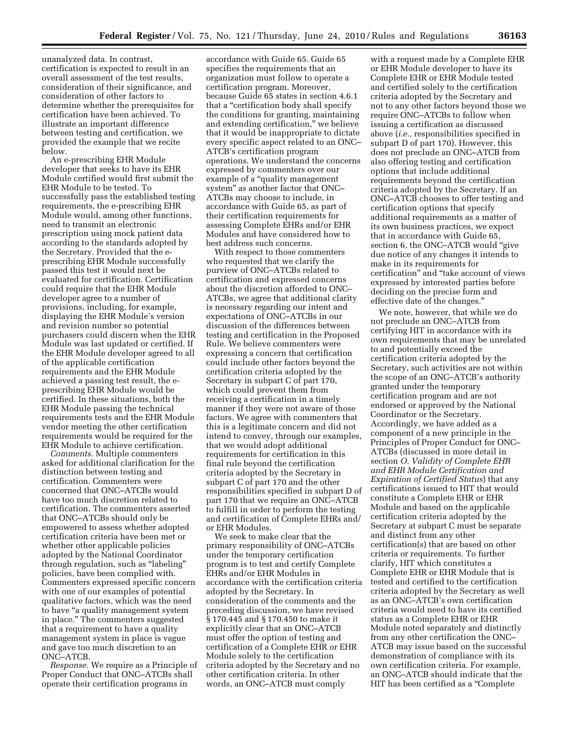unanalyzed data. In contrast, certification is expected to result in an overall assessment of the test results, consideration of their significance, and consideration of other factors to determine whether the prerequisites for certification have been achieved. To illustrate an important difference between testing and certification, we provided the example that we recite below.

An e-prescribing EHR Module developer that seeks to have its EHR Module certified would first submit the EHR Module to be tested. To successfully pass the established testing requirements, the e-prescribing EHR Module would, among other functions, need to transmit an electronic prescription using mock patient data according to the standards adopted by the Secretary. Provided that the eprescribing EHR Module successfully passed this test it would next be evaluated for certification. Certification could require that the EHR Module developer agree to a number of provisions, including, for example, displaying the EHR Module's version and revision number so potential purchasers could discern when the EHR Module was last updated or certified. If the EHR Module developer agreed to all of the applicable certification requirements and the EHR Module achieved a passing test result, the eprescribing EHR Module would be certified. In these situations, both the EHR Module passing the technical requirements tests and the EHR Module vendor meeting the other certification requirements would be required for the EHR Module to achieve certification.

*Comments.* Multiple commenters asked for additional clarification for the distinction between testing and certification. Commenters were concerned that ONC–ATCBs would have too much discretion related to certification. The commenters asserted that ONC–ATCBs should only be empowered to assess whether adopted certification criteria have been met or whether other applicable policies adopted by the National Coordinator through regulation, such as ''labeling'' policies, have been complied with. Commenters expressed specific concern with one of our examples of potential qualitative factors, which was the need to have ''a quality management system in place.'' The commenters suggested that a requirement to have a quality management system in place is vague and gave too much discretion to an ONC–ATCB.

*Response.* We require as a Principle of Proper Conduct that ONC–ATCBs shall operate their certification programs in

accordance with Guide 65. Guide 65 specifies the requirements that an organization must follow to operate a certification program. Moreover, because Guide 65 states in section 4.6.1 that a ''certification body shall specify the conditions for granting, maintaining and extending certification,'' we believe that it would be inappropriate to dictate every specific aspect related to an ONC– ATCB's certification program operations. We understand the concerns expressed by commenters over our example of a "quality management system'' as another factor that ONC– ATCBs may choose to include, in accordance with Guide 65, as part of their certification requirements for assessing Complete EHRs and/or EHR Modules and have considered how to best address such concerns.

With respect to those commenters who requested that we clarify the purview of ONC–ATCBs related to certification and expressed concerns about the discretion afforded to ONC– ATCBs, we agree that additional clarity is necessary regarding our intent and expectations of ONC–ATCBs in our discussion of the differences between testing and certification in the Proposed Rule. We believe commenters were expressing a concern that certification could include other factors beyond the certification criteria adopted by the Secretary in subpart C of part 170, which could prevent them from receiving a certification in a timely manner if they were not aware of those factors. We agree with commenters that this is a legitimate concern and did not intend to convey, through our examples, that we would adopt additional requirements for certification in this final rule beyond the certification criteria adopted by the Secretary in subpart C of part 170 and the other responsibilities specified in subpart D of part 170 that we require an ONC–ATCB to fulfill in order to perform the testing and certification of Complete EHRs and/ or EHR Modules.

We seek to make clear that the primary responsibility of ONC–ATCBs under the temporary certification program is to test and certify Complete EHRs and/or EHR Modules in accordance with the certification criteria adopted by the Secretary. In consideration of the comments and the preceding discussion, we have revised § 170.445 and § 170.450 to make it explicitly clear that an ONC–ATCB must offer the option of testing and certification of a Complete EHR or EHR Module solely to the certification criteria adopted by the Secretary and no other certification criteria. In other words, an ONC–ATCB must comply

with a request made by a Complete EHR or EHR Module developer to have its Complete EHR or EHR Module tested and certified solely to the certification criteria adopted by the Secretary and not to any other factors beyond those we require ONC–ATCBs to follow when issuing a certification as discussed above (*i.e.,* responsibilities specified in subpart D of part 170). However, this does not preclude an ONC–ATCB from also offering testing and certification options that include additional requirements beyond the certification criteria adopted by the Secretary. If an ONC–ATCB chooses to offer testing and certification options that specify additional requirements as a matter of its own business practices, we expect that in accordance with Guide 65, section 6, the ONC–ATCB would "give due notice of any changes it intends to make in its requirements for certification'' and ''take account of views expressed by interested parties before deciding on the precise form and effective date of the changes.''

We note, however, that while we do not preclude an ONC–ATCB from certifying HIT in accordance with its own requirements that may be unrelated to and potentially exceed the certification criteria adopted by the Secretary, such activities are not within the scope of an ONC–ATCB's authority granted under the temporary certification program and are not endorsed or approved by the National Coordinator or the Secretary. Accordingly, we have added as a component of a new principle in the Principles of Proper Conduct for ONC– ATCBs (discussed in more detail in section *O. Validity of Complete EHR and EHR Module Certification and Expiration of Certified Status*) that any certifications issued to HIT that would constitute a Complete EHR or EHR Module and based on the applicable certification criteria adopted by the Secretary at subpart C must be separate and distinct from any other certification(s) that are based on other criteria or requirements. To further clarify, HIT which constitutes a Complete EHR or EHR Module that is tested and certified to the certification criteria adopted by the Secretary as well as an ONC–ATCB's own certification criteria would need to have its certified status as a Complete EHR or EHR Module noted separately and distinctly from any other certification the ONC– ATCB may issue based on the successful demonstration of compliance with its own certification criteria. For example, an ONC–ATCB should indicate that the HIT has been certified as a ''Complete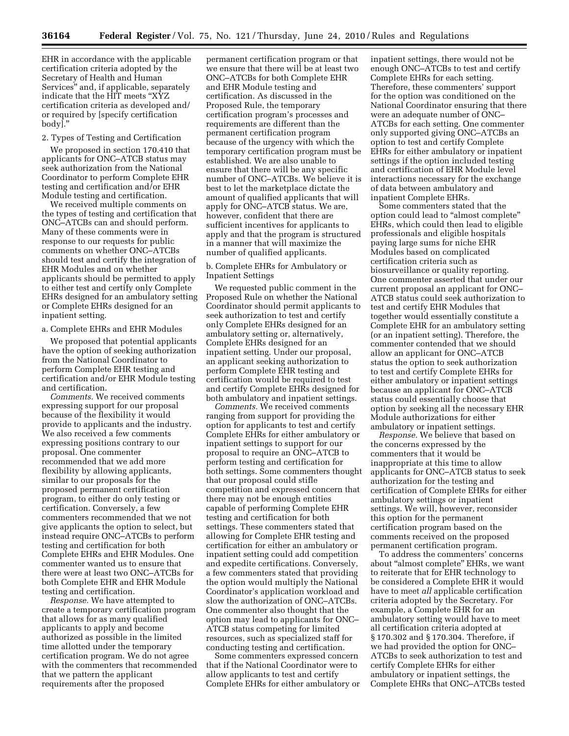EHR in accordance with the applicable certification criteria adopted by the Secretary of Health and Human Services'' and, if applicable, separately indicate that the HIT meets ''XYZ certification criteria as developed and/ or required by [specify certification body].''

#### 2. Types of Testing and Certification

We proposed in section 170.410 that applicants for ONC–ATCB status may seek authorization from the National Coordinator to perform Complete EHR testing and certification and/or EHR Module testing and certification.

We received multiple comments on the types of testing and certification that ONC–ATCBs can and should perform. Many of these comments were in response to our requests for public comments on whether ONC–ATCBs should test and certify the integration of EHR Modules and on whether applicants should be permitted to apply to either test and certify only Complete EHRs designed for an ambulatory setting or Complete EHRs designed for an inpatient setting.

#### a. Complete EHRs and EHR Modules

We proposed that potential applicants have the option of seeking authorization from the National Coordinator to perform Complete EHR testing and certification and/or EHR Module testing and certification.

*Comments.* We received comments expressing support for our proposal because of the flexibility it would provide to applicants and the industry. We also received a few comments expressing positions contrary to our proposal. One commenter recommended that we add more flexibility by allowing applicants, similar to our proposals for the proposed permanent certification program, to either do only testing or certification. Conversely, a few commenters recommended that we not give applicants the option to select, but instead require ONC–ATCBs to perform testing and certification for both Complete EHRs and EHR Modules. One commenter wanted us to ensure that there were at least two ONC–ATCBs for both Complete EHR and EHR Module testing and certification.

*Response.* We have attempted to create a temporary certification program that allows for as many qualified applicants to apply and become authorized as possible in the limited time allotted under the temporary certification program. We do not agree with the commenters that recommended that we pattern the applicant requirements after the proposed

permanent certification program or that we ensure that there will be at least two ONC–ATCBs for both Complete EHR and EHR Module testing and certification. As discussed in the Proposed Rule, the temporary certification program's processes and requirements are different than the permanent certification program because of the urgency with which the temporary certification program must be established. We are also unable to ensure that there will be any specific number of ONC–ATCBs. We believe it is best to let the marketplace dictate the amount of qualified applicants that will apply for ONC–ATCB status. We are, however, confident that there are sufficient incentives for applicants to apply and that the program is structured in a manner that will maximize the number of qualified applicants.

#### b. Complete EHRs for Ambulatory or Inpatient Settings

We requested public comment in the Proposed Rule on whether the National Coordinator should permit applicants to seek authorization to test and certify only Complete EHRs designed for an ambulatory setting or, alternatively, Complete EHRs designed for an inpatient setting. Under our proposal, an applicant seeking authorization to perform Complete EHR testing and certification would be required to test and certify Complete EHRs designed for both ambulatory and inpatient settings.

*Comments.* We received comments ranging from support for providing the option for applicants to test and certify Complete EHRs for either ambulatory or inpatient settings to support for our proposal to require an ONC–ATCB to perform testing and certification for both settings. Some commenters thought that our proposal could stifle competition and expressed concern that there may not be enough entities capable of performing Complete EHR testing and certification for both settings. These commenters stated that allowing for Complete EHR testing and certification for either an ambulatory or inpatient setting could add competition and expedite certifications. Conversely, a few commenters stated that providing the option would multiply the National Coordinator's application workload and slow the authorization of ONC–ATCBs. One commenter also thought that the option may lead to applicants for ONC– ATCB status competing for limited resources, such as specialized staff for conducting testing and certification.

Some commenters expressed concern that if the National Coordinator were to allow applicants to test and certify Complete EHRs for either ambulatory or

inpatient settings, there would not be enough ONC–ATCBs to test and certify Complete EHRs for each setting. Therefore, these commenters' support for the option was conditioned on the National Coordinator ensuring that there were an adequate number of ONC– ATCBs for each setting. One commenter only supported giving ONC–ATCBs an option to test and certify Complete EHRs for either ambulatory or inpatient settings if the option included testing and certification of EHR Module level interactions necessary for the exchange of data between ambulatory and inpatient Complete EHRs.

Some commenters stated that the option could lead to ''almost complete'' EHRs, which could then lead to eligible professionals and eligible hospitals paying large sums for niche EHR Modules based on complicated certification criteria such as biosurveillance or quality reporting. One commenter asserted that under our current proposal an applicant for ONC– ATCB status could seek authorization to test and certify EHR Modules that together would essentially constitute a Complete EHR for an ambulatory setting (or an inpatient setting). Therefore, the commenter contended that we should allow an applicant for ONC–ATCB status the option to seek authorization to test and certify Complete EHRs for either ambulatory or inpatient settings because an applicant for ONC–ATCB status could essentially choose that option by seeking all the necessary EHR Module authorizations for either ambulatory or inpatient settings.

*Response.* We believe that based on the concerns expressed by the commenters that it would be inappropriate at this time to allow applicants for ONC–ATCB status to seek authorization for the testing and certification of Complete EHRs for either ambulatory settings or inpatient settings. We will, however, reconsider this option for the permanent certification program based on the comments received on the proposed permanent certification program.

To address the commenters' concerns about "almost complete" EHRs, we want to reiterate that for EHR technology to be considered a Complete EHR it would have to meet *all* applicable certification criteria adopted by the Secretary. For example, a Complete EHR for an ambulatory setting would have to meet all certification criteria adopted at § 170.302 and § 170.304. Therefore, if we had provided the option for ONC– ATCBs to seek authorization to test and certify Complete EHRs for either ambulatory or inpatient settings, the Complete EHRs that ONC–ATCBs tested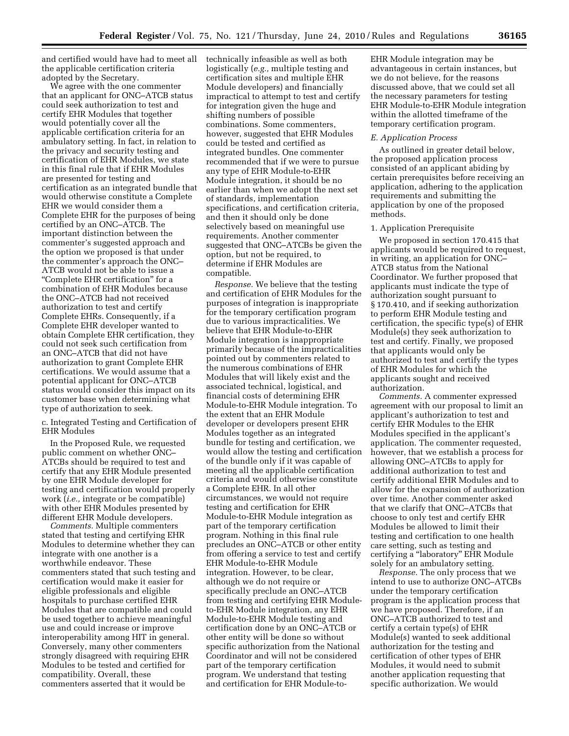and certified would have had to meet all the applicable certification criteria adopted by the Secretary.

We agree with the one commenter that an applicant for ONC–ATCB status could seek authorization to test and certify EHR Modules that together would potentially cover all the applicable certification criteria for an ambulatory setting. In fact, in relation to the privacy and security testing and certification of EHR Modules, we state in this final rule that if EHR Modules are presented for testing and certification as an integrated bundle that would otherwise constitute a Complete EHR we would consider them a Complete EHR for the purposes of being certified by an ONC–ATCB. The important distinction between the commenter's suggested approach and the option we proposed is that under the commenter's approach the ONC– ATCB would not be able to issue a ''Complete EHR certification'' for a combination of EHR Modules because the ONC–ATCB had not received authorization to test and certify Complete EHRs. Consequently, if a Complete EHR developer wanted to obtain Complete EHR certification, they could not seek such certification from an ONC–ATCB that did not have authorization to grant Complete EHR certifications. We would assume that a potential applicant for ONC–ATCB status would consider this impact on its customer base when determining what type of authorization to seek.

c. Integrated Testing and Certification of EHR Modules

In the Proposed Rule, we requested public comment on whether ONC– ATCBs should be required to test and certify that any EHR Module presented by one EHR Module developer for testing and certification would properly work (*i.e.,* integrate or be compatible) with other EHR Modules presented by different EHR Module developers.

*Comments.* Multiple commenters stated that testing and certifying EHR Modules to determine whether they can integrate with one another is a worthwhile endeavor. These commenters stated that such testing and certification would make it easier for eligible professionals and eligible hospitals to purchase certified EHR Modules that are compatible and could be used together to achieve meaningful use and could increase or improve interoperability among HIT in general. Conversely, many other commenters strongly disagreed with requiring EHR Modules to be tested and certified for compatibility. Overall, these commenters asserted that it would be

technically infeasible as well as both logistically (*e.g.,* multiple testing and certification sites and multiple EHR Module developers) and financially impractical to attempt to test and certify for integration given the huge and shifting numbers of possible combinations. Some commenters, however, suggested that EHR Modules could be tested and certified as integrated bundles. One commenter recommended that if we were to pursue any type of EHR Module-to-EHR Module integration, it should be no earlier than when we adopt the next set of standards, implementation specifications, and certification criteria, and then it should only be done selectively based on meaningful use requirements. Another commenter suggested that ONC–ATCBs be given the option, but not be required, to determine if EHR Modules are compatible.

*Response.* We believe that the testing and certification of EHR Modules for the purposes of integration is inappropriate for the temporary certification program due to various impracticalities. We believe that EHR Module-to-EHR Module integration is inappropriate primarily because of the impracticalities pointed out by commenters related to the numerous combinations of EHR Modules that will likely exist and the associated technical, logistical, and financial costs of determining EHR Module-to-EHR Module integration. To the extent that an EHR Module developer or developers present EHR Modules together as an integrated bundle for testing and certification, we would allow the testing and certification of the bundle only if it was capable of meeting all the applicable certification criteria and would otherwise constitute a Complete EHR. In all other circumstances, we would not require testing and certification for EHR Module-to-EHR Module integration as part of the temporary certification program. Nothing in this final rule precludes an ONC–ATCB or other entity from offering a service to test and certify EHR Module-to-EHR Module integration. However, to be clear, although we do not require or specifically preclude an ONC–ATCB from testing and certifying EHR Moduleto-EHR Module integration, any EHR Module-to-EHR Module testing and certification done by an ONC–ATCB or other entity will be done so without specific authorization from the National Coordinator and will not be considered part of the temporary certification program. We understand that testing and certification for EHR Module-toEHR Module integration may be advantageous in certain instances, but we do not believe, for the reasons discussed above, that we could set all the necessary parameters for testing EHR Module-to-EHR Module integration within the allotted timeframe of the temporary certification program.

#### *E. Application Process*

As outlined in greater detail below, the proposed application process consisted of an applicant abiding by certain prerequisites before receiving an application, adhering to the application requirements and submitting the application by one of the proposed methods.

#### 1. Application Prerequisite

We proposed in section 170.415 that applicants would be required to request, in writing, an application for ONC– ATCB status from the National Coordinator. We further proposed that applicants must indicate the type of authorization sought pursuant to § 170.410, and if seeking authorization to perform EHR Module testing and certification, the specific type(s) of EHR Module(s) they seek authorization to test and certify. Finally, we proposed that applicants would only be authorized to test and certify the types of EHR Modules for which the applicants sought and received authorization.

*Comments.* A commenter expressed agreement with our proposal to limit an applicant's authorization to test and certify EHR Modules to the EHR Modules specified in the applicant's application. The commenter requested, however, that we establish a process for allowing ONC–ATCBs to apply for additional authorization to test and certify additional EHR Modules and to allow for the expansion of authorization over time. Another commenter asked that we clarify that ONC–ATCBs that choose to only test and certify EHR Modules be allowed to limit their testing and certification to one health care setting, such as testing and certifying a ''laboratory'' EHR Module solely for an ambulatory setting.

*Response.* The only process that we intend to use to authorize ONC–ATCBs under the temporary certification program is the application process that we have proposed. Therefore, if an ONC–ATCB authorized to test and certify a certain type(s) of EHR Module(s) wanted to seek additional authorization for the testing and certification of other types of EHR Modules, it would need to submit another application requesting that specific authorization. We would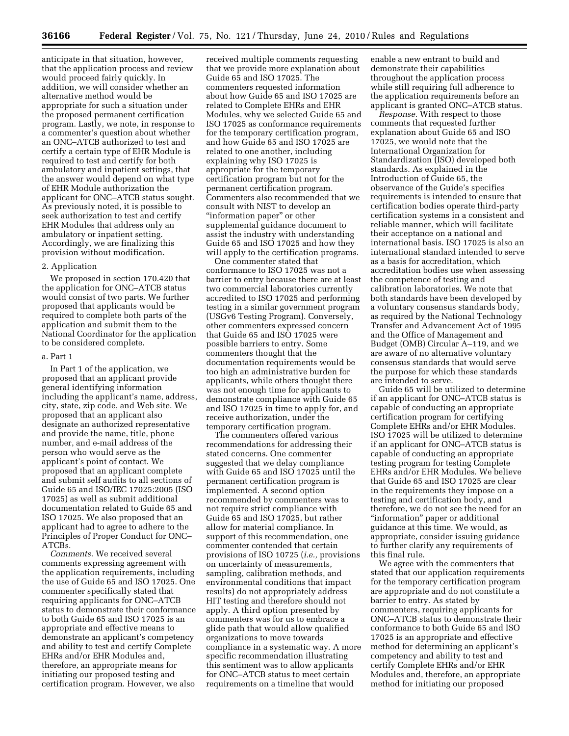anticipate in that situation, however, that the application process and review would proceed fairly quickly. In addition, we will consider whether an alternative method would be appropriate for such a situation under the proposed permanent certification program. Lastly, we note, in response to a commenter's question about whether an ONC–ATCB authorized to test and certify a certain type of EHR Module is required to test and certify for both ambulatory and inpatient settings, that the answer would depend on what type of EHR Module authorization the applicant for ONC–ATCB status sought. As previously noted, it is possible to seek authorization to test and certify EHR Modules that address only an ambulatory or inpatient setting. Accordingly, we are finalizing this provision without modification.

#### 2. Application

We proposed in section 170.420 that the application for ONC–ATCB status would consist of two parts. We further proposed that applicants would be required to complete both parts of the application and submit them to the National Coordinator for the application to be considered complete.

#### a. Part 1

In Part 1 of the application, we proposed that an applicant provide general identifying information including the applicant's name, address, city, state, zip code, and Web site. We proposed that an applicant also designate an authorized representative and provide the name, title, phone number, and e-mail address of the person who would serve as the applicant's point of contact. We proposed that an applicant complete and submit self audits to all sections of Guide 65 and ISO/IEC 17025:2005 (ISO 17025) as well as submit additional documentation related to Guide 65 and ISO 17025. We also proposed that an applicant had to agree to adhere to the Principles of Proper Conduct for ONC– ATCBs.

*Comments.* We received several comments expressing agreement with the application requirements, including the use of Guide 65 and ISO 17025. One commenter specifically stated that requiring applicants for ONC–ATCB status to demonstrate their conformance to both Guide 65 and ISO 17025 is an appropriate and effective means to demonstrate an applicant's competency and ability to test and certify Complete EHRs and/or EHR Modules and, therefore, an appropriate means for initiating our proposed testing and certification program. However, we also

received multiple comments requesting that we provide more explanation about Guide 65 and ISO 17025. The commenters requested information about how Guide 65 and ISO 17025 are related to Complete EHRs and EHR Modules, why we selected Guide 65 and ISO 17025 as conformance requirements for the temporary certification program, and how Guide 65 and ISO 17025 are related to one another, including explaining why ISO 17025 is appropriate for the temporary certification program but not for the permanent certification program. Commenters also recommended that we consult with NIST to develop an ''information paper'' or other supplemental guidance document to assist the industry with understanding Guide 65 and ISO 17025 and how they will apply to the certification programs.

One commenter stated that conformance to ISO 17025 was not a barrier to entry because there are at least two commercial laboratories currently accredited to ISO 17025 and performing testing in a similar government program (USGv6 Testing Program). Conversely, other commenters expressed concern that Guide 65 and ISO 17025 were possible barriers to entry. Some commenters thought that the documentation requirements would be too high an administrative burden for applicants, while others thought there was not enough time for applicants to demonstrate compliance with Guide 65 and ISO 17025 in time to apply for, and receive authorization, under the temporary certification program.

The commenters offered various recommendations for addressing their stated concerns. One commenter suggested that we delay compliance with Guide 65 and ISO 17025 until the permanent certification program is implemented. A second option recommended by commenters was to not require strict compliance with Guide 65 and ISO 17025, but rather allow for material compliance. In support of this recommendation, one commenter contended that certain provisions of ISO 10725 (*i.e.,* provisions on uncertainty of measurements, sampling, calibration methods, and environmental conditions that impact results) do not appropriately address HIT testing and therefore should not apply. A third option presented by commenters was for us to embrace a glide path that would allow qualified organizations to move towards compliance in a systematic way. A more specific recommendation illustrating this sentiment was to allow applicants for ONC–ATCB status to meet certain requirements on a timeline that would

enable a new entrant to build and demonstrate their capabilities throughout the application process while still requiring full adherence to the application requirements before an applicant is granted ONC–ATCB status.

*Response.* With respect to those comments that requested further explanation about Guide 65 and ISO 17025, we would note that the International Organization for Standardization (ISO) developed both standards. As explained in the Introduction of Guide 65, the observance of the Guide's specifies requirements is intended to ensure that certification bodies operate third-party certification systems in a consistent and reliable manner, which will facilitate their acceptance on a national and international basis. ISO 17025 is also an international standard intended to serve as a basis for accreditation, which accreditation bodies use when assessing the competence of testing and calibration laboratories. We note that both standards have been developed by a voluntary consensus standards body, as required by the National Technology Transfer and Advancement Act of 1995 and the Office of Management and Budget (OMB) Circular A–119, and we are aware of no alternative voluntary consensus standards that would serve the purpose for which these standards are intended to serve.

Guide 65 will be utilized to determine if an applicant for ONC–ATCB status is capable of conducting an appropriate certification program for certifying Complete EHRs and/or EHR Modules. ISO 17025 will be utilized to determine if an applicant for ONC–ATCB status is capable of conducting an appropriate testing program for testing Complete EHRs and/or EHR Modules. We believe that Guide 65 and ISO 17025 are clear in the requirements they impose on a testing and certification body, and therefore, we do not see the need for an "information" paper or additional guidance at this time. We would, as appropriate, consider issuing guidance to further clarify any requirements of this final rule.

We agree with the commenters that stated that our application requirements for the temporary certification program are appropriate and do not constitute a barrier to entry. As stated by commenters, requiring applicants for ONC–ATCB status to demonstrate their conformance to both Guide 65 and ISO 17025 is an appropriate and effective method for determining an applicant's competency and ability to test and certify Complete EHRs and/or EHR Modules and, therefore, an appropriate method for initiating our proposed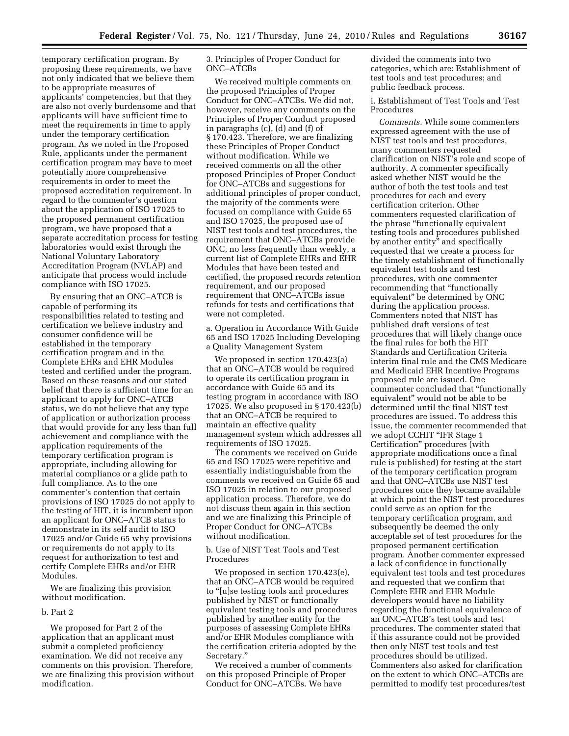temporary certification program. By proposing these requirements, we have not only indicated that we believe them to be appropriate measures of applicants' competencies, but that they are also not overly burdensome and that applicants will have sufficient time to meet the requirements in time to apply under the temporary certification program. As we noted in the Proposed Rule, applicants under the permanent certification program may have to meet potentially more comprehensive requirements in order to meet the proposed accreditation requirement. In regard to the commenter's question about the application of ISO 17025 to the proposed permanent certification program, we have proposed that a separate accreditation process for testing laboratories would exist through the National Voluntary Laboratory Accreditation Program (NVLAP) and anticipate that process would include compliance with ISO 17025.

By ensuring that an ONC–ATCB is capable of performing its responsibilities related to testing and certification we believe industry and consumer confidence will be established in the temporary certification program and in the Complete EHRs and EHR Modules tested and certified under the program. Based on these reasons and our stated belief that there is sufficient time for an applicant to apply for ONC–ATCB status, we do not believe that any type of application or authorization process that would provide for any less than full achievement and compliance with the application requirements of the temporary certification program is appropriate, including allowing for material compliance or a glide path to full compliance. As to the one commenter's contention that certain provisions of ISO 17025 do not apply to the testing of HIT, it is incumbent upon an applicant for ONC–ATCB status to demonstrate in its self audit to ISO 17025 and/or Guide 65 why provisions or requirements do not apply to its request for authorization to test and certify Complete EHRs and/or EHR Modules.

We are finalizing this provision without modification.

#### b. Part 2

We proposed for Part 2 of the application that an applicant must submit a completed proficiency examination. We did not receive any comments on this provision. Therefore, we are finalizing this provision without modification.

3. Principles of Proper Conduct for ONC–ATCBs

We received multiple comments on the proposed Principles of Proper Conduct for ONC–ATCBs. We did not, however, receive any comments on the Principles of Proper Conduct proposed in paragraphs (c), (d) and (f) of § 170.423. Therefore, we are finalizing these Principles of Proper Conduct without modification. While we received comments on all the other proposed Principles of Proper Conduct for ONC–ATCBs and suggestions for additional principles of proper conduct, the majority of the comments were focused on compliance with Guide 65 and ISO 17025, the proposed use of NIST test tools and test procedures, the requirement that ONC–ATCBs provide ONC, no less frequently than weekly, a current list of Complete EHRs and EHR Modules that have been tested and certified, the proposed records retention requirement, and our proposed requirement that ONC–ATCBs issue refunds for tests and certifications that were not completed.

a. Operation in Accordance With Guide 65 and ISO 17025 Including Developing a Quality Management System

We proposed in section 170.423(a) that an ONC–ATCB would be required to operate its certification program in accordance with Guide 65 and its testing program in accordance with ISO 17025. We also proposed in § 170.423(b) that an ONC–ATCB be required to maintain an effective quality management system which addresses all requirements of ISO 17025.

The comments we received on Guide 65 and ISO 17025 were repetitive and essentially indistinguishable from the comments we received on Guide 65 and ISO 17025 in relation to our proposed application process. Therefore, we do not discuss them again in this section and we are finalizing this Principle of Proper Conduct for ONC–ATCBs without modification.

#### b. Use of NIST Test Tools and Test Procedures

We proposed in section 170.423(e), that an ONC–ATCB would be required to ''[u]se testing tools and procedures published by NIST or functionally equivalent testing tools and procedures published by another entity for the purposes of assessing Complete EHRs and/or EHR Modules compliance with the certification criteria adopted by the Secretary.''

We received a number of comments on this proposed Principle of Proper Conduct for ONC–ATCBs. We have

divided the comments into two categories, which are: Establishment of test tools and test procedures; and public feedback process.

i. Establishment of Test Tools and Test Procedures

*Comments.* While some commenters expressed agreement with the use of NIST test tools and test procedures, many commenters requested clarification on NIST's role and scope of authority. A commenter specifically asked whether NIST would be the author of both the test tools and test procedures for each and every certification criterion. Other commenters requested clarification of the phrase "functionally equivalent testing tools and procedures published by another entity'' and specifically requested that we create a process for the timely establishment of functionally equivalent test tools and test procedures, with one commenter recommending that ''functionally equivalent'' be determined by ONC during the application process. Commenters noted that NIST has published draft versions of test procedures that will likely change once the final rules for both the HIT Standards and Certification Criteria interim final rule and the CMS Medicare and Medicaid EHR Incentive Programs proposed rule are issued. One commenter concluded that ''functionally equivalent'' would not be able to be determined until the final NIST test procedures are issued. To address this issue, the commenter recommended that we adopt CCHIT ''IFR Stage 1 Certification'' procedures (with appropriate modifications once a final rule is published) for testing at the start of the temporary certification program and that ONC–ATCBs use NIST test procedures once they became available at which point the NIST test procedures could serve as an option for the temporary certification program, and subsequently be deemed the only acceptable set of test procedures for the proposed permanent certification program. Another commenter expressed a lack of confidence in functionally equivalent test tools and test procedures and requested that we confirm that Complete EHR and EHR Module developers would have no liability regarding the functional equivalence of an ONC–ATCB's test tools and test procedures. The commenter stated that if this assurance could not be provided then only NIST test tools and test procedures should be utilized. Commenters also asked for clarification on the extent to which ONC–ATCBs are permitted to modify test procedures/test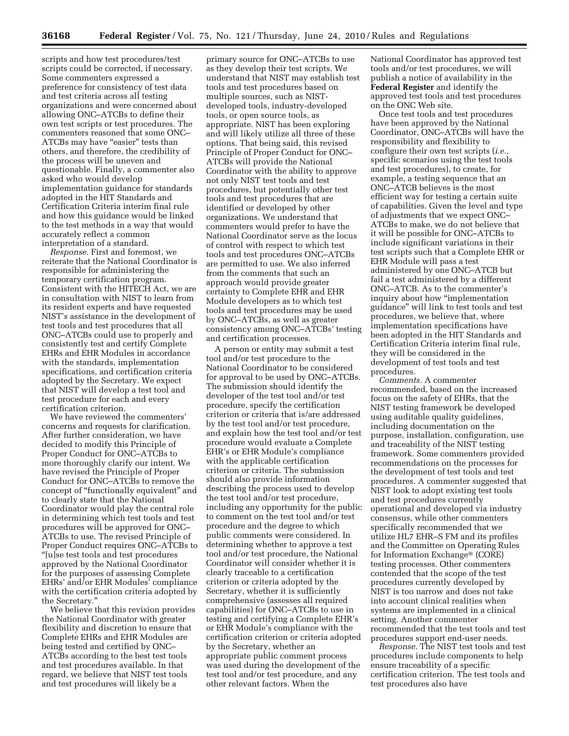scripts and how test procedures/test scripts could be corrected, if necessary. Some commenters expressed a preference for consistency of test data and test criteria across all testing organizations and were concerned about allowing ONC–ATCBs to define their own test scripts or test procedures. The commenters reasoned that some ONC– ATCBs may have "easier" tests than others, and therefore, the credibility of the process will be uneven and questionable. Finally, a commenter also asked who would develop implementation guidance for standards adopted in the HIT Standards and Certification Criteria interim final rule and how this guidance would be linked to the test methods in a way that would accurately reflect a common interpretation of a standard.

*Response.* First and foremost, we reiterate that the National Coordinator is responsible for administering the temporary certification program. Consistent with the HITECH Act, we are in consultation with NIST to learn from its resident experts and have requested NIST's assistance in the development of test tools and test procedures that all ONC–ATCBs could use to properly and consistently test and certify Complete EHRs and EHR Modules in accordance with the standards, implementation specifications, and certification criteria adopted by the Secretary. We expect that NIST will develop a test tool and test procedure for each and every certification criterion.

We have reviewed the commenters' concerns and requests for clarification. After further consideration, we have decided to modify this Principle of Proper Conduct for ONC–ATCBs to more thoroughly clarify our intent. We have revised the Principle of Proper Conduct for ONC–ATCBs to remove the concept of ''functionally equivalent'' and to clearly state that the National Coordinator would play the central role in determining which test tools and test procedures will be approved for ONC– ATCBs to use. The revised Principle of Proper Conduct requires ONC–ATCBs to ''[u]se test tools and test procedures approved by the National Coordinator for the purposes of assessing Complete EHRs' and/or EHR Modules' compliance with the certification criteria adopted by the Secretary.''

We believe that this revision provides the National Coordinator with greater flexibility and discretion to ensure that Complete EHRs and EHR Modules are being tested and certified by ONC– ATCBs according to the best test tools and test procedures available. In that regard, we believe that NIST test tools and test procedures will likely be a

primary source for ONC–ATCBs to use as they develop their test scripts. We understand that NIST may establish test tools and test procedures based on multiple sources, such as NISTdeveloped tools, industry-developed tools, or open source tools, as appropriate. NIST has been exploring and will likely utilize all three of these options. That being said, this revised Principle of Proper Conduct for ONC– ATCBs will provide the National Coordinator with the ability to approve not only NIST test tools and test procedures, but potentially other test tools and test procedures that are identified or developed by other organizations. We understand that commenters would prefer to have the National Coordinator serve as the locus of control with respect to which test tools and test procedures ONC–ATCBs are permitted to use. We also inferred from the comments that such an approach would provide greater certainty to Complete EHR and EHR Module developers as to which test tools and test procedures may be used by ONC–ATCBs, as well as greater consistency among ONC–ATCBs' testing and certification processes.

A person or entity may submit a test tool and/or test procedure to the National Coordinator to be considered for approval to be used by ONC–ATCBs. The submission should identify the developer of the test tool and/or test procedure, specify the certification criterion or criteria that is/are addressed by the test tool and/or test procedure, and explain how the test tool and/or test procedure would evaluate a Complete EHR's or EHR Module's compliance with the applicable certification criterion or criteria. The submission should also provide information describing the process used to develop the test tool and/or test procedure, including any opportunity for the public to comment on the test tool and/or test procedure and the degree to which public comments were considered. In determining whether to approve a test tool and/or test procedure, the National Coordinator will consider whether it is clearly traceable to a certification criterion or criteria adopted by the Secretary, whether it is sufficiently comprehensive (assesses all required capabilities) for ONC–ATCBs to use in testing and certifying a Complete EHR's or EHR Module's compliance with the certification criterion or criteria adopted by the Secretary, whether an appropriate public comment process was used during the development of the test tool and/or test procedure, and any other relevant factors. When the

National Coordinator has approved test tools and/or test procedures, we will publish a notice of availability in the **Federal Register** and identify the approved test tools and test procedures on the ONC Web site.

Once test tools and test procedures have been approved by the National Coordinator, ONC–ATCBs will have the responsibility and flexibility to configure their own test scripts (*i.e.,*  specific scenarios using the test tools and test procedures), to create, for example, a testing sequence that an ONC–ATCB believes is the most efficient way for testing a certain suite of capabilities. Given the level and type of adjustments that we expect ONC– ATCBs to make, we do not believe that it will be possible for ONC–ATCBs to include significant variations in their test scripts such that a Complete EHR or EHR Module will pass a test administered by one ONC–ATCB but fail a test administered by a different ONC–ATCB. As to the commenter's inquiry about how "implementation" guidance'' will link to test tools and test procedures, we believe that, where implementation specifications have been adopted in the HIT Standards and Certification Criteria interim final rule, they will be considered in the development of test tools and test procedures.

*Comments.* A commenter recommended, based on the increased focus on the safety of EHRs, that the NIST testing framework be developed using auditable quality guidelines, including documentation on the purpose, installation, configuration, use and traceability of the NIST testing framework. Some commenters provided recommendations on the processes for the development of test tools and test procedures. A commenter suggested that NIST look to adopt existing test tools and test procedures currently operational and developed via industry consensus, while other commenters specifically recommended that we utilize HL7 EHR–S FM and its profiles and the Committee on Operating Rules for Information Exchange® (CORE) testing processes. Other commenters contended that the scope of the test procedures currently developed by NIST is too narrow and does not take into account clinical realities when systems are implemented in a clinical setting. Another commenter recommended that the test tools and test procedures support end-user needs.

*Response.* The NIST test tools and test procedures include components to help ensure traceability of a specific certification criterion. The test tools and test procedures also have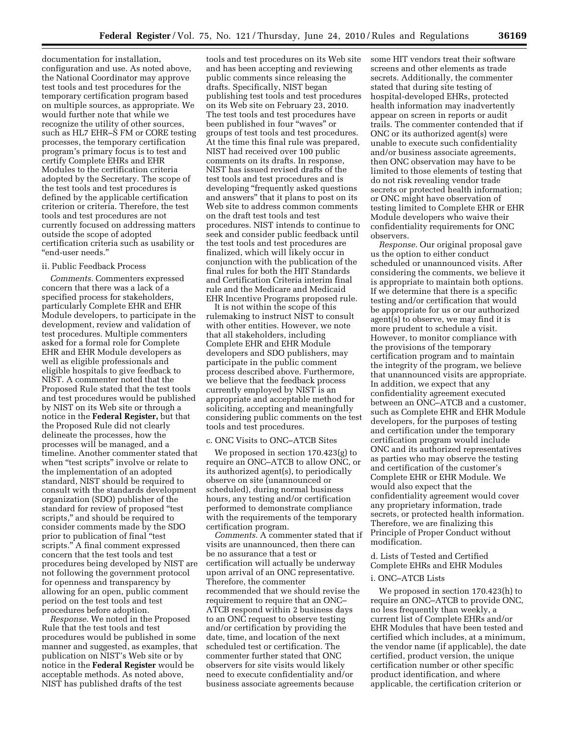documentation for installation, configuration and use. As noted above, the National Coordinator may approve test tools and test procedures for the temporary certification program based on multiple sources, as appropriate. We would further note that while we recognize the utility of other sources, such as HL7 EHR–S FM or CORE testing processes, the temporary certification program's primary focus is to test and certify Complete EHRs and EHR Modules to the certification criteria adopted by the Secretary. The scope of the test tools and test procedures is defined by the applicable certification criterion or criteria. Therefore, the test tools and test procedures are not currently focused on addressing matters outside the scope of adopted certification criteria such as usability or ''end-user needs.''

#### ii. Public Feedback Process

*Comments.* Commenters expressed concern that there was a lack of a specified process for stakeholders, particularly Complete EHR and EHR Module developers, to participate in the development, review and validation of test procedures. Multiple commenters asked for a formal role for Complete EHR and EHR Module developers as well as eligible professionals and eligible hospitals to give feedback to NIST. A commenter noted that the Proposed Rule stated that the test tools and test procedures would be published by NIST on its Web site or through a notice in the **Federal Register,** but that the Proposed Rule did not clearly delineate the processes, how the processes will be managed, and a timeline. Another commenter stated that when "test scripts" involve or relate to the implementation of an adopted standard, NIST should be required to consult with the standards development organization (SDO) publisher of the standard for review of proposed ''test scripts,'' and should be required to consider comments made by the SDO prior to publication of final ''test scripts.'' A final comment expressed concern that the test tools and test procedures being developed by NIST are not following the government protocol for openness and transparency by allowing for an open, public comment period on the test tools and test procedures before adoption.

*Response.* We noted in the Proposed Rule that the test tools and test procedures would be published in some manner and suggested, as examples, that publication on NIST's Web site or by notice in the **Federal Register** would be acceptable methods. As noted above, NIST has published drafts of the test

tools and test procedures on its Web site and has been accepting and reviewing public comments since releasing the drafts. Specifically, NIST began publishing test tools and test procedures on its Web site on February 23, 2010. The test tools and test procedures have been published in four ''waves'' or groups of test tools and test procedures. At the time this final rule was prepared, NIST had received over 100 public comments on its drafts. In response, NIST has issued revised drafts of the test tools and test procedures and is developing ''frequently asked questions and answers'' that it plans to post on its Web site to address common comments on the draft test tools and test procedures. NIST intends to continue to seek and consider public feedback until the test tools and test procedures are finalized, which will likely occur in conjunction with the publication of the final rules for both the HIT Standards and Certification Criteria interim final rule and the Medicare and Medicaid EHR Incentive Programs proposed rule.

It is not within the scope of this rulemaking to instruct NIST to consult with other entities. However, we note that all stakeholders, including Complete EHR and EHR Module developers and SDO publishers, may participate in the public comment process described above. Furthermore, we believe that the feedback process currently employed by NIST is an appropriate and acceptable method for soliciting, accepting and meaningfully considering public comments on the test tools and test procedures.

#### c. ONC Visits to ONC–ATCB Sites

We proposed in section 170.423(g) to require an ONC–ATCB to allow ONC, or its authorized agent(s), to periodically observe on site (unannounced or scheduled), during normal business hours, any testing and/or certification performed to demonstrate compliance with the requirements of the temporary certification program.

*Comments.* A commenter stated that if visits are unannounced, then there can be no assurance that a test or certification will actually be underway upon arrival of an ONC representative. Therefore, the commenter recommended that we should revise the requirement to require that an ONC– ATCB respond within 2 business days to an ONC request to observe testing and/or certification by providing the date, time, and location of the next scheduled test or certification. The commenter further stated that ONC observers for site visits would likely need to execute confidentiality and/or business associate agreements because

some HIT vendors treat their software screens and other elements as trade secrets. Additionally, the commenter stated that during site testing of hospital-developed EHRs, protected health information may inadvertently appear on screen in reports or audit trails. The commenter contended that if ONC or its authorized agent(s) were unable to execute such confidentiality and/or business associate agreements, then ONC observation may have to be limited to those elements of testing that do not risk revealing vendor trade secrets or protected health information; or ONC might have observation of testing limited to Complete EHR or EHR Module developers who waive their confidentiality requirements for ONC observers.

*Response.* Our original proposal gave us the option to either conduct scheduled or unannounced visits. After considering the comments, we believe it is appropriate to maintain both options. If we determine that there is a specific testing and/or certification that would be appropriate for us or our authorized agent(s) to observe, we may find it is more prudent to schedule a visit. However, to monitor compliance with the provisions of the temporary certification program and to maintain the integrity of the program, we believe that unannounced visits are appropriate. In addition, we expect that any confidentiality agreement executed between an ONC–ATCB and a customer, such as Complete EHR and EHR Module developers, for the purposes of testing and certification under the temporary certification program would include ONC and its authorized representatives as parties who may observe the testing and certification of the customer's Complete EHR or EHR Module. We would also expect that the confidentiality agreement would cover any proprietary information, trade secrets, or protected health information. Therefore, we are finalizing this Principle of Proper Conduct without modification.

d. Lists of Tested and Certified Complete EHRs and EHR Modules

#### i. ONC–ATCB Lists

We proposed in section 170.423(h) to require an ONC–ATCB to provide ONC, no less frequently than weekly, a current list of Complete EHRs and/or EHR Modules that have been tested and certified which includes, at a minimum, the vendor name (if applicable), the date certified, product version, the unique certification number or other specific product identification, and where applicable, the certification criterion or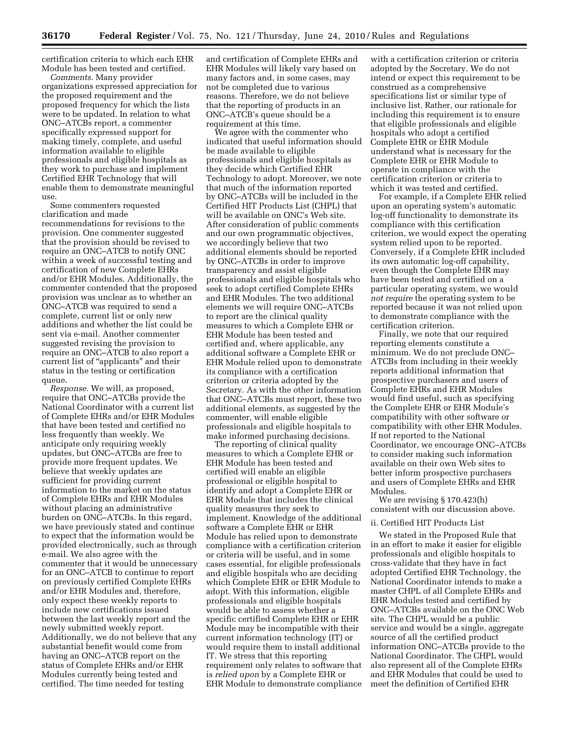certification criteria to which each EHR Module has been tested and certified.

*Comments.* Many provider organizations expressed appreciation for the proposed requirement and the proposed frequency for which the lists were to be updated. In relation to what ONC–ATCBs report, a commenter specifically expressed support for making timely, complete, and useful information available to eligible professionals and eligible hospitals as they work to purchase and implement Certified EHR Technology that will enable them to demonstrate meaningful use.

Some commenters requested clarification and made recommendations for revisions to the provision. One commenter suggested that the provision should be revised to require an ONC–ATCB to notify ONC within a week of successful testing and certification of new Complete EHRs and/or EHR Modules. Additionally, the commenter contended that the proposed provision was unclear as to whether an ONC–ATCB was required to send a complete, current list or only new additions and whether the list could be sent via e-mail. Another commenter suggested revising the provision to require an ONC–ATCB to also report a current list of ''applicants'' and their status in the testing or certification queue.

*Response.* We will, as proposed, require that ONC–ATCBs provide the National Coordinator with a current list of Complete EHRs and/or EHR Modules that have been tested and certified no less frequently than weekly. We anticipate only requiring weekly updates, but ONC–ATCBs are free to provide more frequent updates. We believe that weekly updates are sufficient for providing current information to the market on the status of Complete EHRs and EHR Modules without placing an administrative burden on ONC–ATCBs. In this regard, we have previously stated and continue to expect that the information would be provided electronically, such as through e-mail. We also agree with the commenter that it would be unnecessary for an ONC–ATCB to continue to report on previously certified Complete EHRs and/or EHR Modules and, therefore, only expect these weekly reports to include new certifications issued between the last weekly report and the newly submitted weekly report. Additionally, we do not believe that any substantial benefit would come from having an ONC–ATCB report on the status of Complete EHRs and/or EHR Modules currently being tested and certified. The time needed for testing

and certification of Complete EHRs and EHR Modules will likely vary based on many factors and, in some cases, may not be completed due to various reasons. Therefore, we do not believe that the reporting of products in an ONC–ATCB's queue should be a requirement at this time.

We agree with the commenter who indicated that useful information should be made available to eligible professionals and eligible hospitals as they decide which Certified EHR Technology to adopt. Moreover, we note that much of the information reported by ONC–ATCBs will be included in the Certified HIT Products List (CHPL) that will be available on ONC's Web site. After consideration of public comments and our own programmatic objectives, we accordingly believe that two additional elements should be reported by ONC–ATCBs in order to improve transparency and assist eligible professionals and eligible hospitals who seek to adopt certified Complete EHRs and EHR Modules. The two additional elements we will require ONC–ATCBs to report are the clinical quality measures to which a Complete EHR or EHR Module has been tested and certified and, where applicable, any additional software a Complete EHR or EHR Module relied upon to demonstrate its compliance with a certification criterion or criteria adopted by the Secretary. As with the other information that ONC–ATCBs must report, these two additional elements, as suggested by the commenter, will enable eligible professionals and eligible hospitals to make informed purchasing decisions.

The reporting of clinical quality measures to which a Complete EHR or EHR Module has been tested and certified will enable an eligible professional or eligible hospital to identify and adopt a Complete EHR or EHR Module that includes the clinical quality measures they seek to implement. Knowledge of the additional software a Complete EHR or EHR Module has relied upon to demonstrate compliance with a certification criterion or criteria will be useful, and in some cases essential, for eligible professionals and eligible hospitals who are deciding which Complete EHR or EHR Module to adopt. With this information, eligible professionals and eligible hospitals would be able to assess whether a specific certified Complete EHR or EHR Module may be incompatible with their current information technology (IT) or would require them to install additional IT. We stress that this reporting requirement only relates to software that is *relied upon* by a Complete EHR or EHR Module to demonstrate compliance

with a certification criterion or criteria adopted by the Secretary. We do not intend or expect this requirement to be construed as a comprehensive specifications list or similar type of inclusive list. Rather, our rationale for including this requirement is to ensure that eligible professionals and eligible hospitals who adopt a certified Complete EHR or EHR Module understand what is necessary for the Complete EHR or EHR Module to operate in compliance with the certification criterion or criteria to which it was tested and certified.

For example, if a Complete EHR relied upon an operating system's automatic log-off functionality to demonstrate its compliance with this certification criterion, we would expect the operating system relied upon to be reported. Conversely, if a Complete EHR included its own automatic log-off capability, even though the Complete EHR may have been tested and certified on a particular operating system, we would *not require* the operating system to be reported because it was not relied upon to demonstrate compliance with the certification criterion.

Finally, we note that our required reporting elements constitute a minimum. We do not preclude ONC– ATCBs from including in their weekly reports additional information that prospective purchasers and users of Complete EHRs and EHR Modules would find useful, such as specifying the Complete EHR or EHR Module's compatibility with other software or compatibility with other EHR Modules. If not reported to the National Coordinator, we encourage ONC–ATCBs to consider making such information available on their own Web sites to better inform prospective purchasers and users of Complete EHRs and EHR Modules.

We are revising § 170.423(h) consistent with our discussion above.

#### ii. Certified HIT Products List

We stated in the Proposed Rule that in an effort to make it easier for eligible professionals and eligible hospitals to cross-validate that they have in fact adopted Certified EHR Technology, the National Coordinator intends to make a master CHPL of all Complete EHRs and EHR Modules tested and certified by ONC–ATCBs available on the ONC Web site. The CHPL would be a public service and would be a single, aggregate source of all the certified product information ONC–ATCBs provide to the National Coordinator. The CHPL would also represent all of the Complete EHRs and EHR Modules that could be used to meet the definition of Certified EHR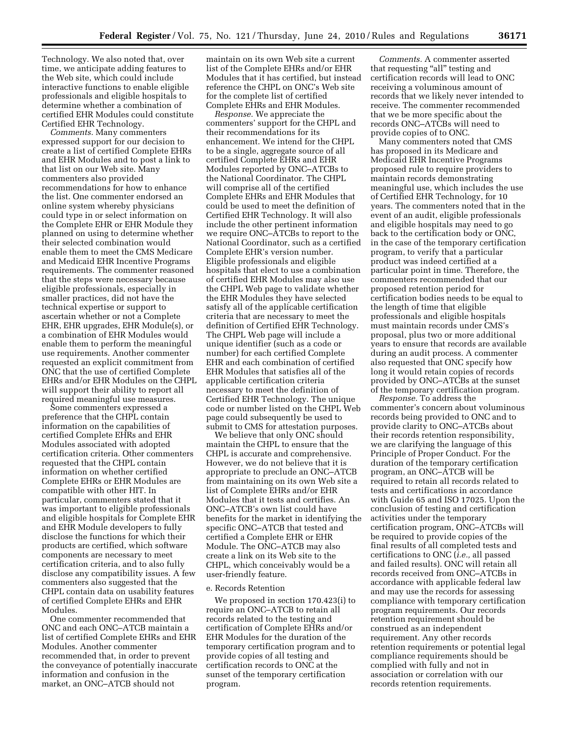Technology. We also noted that, over time, we anticipate adding features to the Web site, which could include interactive functions to enable eligible professionals and eligible hospitals to determine whether a combination of certified EHR Modules could constitute Certified EHR Technology.

*Comments.* Many commenters expressed support for our decision to create a list of certified Complete EHRs and EHR Modules and to post a link to that list on our Web site. Many commenters also provided recommendations for how to enhance the list. One commenter endorsed an online system whereby physicians could type in or select information on the Complete EHR or EHR Module they planned on using to determine whether their selected combination would enable them to meet the CMS Medicare and Medicaid EHR Incentive Programs requirements. The commenter reasoned that the steps were necessary because eligible professionals, especially in smaller practices, did not have the technical expertise or support to ascertain whether or not a Complete EHR, EHR upgrades, EHR Module(s), or a combination of EHR Modules would enable them to perform the meaningful use requirements. Another commenter requested an explicit commitment from ONC that the use of certified Complete EHRs and/or EHR Modules on the CHPL will support their ability to report all required meaningful use measures.

Some commenters expressed a preference that the CHPL contain information on the capabilities of certified Complete EHRs and EHR Modules associated with adopted certification criteria. Other commenters requested that the CHPL contain information on whether certified Complete EHRs or EHR Modules are compatible with other HIT. In particular, commenters stated that it was important to eligible professionals and eligible hospitals for Complete EHR and EHR Module developers to fully disclose the functions for which their products are certified, which software components are necessary to meet certification criteria, and to also fully disclose any compatibility issues. A few commenters also suggested that the CHPL contain data on usability features of certified Complete EHRs and EHR Modules.

One commenter recommended that ONC and each ONC–ATCB maintain a list of certified Complete EHRs and EHR Modules. Another commenter recommended that, in order to prevent the conveyance of potentially inaccurate information and confusion in the market, an ONC–ATCB should not

maintain on its own Web site a current list of the Complete EHRs and/or EHR Modules that it has certified, but instead reference the CHPL on ONC's Web site for the complete list of certified Complete EHRs and EHR Modules.

*Response.* We appreciate the commenters' support for the CHPL and their recommendations for its enhancement. We intend for the CHPL to be a single, aggregate source of all certified Complete EHRs and EHR Modules reported by ONC–ATCBs to the National Coordinator. The CHPL will comprise all of the certified Complete EHRs and EHR Modules that could be used to meet the definition of Certified EHR Technology. It will also include the other pertinent information we require ONC–ATCBs to report to the National Coordinator, such as a certified Complete EHR's version number. Eligible professionals and eligible hospitals that elect to use a combination of certified EHR Modules may also use the CHPL Web page to validate whether the EHR Modules they have selected satisfy all of the applicable certification criteria that are necessary to meet the definition of Certified EHR Technology. The CHPL Web page will include a unique identifier (such as a code or number) for each certified Complete EHR and each combination of certified EHR Modules that satisfies all of the applicable certification criteria necessary to meet the definition of Certified EHR Technology. The unique code or number listed on the CHPL Web page could subsequently be used to submit to CMS for attestation purposes.

We believe that only ONC should maintain the CHPL to ensure that the CHPL is accurate and comprehensive. However, we do not believe that it is appropriate to preclude an ONC–ATCB from maintaining on its own Web site a list of Complete EHRs and/or EHR Modules that it tests and certifies. An ONC–ATCB's own list could have benefits for the market in identifying the specific ONC–ATCB that tested and certified a Complete EHR or EHR Module. The ONC–ATCB may also create a link on its Web site to the CHPL, which conceivably would be a user-friendly feature.

#### e. Records Retention

We proposed in section 170.423(i) to require an ONC–ATCB to retain all records related to the testing and certification of Complete EHRs and/or EHR Modules for the duration of the temporary certification program and to provide copies of all testing and certification records to ONC at the sunset of the temporary certification program.

*Comments.* A commenter asserted that requesting "all" testing and certification records will lead to ONC receiving a voluminous amount of records that we likely never intended to receive. The commenter recommended that we be more specific about the records ONC–ATCBs will need to provide copies of to ONC.

Many commenters noted that CMS has proposed in its Medicare and Medicaid EHR Incentive Programs proposed rule to require providers to maintain records demonstrating meaningful use, which includes the use of Certified EHR Technology, for 10 years. The commenters noted that in the event of an audit, eligible professionals and eligible hospitals may need to go back to the certification body or ONC, in the case of the temporary certification program, to verify that a particular product was indeed certified at a particular point in time. Therefore, the commenters recommended that our proposed retention period for certification bodies needs to be equal to the length of time that eligible professionals and eligible hospitals must maintain records under CMS's proposal, plus two or more additional years to ensure that records are available during an audit process. A commenter also requested that ONC specify how long it would retain copies of records provided by ONC–ATCBs at the sunset of the temporary certification program.

*Response.* To address the commenter's concern about voluminous records being provided to ONC and to provide clarity to ONC–ATCBs about their records retention responsibility, we are clarifying the language of this Principle of Proper Conduct. For the duration of the temporary certification program, an ONC–ATCB will be required to retain all records related to tests and certifications in accordance with Guide 65 and ISO 17025. Upon the conclusion of testing and certification activities under the temporary certification program, ONC–ATCBs will be required to provide copies of the final results of all completed tests and certifications to ONC (*i.e.,* all passed and failed results). ONC will retain all records received from ONC–ATCBs in accordance with applicable federal law and may use the records for assessing compliance with temporary certification program requirements. Our records retention requirement should be construed as an independent requirement. Any other records retention requirements or potential legal compliance requirements should be complied with fully and not in association or correlation with our records retention requirements.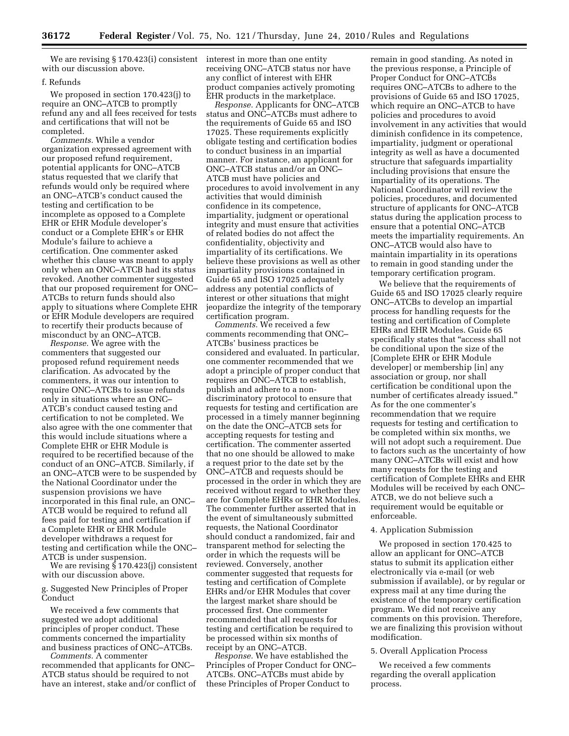We are revising § 170.423(i) consistent interest in more than one entity with our discussion above.

#### f. Refunds

We proposed in section 170.423(j) to require an ONC–ATCB to promptly refund any and all fees received for tests and certifications that will not be completed.

*Comments.* While a vendor organization expressed agreement with our proposed refund requirement, potential applicants for ONC–ATCB status requested that we clarify that refunds would only be required where an ONC–ATCB's conduct caused the testing and certification to be incomplete as opposed to a Complete EHR or EHR Module developer's conduct or a Complete EHR's or EHR Module's failure to achieve a certification. One commenter asked whether this clause was meant to apply only when an ONC–ATCB had its status revoked. Another commenter suggested that our proposed requirement for ONC– ATCBs to return funds should also apply to situations where Complete EHR or EHR Module developers are required to recertify their products because of misconduct by an ONC–ATCB.

*Response.* We agree with the commenters that suggested our proposed refund requirement needs clarification. As advocated by the commenters, it was our intention to require ONC–ATCBs to issue refunds only in situations where an ONC– ATCB's conduct caused testing and certification to not be completed. We also agree with the one commenter that this would include situations where a Complete EHR or EHR Module is required to be recertified because of the conduct of an ONC–ATCB. Similarly, if an ONC–ATCB were to be suspended by the National Coordinator under the suspension provisions we have incorporated in this final rule, an ONC– ATCB would be required to refund all fees paid for testing and certification if a Complete EHR or EHR Module developer withdraws a request for testing and certification while the ONC– ATCB is under suspension.

We are revising § 170.423(j) consistent with our discussion above.

g. Suggested New Principles of Proper Conduct

We received a few comments that suggested we adopt additional principles of proper conduct. These comments concerned the impartiality and business practices of ONC–ATCBs.

*Comments.* A commenter recommended that applicants for ONC– ATCB status should be required to not have an interest, stake and/or conflict of receiving ONC–ATCB status nor have any conflict of interest with EHR product companies actively promoting EHR products in the marketplace.

*Response.* Applicants for ONC–ATCB status and ONC–ATCBs must adhere to the requirements of Guide 65 and ISO 17025. These requirements explicitly obligate testing and certification bodies to conduct business in an impartial manner. For instance, an applicant for ONC–ATCB status and/or an ONC– ATCB must have policies and procedures to avoid involvement in any activities that would diminish confidence in its competence, impartiality, judgment or operational integrity and must ensure that activities of related bodies do not affect the confidentiality, objectivity and impartiality of its certifications. We believe these provisions as well as other impartiality provisions contained in Guide 65 and ISO 17025 adequately address any potential conflicts of interest or other situations that might jeopardize the integrity of the temporary certification program.

*Comments.* We received a few comments recommending that ONC– ATCBs' business practices be considered and evaluated. In particular, one commenter recommended that we adopt a principle of proper conduct that requires an ONC–ATCB to establish, publish and adhere to a nondiscriminatory protocol to ensure that requests for testing and certification are processed in a timely manner beginning on the date the ONC–ATCB sets for accepting requests for testing and certification. The commenter asserted that no one should be allowed to make a request prior to the date set by the ONC–ATCB and requests should be processed in the order in which they are received without regard to whether they are for Complete EHRs or EHR Modules. The commenter further asserted that in the event of simultaneously submitted requests, the National Coordinator should conduct a randomized, fair and transparent method for selecting the order in which the requests will be reviewed. Conversely, another commenter suggested that requests for testing and certification of Complete EHRs and/or EHR Modules that cover the largest market share should be processed first. One commenter recommended that all requests for testing and certification be required to be processed within six months of receipt by an ONC–ATCB.

*Response.* We have established the Principles of Proper Conduct for ONC– ATCBs. ONC–ATCBs must abide by these Principles of Proper Conduct to

remain in good standing. As noted in the previous response, a Principle of Proper Conduct for ONC–ATCBs requires ONC–ATCBs to adhere to the provisions of Guide 65 and ISO 17025, which require an ONC–ATCB to have policies and procedures to avoid involvement in any activities that would diminish confidence in its competence, impartiality, judgment or operational integrity as well as have a documented structure that safeguards impartiality including provisions that ensure the impartiality of its operations. The National Coordinator will review the policies, procedures, and documented structure of applicants for ONC–ATCB status during the application process to ensure that a potential ONC–ATCB meets the impartiality requirements. An ONC–ATCB would also have to maintain impartiality in its operations to remain in good standing under the temporary certification program.

We believe that the requirements of Guide 65 and ISO 17025 clearly require ONC–ATCBs to develop an impartial process for handling requests for the testing and certification of Complete EHRs and EHR Modules. Guide 65 specifically states that ''access shall not be conditional upon the size of the [Complete EHR or EHR Module developer] or membership [in] any association or group, nor shall certification be conditional upon the number of certificates already issued.'' As for the one commenter's recommendation that we require requests for testing and certification to be completed within six months, we will not adopt such a requirement. Due to factors such as the uncertainty of how many ONC–ATCBs will exist and how many requests for the testing and certification of Complete EHRs and EHR Modules will be received by each ONC– ATCB, we do not believe such a requirement would be equitable or enforceable.

#### 4. Application Submission

We proposed in section 170.425 to allow an applicant for ONC–ATCB status to submit its application either electronically via e-mail (or web submission if available), or by regular or express mail at any time during the existence of the temporary certification program. We did not receive any comments on this provision. Therefore, we are finalizing this provision without modification.

#### 5. Overall Application Process

We received a few comments regarding the overall application process.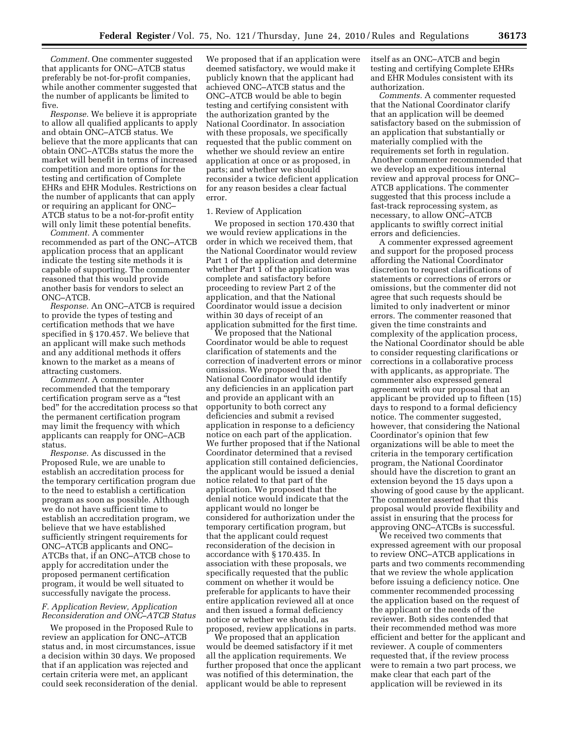*Comment.* One commenter suggested that applicants for ONC–ATCB status preferably be not-for-profit companies, while another commenter suggested that the number of applicants be limited to five.

*Response.* We believe it is appropriate to allow all qualified applicants to apply and obtain ONC–ATCB status. We believe that the more applicants that can obtain ONC–ATCBs status the more the market will benefit in terms of increased competition and more options for the testing and certification of Complete EHRs and EHR Modules. Restrictions on the number of applicants that can apply or requiring an applicant for ONC– ATCB status to be a not-for-profit entity will only limit these potential benefits.

*Comment.* A commenter recommended as part of the ONC–ATCB application process that an applicant indicate the testing site methods it is capable of supporting. The commenter reasoned that this would provide another basis for vendors to select an ONC–ATCB.

*Response.* An ONC–ATCB is required to provide the types of testing and certification methods that we have specified in § 170.457. We believe that an applicant will make such methods and any additional methods it offers known to the market as a means of attracting customers.

*Comment.* A commenter recommended that the temporary certification program serve as a ''test bed'' for the accreditation process so that the permanent certification program may limit the frequency with which applicants can reapply for ONC–ACB status.

*Response.* As discussed in the Proposed Rule, we are unable to establish an accreditation process for the temporary certification program due to the need to establish a certification program as soon as possible. Although we do not have sufficient time to establish an accreditation program, we believe that we have established sufficiently stringent requirements for ONC–ATCB applicants and ONC– ATCBs that, if an ONC–ATCB chose to apply for accreditation under the proposed permanent certification program, it would be well situated to successfully navigate the process.

## *F. Application Review, Application Reconsideration and ONC–ATCB Status*

We proposed in the Proposed Rule to review an application for ONC–ATCB status and, in most circumstances, issue a decision within 30 days. We proposed that if an application was rejected and certain criteria were met, an applicant could seek reconsideration of the denial.

We proposed that if an application were deemed satisfactory, we would make it publicly known that the applicant had achieved ONC–ATCB status and the ONC–ATCB would be able to begin testing and certifying consistent with the authorization granted by the National Coordinator. In association with these proposals, we specifically requested that the public comment on whether we should review an entire application at once or as proposed, in parts; and whether we should reconsider a twice deficient application for any reason besides a clear factual error.

#### 1. Review of Application

We proposed in section 170.430 that we would review applications in the order in which we received them, that the National Coordinator would review Part 1 of the application and determine whether Part 1 of the application was complete and satisfactory before proceeding to review Part 2 of the application, and that the National Coordinator would issue a decision within 30 days of receipt of an application submitted for the first time.

We proposed that the National Coordinator would be able to request clarification of statements and the correction of inadvertent errors or minor omissions. We proposed that the National Coordinator would identify any deficiencies in an application part and provide an applicant with an opportunity to both correct any deficiencies and submit a revised application in response to a deficiency notice on each part of the application. We further proposed that if the National Coordinator determined that a revised application still contained deficiencies, the applicant would be issued a denial notice related to that part of the application. We proposed that the denial notice would indicate that the applicant would no longer be considered for authorization under the temporary certification program, but that the applicant could request reconsideration of the decision in accordance with § 170.435. In association with these proposals, we specifically requested that the public comment on whether it would be preferable for applicants to have their entire application reviewed all at once and then issued a formal deficiency notice or whether we should, as proposed, review applications in parts.

We proposed that an application would be deemed satisfactory if it met all the application requirements. We further proposed that once the applicant was notified of this determination, the applicant would be able to represent

itself as an ONC–ATCB and begin testing and certifying Complete EHRs and EHR Modules consistent with its authorization.

*Comments.* A commenter requested that the National Coordinator clarify that an application will be deemed satisfactory based on the submission of an application that substantially or materially complied with the requirements set forth in regulation. Another commenter recommended that we develop an expeditious internal review and approval process for ONC– ATCB applications. The commenter suggested that this process include a fast-track reprocessing system, as necessary, to allow ONC–ATCB applicants to swiftly correct initial errors and deficiencies.

A commenter expressed agreement and support for the proposed process affording the National Coordinator discretion to request clarifications of statements or corrections of errors or omissions, but the commenter did not agree that such requests should be limited to only inadvertent or minor errors. The commenter reasoned that given the time constraints and complexity of the application process, the National Coordinator should be able to consider requesting clarifications or corrections in a collaborative process with applicants, as appropriate. The commenter also expressed general agreement with our proposal that an applicant be provided up to fifteen (15) days to respond to a formal deficiency notice. The commenter suggested, however, that considering the National Coordinator's opinion that few organizations will be able to meet the criteria in the temporary certification program, the National Coordinator should have the discretion to grant an extension beyond the 15 days upon a showing of good cause by the applicant. The commenter asserted that this proposal would provide flexibility and assist in ensuring that the process for approving ONC–ATCBs is successful.

We received two comments that expressed agreement with our proposal to review ONC–ATCB applications in parts and two comments recommending that we review the whole application before issuing a deficiency notice. One commenter recommended processing the application based on the request of the applicant or the needs of the reviewer. Both sides contended that their recommended method was more efficient and better for the applicant and reviewer. A couple of commenters requested that, if the review process were to remain a two part process, we make clear that each part of the application will be reviewed in its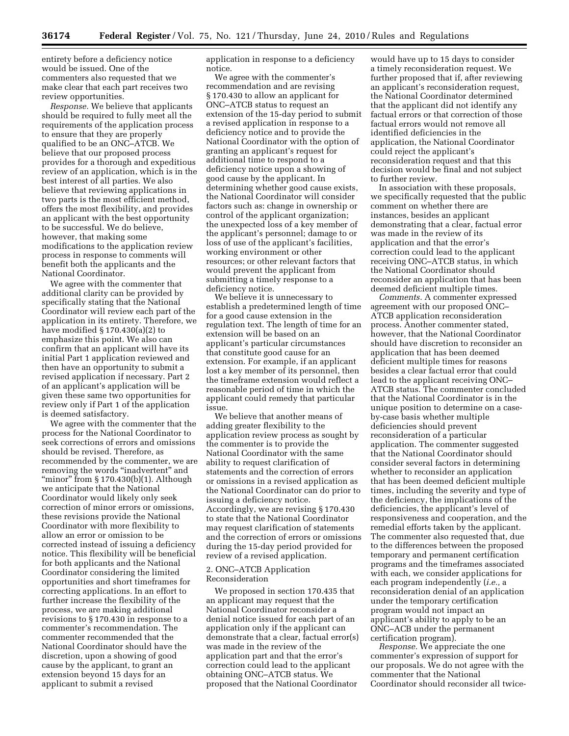entirety before a deficiency notice would be issued. One of the commenters also requested that we make clear that each part receives two review opportunities.

*Response.* We believe that applicants should be required to fully meet all the requirements of the application process to ensure that they are properly qualified to be an ONC–ATCB. We believe that our proposed process provides for a thorough and expeditious review of an application, which is in the best interest of all parties. We also believe that reviewing applications in two parts is the most efficient method, offers the most flexibility, and provides an applicant with the best opportunity to be successful. We do believe, however, that making some modifications to the application review process in response to comments will benefit both the applicants and the National Coordinator.

We agree with the commenter that additional clarity can be provided by specifically stating that the National Coordinator will review each part of the application in its entirety. Therefore, we have modified § 170.430(a)(2) to emphasize this point. We also can confirm that an applicant will have its initial Part 1 application reviewed and then have an opportunity to submit a revised application if necessary. Part 2 of an applicant's application will be given these same two opportunities for review only if Part 1 of the application is deemed satisfactory.

We agree with the commenter that the process for the National Coordinator to seek corrections of errors and omissions should be revised. Therefore, as recommended by the commenter, we are removing the words "inadvertent" and "minor" from § 170.430(b)(1). Although we anticipate that the National Coordinator would likely only seek correction of minor errors or omissions, these revisions provide the National Coordinator with more flexibility to allow an error or omission to be corrected instead of issuing a deficiency notice. This flexibility will be beneficial for both applicants and the National Coordinator considering the limited opportunities and short timeframes for correcting applications. In an effort to further increase the flexibility of the process, we are making additional revisions to § 170.430 in response to a commenter's recommendation. The commenter recommended that the National Coordinator should have the discretion, upon a showing of good cause by the applicant, to grant an extension beyond 15 days for an applicant to submit a revised

application in response to a deficiency notice.

We agree with the commenter's recommendation and are revising § 170.430 to allow an applicant for ONC–ATCB status to request an extension of the 15-day period to submit a revised application in response to a deficiency notice and to provide the National Coordinator with the option of granting an applicant's request for additional time to respond to a deficiency notice upon a showing of good cause by the applicant. In determining whether good cause exists, the National Coordinator will consider factors such as: change in ownership or control of the applicant organization; the unexpected loss of a key member of the applicant's personnel; damage to or loss of use of the applicant's facilities, working environment or other resources; or other relevant factors that would prevent the applicant from submitting a timely response to a deficiency notice.

We believe it is unnecessary to establish a predetermined length of time for a good cause extension in the regulation text. The length of time for an extension will be based on an applicant's particular circumstances that constitute good cause for an extension. For example, if an applicant lost a key member of its personnel, then the timeframe extension would reflect a reasonable period of time in which the applicant could remedy that particular issue.

We believe that another means of adding greater flexibility to the application review process as sought by the commenter is to provide the National Coordinator with the same ability to request clarification of statements and the correction of errors or omissions in a revised application as the National Coordinator can do prior to issuing a deficiency notice. Accordingly, we are revising § 170.430 to state that the National Coordinator may request clarification of statements and the correction of errors or omissions during the 15-day period provided for review of a revised application.

## 2. ONC–ATCB Application Reconsideration

We proposed in section 170.435 that an applicant may request that the National Coordinator reconsider a denial notice issued for each part of an application only if the applicant can demonstrate that a clear, factual error(s) was made in the review of the application part and that the error's correction could lead to the applicant obtaining ONC–ATCB status. We proposed that the National Coordinator

would have up to 15 days to consider a timely reconsideration request. We further proposed that if, after reviewing an applicant's reconsideration request, the National Coordinator determined that the applicant did not identify any factual errors or that correction of those factual errors would not remove all identified deficiencies in the application, the National Coordinator could reject the applicant's reconsideration request and that this decision would be final and not subject to further review.

In association with these proposals, we specifically requested that the public comment on whether there are instances, besides an applicant demonstrating that a clear, factual error was made in the review of its application and that the error's correction could lead to the applicant receiving ONC–ATCB status, in which the National Coordinator should reconsider an application that has been deemed deficient multiple times.

*Comments.* A commenter expressed agreement with our proposed ONC– ATCB application reconsideration process. Another commenter stated, however, that the National Coordinator should have discretion to reconsider an application that has been deemed deficient multiple times for reasons besides a clear factual error that could lead to the applicant receiving ONC– ATCB status. The commenter concluded that the National Coordinator is in the unique position to determine on a caseby-case basis whether multiple deficiencies should prevent reconsideration of a particular application. The commenter suggested that the National Coordinator should consider several factors in determining whether to reconsider an application that has been deemed deficient multiple times, including the severity and type of the deficiency, the implications of the deficiencies, the applicant's level of responsiveness and cooperation, and the remedial efforts taken by the applicant. The commenter also requested that, due to the differences between the proposed temporary and permanent certification programs and the timeframes associated with each, we consider applications for each program independently (*i.e.,* a reconsideration denial of an application under the temporary certification program would not impact an applicant's ability to apply to be an ONC–ACB under the permanent certification program).

*Response.* We appreciate the one commenter's expression of support for our proposals. We do not agree with the commenter that the National Coordinator should reconsider all twice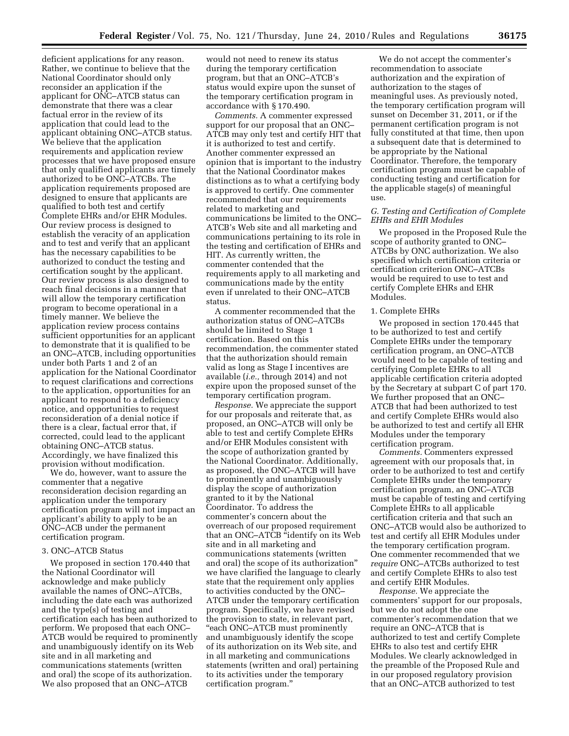deficient applications for any reason. Rather, we continue to believe that the National Coordinator should only reconsider an application if the applicant for ONC–ATCB status can demonstrate that there was a clear factual error in the review of its application that could lead to the applicant obtaining ONC–ATCB status. We believe that the application requirements and application review processes that we have proposed ensure that only qualified applicants are timely authorized to be ONC–ATCBs. The application requirements proposed are designed to ensure that applicants are qualified to both test and certify Complete EHRs and/or EHR Modules. Our review process is designed to establish the veracity of an application and to test and verify that an applicant has the necessary capabilities to be authorized to conduct the testing and certification sought by the applicant. Our review process is also designed to reach final decisions in a manner that will allow the temporary certification program to become operational in a timely manner. We believe the application review process contains sufficient opportunities for an applicant to demonstrate that it is qualified to be an ONC–ATCB, including opportunities under both Parts 1 and 2 of an application for the National Coordinator to request clarifications and corrections to the application, opportunities for an applicant to respond to a deficiency notice, and opportunities to request reconsideration of a denial notice if there is a clear, factual error that, if corrected, could lead to the applicant obtaining ONC–ATCB status. Accordingly, we have finalized this provision without modification.

We do, however, want to assure the commenter that a negative reconsideration decision regarding an application under the temporary certification program will not impact an applicant's ability to apply to be an ONC–ACB under the permanent certification program.

#### 3. ONC–ATCB Status

We proposed in section 170.440 that the National Coordinator will acknowledge and make publicly available the names of ONC–ATCBs, including the date each was authorized and the type(s) of testing and certification each has been authorized to perform. We proposed that each ONC– ATCB would be required to prominently and unambiguously identify on its Web site and in all marketing and communications statements (written and oral) the scope of its authorization. We also proposed that an ONC–ATCB

would not need to renew its status during the temporary certification program, but that an ONC–ATCB's status would expire upon the sunset of the temporary certification program in accordance with § 170.490.

*Comments.* A commenter expressed support for our proposal that an ONC– ATCB may only test and certify HIT that it is authorized to test and certify. Another commenter expressed an opinion that is important to the industry that the National Coordinator makes distinctions as to what a certifying body is approved to certify. One commenter recommended that our requirements related to marketing and communications be limited to the ONC– ATCB's Web site and all marketing and communications pertaining to its role in the testing and certification of EHRs and HIT. As currently written, the commenter contended that the requirements apply to all marketing and communications made by the entity even if unrelated to their ONC–ATCB status.

A commenter recommended that the authorization status of ONC–ATCBs should be limited to Stage 1 certification. Based on this recommendation, the commenter stated that the authorization should remain valid as long as Stage I incentives are available (*i.e.,* through 2014) and not expire upon the proposed sunset of the temporary certification program.

*Response.* We appreciate the support for our proposals and reiterate that, as proposed, an ONC–ATCB will only be able to test and certify Complete EHRs and/or EHR Modules consistent with the scope of authorization granted by the National Coordinator. Additionally, as proposed, the ONC–ATCB will have to prominently and unambiguously display the scope of authorization granted to it by the National Coordinator. To address the commenter's concern about the overreach of our proposed requirement that an ONC–ATCB "identify on its Web site and in all marketing and communications statements (written and oral) the scope of its authorization'' we have clarified the language to clearly state that the requirement only applies to activities conducted by the ONC– ATCB under the temporary certification program. Specifically, we have revised the provision to state, in relevant part, ''each ONC–ATCB must prominently and unambiguously identify the scope of its authorization on its Web site, and in all marketing and communications statements (written and oral) pertaining to its activities under the temporary certification program.''

We do not accept the commenter's recommendation to associate authorization and the expiration of authorization to the stages of meaningful uses. As previously noted, the temporary certification program will sunset on December 31, 2011, or if the permanent certification program is not fully constituted at that time, then upon a subsequent date that is determined to be appropriate by the National Coordinator. Therefore, the temporary certification program must be capable of conducting testing and certification for the applicable stage(s) of meaningful use.

#### *G. Testing and Certification of Complete EHRs and EHR Modules*

We proposed in the Proposed Rule the scope of authority granted to ONC– ATCBs by ONC authorization. We also specified which certification criteria or certification criterion ONC–ATCBs would be required to use to test and certify Complete EHRs and EHR Modules.

#### 1. Complete EHRs

We proposed in section 170.445 that to be authorized to test and certify Complete EHRs under the temporary certification program, an ONC–ATCB would need to be capable of testing and certifying Complete EHRs to all applicable certification criteria adopted by the Secretary at subpart C of part 170. We further proposed that an ONC– ATCB that had been authorized to test and certify Complete EHRs would also be authorized to test and certify all EHR Modules under the temporary certification program.

*Comments.* Commenters expressed agreement with our proposals that, in order to be authorized to test and certify Complete EHRs under the temporary certification program, an ONC–ATCB must be capable of testing and certifying Complete EHRs to all applicable certification criteria and that such an ONC–ATCB would also be authorized to test and certify all EHR Modules under the temporary certification program. One commenter recommended that we *require* ONC–ATCBs authorized to test and certify Complete EHRs to also test and certify EHR Modules.

*Response.* We appreciate the commenters' support for our proposals, but we do not adopt the one commenter's recommendation that we require an ONC–ATCB that is authorized to test and certify Complete EHRs to also test and certify EHR Modules. We clearly acknowledged in the preamble of the Proposed Rule and in our proposed regulatory provision that an ONC–ATCB authorized to test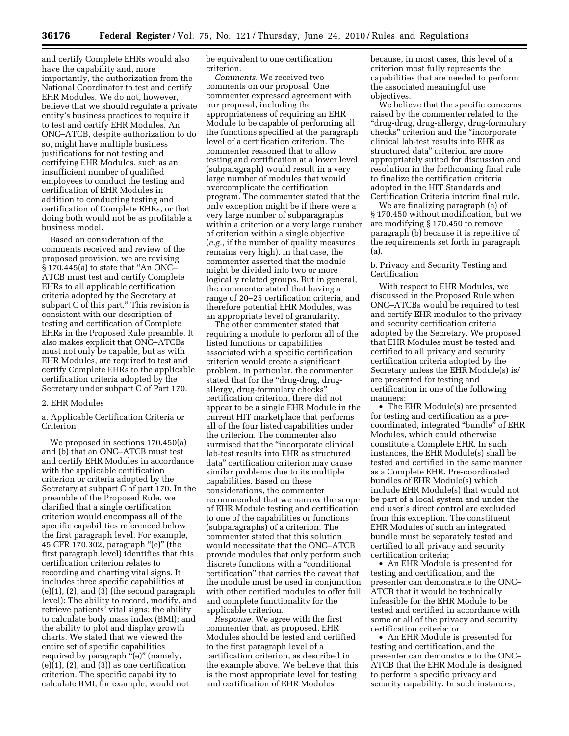and certify Complete EHRs would also have the capability and, more importantly, the authorization from the National Coordinator to test and certify EHR Modules. We do not, however, believe that we should regulate a private entity's business practices to require it to test and certify EHR Modules. An ONC–ATCB, despite authorization to do so, might have multiple business justifications for not testing and certifying EHR Modules, such as an insufficient number of qualified employees to conduct the testing and certification of EHR Modules in addition to conducting testing and certification of Complete EHRs, or that doing both would not be as profitable a business model.

Based on consideration of the comments received and review of the proposed provision, we are revising § 170.445(a) to state that ''An ONC– ATCB must test and certify Complete EHRs to all applicable certification criteria adopted by the Secretary at subpart C of this part.'' This revision is consistent with our description of testing and certification of Complete EHRs in the Proposed Rule preamble. It also makes explicit that ONC–ATCBs must not only be capable, but as with EHR Modules, are required to test and certify Complete EHRs to the applicable certification criteria adopted by the Secretary under subpart C of Part 170.

#### 2. EHR Modules

a. Applicable Certification Criteria or Criterion

We proposed in sections 170.450(a) and (b) that an ONC–ATCB must test and certify EHR Modules in accordance with the applicable certification criterion or criteria adopted by the Secretary at subpart C of part 170. In the preamble of the Proposed Rule, we clarified that a single certification criterion would encompass all of the specific capabilities referenced below the first paragraph level. For example, 45 CFR 170.302, paragraph ''(e)'' (the first paragraph level) identifies that this certification criterion relates to recording and charting vital signs. It includes three specific capabilities at  $(e)(1)$ ,  $(2)$ , and  $(3)$  (the second paragraph level): The ability to record, modify, and retrieve patients' vital signs; the ability to calculate body mass index (BMI); and the ability to plot and display growth charts. We stated that we viewed the entire set of specific capabilities required by paragraph "(e)" (namely,  $(e)(1)$ ,  $(2)$ , and  $(3)$ ) as one certification criterion. The specific capability to calculate BMI, for example, would not

be equivalent to one certification criterion.

*Comments.* We received two comments on our proposal. One commenter expressed agreement with our proposal, including the appropriateness of requiring an EHR Module to be capable of performing all the functions specified at the paragraph level of a certification criterion. The commenter reasoned that to allow testing and certification at a lower level (subparagraph) would result in a very large number of modules that would overcomplicate the certification program. The commenter stated that the only exception might be if there were a very large number of subparagraphs within a criterion or a very large number of criterion within a single objective (*e.g.,* if the number of quality measures remains very high). In that case, the commenter asserted that the module might be divided into two or more logically related groups. But in general, the commenter stated that having a range of 20–25 certification criteria, and therefore potential EHR Modules, was an appropriate level of granularity.

The other commenter stated that requiring a module to perform all of the listed functions or capabilities associated with a specific certification criterion would create a significant problem. In particular, the commenter stated that for the "drug-drug, drugallergy, drug-formulary checks'' certification criterion, there did not appear to be a single EHR Module in the current HIT marketplace that performs all of the four listed capabilities under the criterion. The commenter also surmised that the ''incorporate clinical lab-test results into EHR as structured data'' certification criterion may cause similar problems due to its multiple capabilities. Based on these considerations, the commenter recommended that we narrow the scope of EHR Module testing and certification to one of the capabilities or functions (subparagraphs) of a criterion. The commenter stated that this solution would necessitate that the ONC–ATCB provide modules that only perform such discrete functions with a ''conditional certification'' that carries the caveat that the module must be used in conjunction with other certified modules to offer full and complete functionality for the applicable criterion.

*Response.* We agree with the first commenter that, as proposed, EHR Modules should be tested and certified to the first paragraph level of a certification criterion, as described in the example above. We believe that this is the most appropriate level for testing and certification of EHR Modules

because, in most cases, this level of a criterion most fully represents the capabilities that are needed to perform the associated meaningful use objectives.

We believe that the specific concerns raised by the commenter related to the ''drug-drug, drug-allergy, drug-formulary checks'' criterion and the ''incorporate clinical lab-test results into EHR as structured data'' criterion are more appropriately suited for discussion and resolution in the forthcoming final rule to finalize the certification criteria adopted in the HIT Standards and Certification Criteria interim final rule.

We are finalizing paragraph (a) of § 170.450 without modification, but we are modifying § 170.450 to remove paragraph (b) because it is repetitive of the requirements set forth in paragraph (a).

b. Privacy and Security Testing and Certification

With respect to EHR Modules, we discussed in the Proposed Rule when ONC–ATCBs would be required to test and certify EHR modules to the privacy and security certification criteria adopted by the Secretary. We proposed that EHR Modules must be tested and certified to all privacy and security certification criteria adopted by the Secretary unless the EHR Module(s) is/ are presented for testing and certification in one of the following manners:

• The EHR Module(s) are presented for testing and certification as a precoordinated, integrated ''bundle'' of EHR Modules, which could otherwise constitute a Complete EHR. In such instances, the EHR Module(s) shall be tested and certified in the same manner as a Complete EHR. Pre-coordinated bundles of EHR Module(s) which include EHR Module(s) that would not be part of a local system and under the end user's direct control are excluded from this exception. The constituent EHR Modules of such an integrated bundle must be separately tested and certified to all privacy and security certification criteria;

• An EHR Module is presented for testing and certification, and the presenter can demonstrate to the ONC– ATCB that it would be technically infeasible for the EHR Module to be tested and certified in accordance with some or all of the privacy and security certification criteria; or

• An EHR Module is presented for testing and certification, and the presenter can demonstrate to the ONC– ATCB that the EHR Module is designed to perform a specific privacy and security capability. In such instances,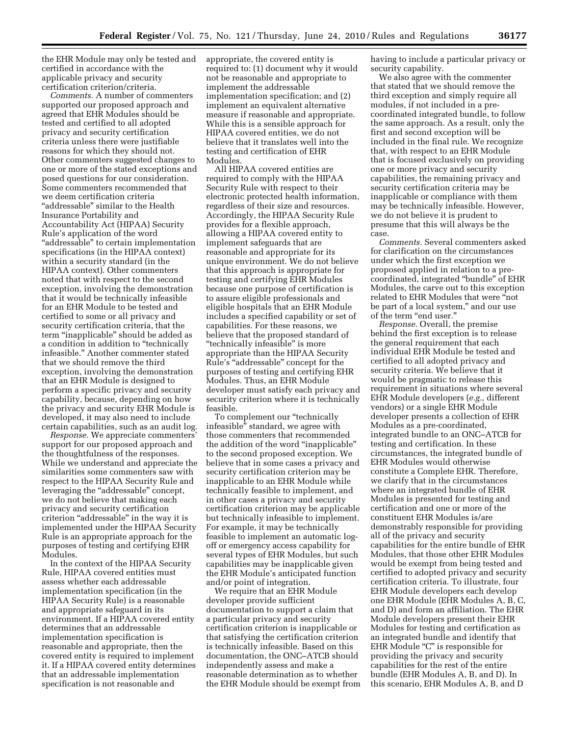the EHR Module may only be tested and certified in accordance with the applicable privacy and security certification criterion/criteria.

*Comments.* A number of commenters supported our proposed approach and agreed that EHR Modules should be tested and certified to all adopted privacy and security certification criteria unless there were justifiable reasons for which they should not. Other commenters suggested changes to one or more of the stated exceptions and posed questions for our consideration. Some commenters recommended that we deem certification criteria "addressable" similar to the Health Insurance Portability and Accountability Act (HIPAA) Security Rule's application of the word "addressable" to certain implementation specifications (in the HIPAA context) within a security standard (in the HIPAA context). Other commenters noted that with respect to the second exception, involving the demonstration that it would be technically infeasible for an EHR Module to be tested and certified to some or all privacy and security certification criteria, that the term ''inapplicable'' should be added as a condition in addition to ''technically infeasible.'' Another commenter stated that we should remove the third exception, involving the demonstration that an EHR Module is designed to perform a specific privacy and security capability, because, depending on how the privacy and security EHR Module is developed, it may also need to include certain capabilities, such as an audit log.

*Response.* We appreciate commenters' support for our proposed approach and the thoughtfulness of the responses. While we understand and appreciate the similarities some commenters saw with respect to the HIPAA Security Rule and leveraging the "addressable" concept, we do not believe that making each privacy and security certification criterion "addressable" in the way it is implemented under the HIPAA Security Rule is an appropriate approach for the purposes of testing and certifying EHR Modules.

In the context of the HIPAA Security Rule, HIPAA covered entities must assess whether each addressable implementation specification (in the HIPAA Security Rule) is a reasonable and appropriate safeguard in its environment. If a HIPAA covered entity determines that an addressable implementation specification is reasonable and appropriate, then the covered entity is required to implement it. If a HIPAA covered entity determines that an addressable implementation specification is not reasonable and

appropriate, the covered entity is required to: (1) document why it would not be reasonable and appropriate to implement the addressable implementation specification; and (2) implement an equivalent alternative measure if reasonable and appropriate. While this is a sensible approach for HIPAA covered entities, we do not believe that it translates well into the testing and certification of EHR Modules.

All HIPAA covered entities are required to comply with the HIPAA Security Rule with respect to their electronic protected health information, regardless of their size and resources. Accordingly, the HIPAA Security Rule provides for a flexible approach, allowing a HIPAA covered entity to implement safeguards that are reasonable and appropriate for its unique environment. We do not believe that this approach is appropriate for testing and certifying EHR Modules because one purpose of certification is to assure eligible professionals and eligible hospitals that an EHR Module includes a specified capability or set of capabilities. For these reasons, we believe that the proposed standard of ''technically infeasible'' is more appropriate than the HIPAA Security Rule's "addressable" concept for the purposes of testing and certifying EHR Modules. Thus, an EHR Module developer must satisfy each privacy and security criterion where it is technically feasible.

To complement our "technically infeasible'' standard, we agree with those commenters that recommended the addition of the word ''inapplicable'' to the second proposed exception. We believe that in some cases a privacy and security certification criterion may be inapplicable to an EHR Module while technically feasible to implement, and in other cases a privacy and security certification criterion may be applicable but technically infeasible to implement. For example, it may be technically feasible to implement an automatic logoff or emergency access capability for several types of EHR Modules, but such capabilities may be inapplicable given the EHR Module's anticipated function and/or point of integration.

We require that an EHR Module developer provide sufficient documentation to support a claim that a particular privacy and security certification criterion is inapplicable or that satisfying the certification criterion is technically infeasible. Based on this documentation, the ONC–ATCB should independently assess and make a reasonable determination as to whether the EHR Module should be exempt from having to include a particular privacy or security capability.

We also agree with the commenter that stated that we should remove the third exception and simply require all modules, if not included in a precoordinated integrated bundle, to follow the same approach. As a result, only the first and second exception will be included in the final rule. We recognize that, with respect to an EHR Module that is focused exclusively on providing one or more privacy and security capabilities, the remaining privacy and security certification criteria may be inapplicable or compliance with them may be technically infeasible. However, we do not believe it is prudent to presume that this will always be the case.

*Comments.* Several commenters asked for clarification on the circumstances under which the first exception we proposed applied in relation to a precoordinated, integrated ''bundle'' of EHR Modules, the carve out to this exception related to EHR Modules that were ''not be part of a local system,'' and our use of the term "end user."

*Response.* Overall, the premise behind the first exception is to release the general requirement that each individual EHR Module be tested and certified to all adopted privacy and security criteria. We believe that it would be pragmatic to release this requirement in situations where several EHR Module developers (*e.g.,* different vendors) or a single EHR Module developer presents a collection of EHR Modules as a pre-coordinated, integrated bundle to an ONC–ATCB for testing and certification. In these circumstances, the integrated bundle of EHR Modules would otherwise constitute a Complete EHR. Therefore, we clarify that in the circumstances where an integrated bundle of EHR Modules is presented for testing and certification and one or more of the constituent EHR Modules is/are demonstrably responsible for providing all of the privacy and security capabilities for the entire bundle of EHR Modules, that those other EHR Modules would be exempt from being tested and certified to adopted privacy and security certification criteria. To illustrate, four EHR Module developers each develop one EHR Module (EHR Modules A, B, C, and D) and form an affiliation. The EHR Module developers present their EHR Modules for testing and certification as an integrated bundle and identify that EHR Module "C" is responsible for providing the privacy and security capabilities for the rest of the entire bundle (EHR Modules A, B, and D). In this scenario, EHR Modules A, B, and D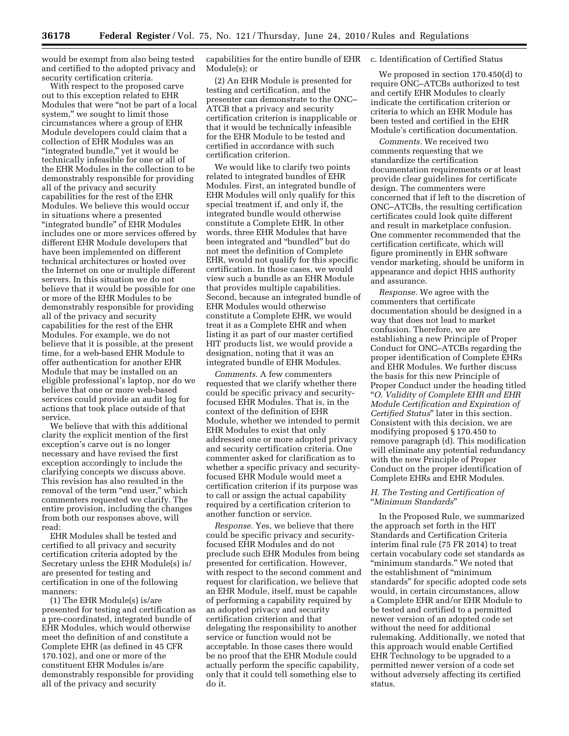would be exempt from also being tested and certified to the adopted privacy and security certification criteria.

With respect to the proposed carve out to this exception related to EHR Modules that were ''not be part of a local system," we sought to limit those circumstances where a group of EHR Module developers could claim that a collection of EHR Modules was an "integrated bundle," yet it would be technically infeasible for one or all of the EHR Modules in the collection to be demonstrably responsible for providing all of the privacy and security capabilities for the rest of the EHR Modules. We believe this would occur in situations where a presented ''integrated bundle'' of EHR Modules includes one or more services offered by different EHR Module developers that have been implemented on different technical architectures or hosted over the Internet on one or multiple different servers. In this situation we do not believe that it would be possible for one or more of the EHR Modules to be demonstrably responsible for providing all of the privacy and security capabilities for the rest of the EHR Modules. For example, we do not believe that it is possible, at the present time, for a web-based EHR Module to offer authentication for another EHR Module that may be installed on an eligible professional's laptop, nor do we believe that one or more web-based services could provide an audit log for actions that took place outside of that service.

We believe that with this additional clarity the explicit mention of the first exception's carve out is no longer necessary and have revised the first exception accordingly to include the clarifying concepts we discuss above. This revision has also resulted in the removal of the term "end user," which commenters requested we clarify. The entire provision, including the changes from both our responses above, will read:

EHR Modules shall be tested and certified to all privacy and security certification criteria adopted by the Secretary unless the EHR Module(s) is/ are presented for testing and certification in one of the following manners:

(1) The EHR Module(s) is/are presented for testing and certification as a pre-coordinated, integrated bundle of EHR Modules, which would otherwise meet the definition of and constitute a Complete EHR (as defined in 45 CFR 170.102), and one or more of the constituent EHR Modules is/are demonstrably responsible for providing all of the privacy and security

capabilities for the entire bundle of EHR Module(s); or

(2) An EHR Module is presented for testing and certification, and the presenter can demonstrate to the ONC– ATCB that a privacy and security certification criterion is inapplicable or that it would be technically infeasible for the EHR Module to be tested and certified in accordance with such certification criterion.

We would like to clarify two points related to integrated bundles of EHR Modules. First, an integrated bundle of EHR Modules will only qualify for this special treatment if, and only if, the integrated bundle would otherwise constitute a Complete EHR. In other words, three EHR Modules that have been integrated and ''bundled'' but do not meet the definition of Complete EHR, would not qualify for this specific certification. In those cases, we would view such a bundle as an EHR Module that provides multiple capabilities. Second, because an integrated bundle of EHR Modules would otherwise constitute a Complete EHR, we would treat it as a Complete EHR and when listing it as part of our master certified HIT products list, we would provide a designation, noting that it was an integrated bundle of EHR Modules.

*Comments.* A few commenters requested that we clarify whether there could be specific privacy and securityfocused EHR Modules. That is, in the context of the definition of EHR Module, whether we intended to permit EHR Modules to exist that only addressed one or more adopted privacy and security certification criteria. One commenter asked for clarification as to whether a specific privacy and securityfocused EHR Module would meet a certification criterion if its purpose was to call or assign the actual capability required by a certification criterion to another function or service.

*Response.* Yes, we believe that there could be specific privacy and securityfocused EHR Modules and do not preclude such EHR Modules from being presented for certification. However, with respect to the second comment and request for clarification, we believe that an EHR Module, itself, must be capable of performing a capability required by an adopted privacy and security certification criterion and that delegating the responsibility to another service or function would not be acceptable. In those cases there would be no proof that the EHR Module could actually perform the specific capability, only that it could tell something else to do it.

c. Identification of Certified Status

We proposed in section 170.450(d) to require ONC–ATCBs authorized to test and certify EHR Modules to clearly indicate the certification criterion or criteria to which an EHR Module has been tested and certified in the EHR Module's certification documentation.

*Comments.* We received two comments requesting that we standardize the certification documentation requirements or at least provide clear guidelines for certificate design. The commenters were concerned that if left to the discretion of ONC–ATCBs, the resulting certification certificates could look quite different and result in marketplace confusion. One commenter recommended that the certification certificate, which will figure prominently in EHR software vendor marketing, should be uniform in appearance and depict HHS authority and assurance.

*Response.* We agree with the commenters that certificate documentation should be designed in a way that does not lead to market confusion. Therefore, we are establishing a new Principle of Proper Conduct for ONC–ATCBs regarding the proper identification of Complete EHRs and EHR Modules. We further discuss the basis for this new Principle of Proper Conduct under the heading titled ''*O. Validity of Complete EHR and EHR Module Certification and Expiration of Certified Status*'' later in this section. Consistent with this decision, we are modifying proposed § 170.450 to remove paragraph (d). This modification will eliminate any potential redundancy with the new Principle of Proper Conduct on the proper identification of Complete EHRs and EHR Modules.

#### *H. The Testing and Certification of*  ''*Minimum Standards*''

In the Proposed Rule, we summarized the approach set forth in the HIT Standards and Certification Criteria interim final rule (75 FR 2014) to treat certain vocabulary code set standards as ''minimum standards.'' We noted that the establishment of ''minimum standards'' for specific adopted code sets would, in certain circumstances, allow a Complete EHR and/or EHR Module to be tested and certified to a permitted newer version of an adopted code set without the need for additional rulemaking. Additionally, we noted that this approach would enable Certified EHR Technology to be upgraded to a permitted newer version of a code set without adversely affecting its certified status.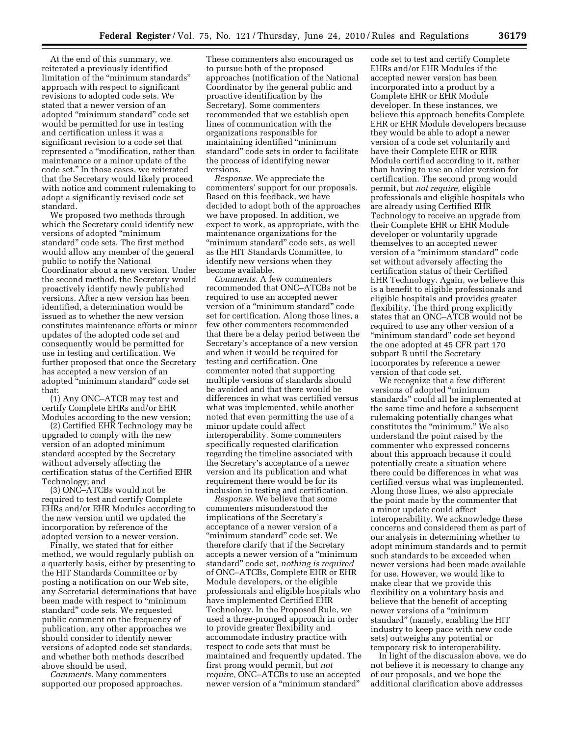At the end of this summary, we reiterated a previously identified limitation of the ''minimum standards'' approach with respect to significant revisions to adopted code sets. We stated that a newer version of an adopted ''minimum standard'' code set would be permitted for use in testing and certification unless it was a significant revision to a code set that represented a ''modification, rather than maintenance or a minor update of the code set.'' In those cases, we reiterated that the Secretary would likely proceed with notice and comment rulemaking to adopt a significantly revised code set standard.

We proposed two methods through which the Secretary could identify new versions of adopted ''minimum standard'' code sets. The first method would allow any member of the general public to notify the National Coordinator about a new version. Under the second method, the Secretary would proactively identify newly published versions. After a new version has been identified, a determination would be issued as to whether the new version constitutes maintenance efforts or minor updates of the adopted code set and consequently would be permitted for use in testing and certification. We further proposed that once the Secretary has accepted a new version of an adopted ''minimum standard'' code set that:

(1) Any ONC–ATCB may test and certify Complete EHRs and/or EHR Modules according to the new version;

(2) Certified EHR Technology may be upgraded to comply with the new version of an adopted minimum standard accepted by the Secretary without adversely affecting the certification status of the Certified EHR Technology; and

(3) ONC–ATCBs would not be required to test and certify Complete EHRs and/or EHR Modules according to the new version until we updated the incorporation by reference of the adopted version to a newer version.

Finally, we stated that for either method, we would regularly publish on a quarterly basis, either by presenting to the HIT Standards Committee or by posting a notification on our Web site, any Secretarial determinations that have been made with respect to ''minimum standard'' code sets. We requested public comment on the frequency of publication, any other approaches we should consider to identify newer versions of adopted code set standards, and whether both methods described above should be used.

*Comments.* Many commenters supported our proposed approaches.

These commenters also encouraged us to pursue both of the proposed approaches (notification of the National Coordinator by the general public and proactive identification by the Secretary). Some commenters recommended that we establish open lines of communication with the organizations responsible for maintaining identified ''minimum standard'' code sets in order to facilitate the process of identifying newer versions.

*Response.* We appreciate the commenters' support for our proposals. Based on this feedback, we have decided to adopt both of the approaches we have proposed. In addition, we expect to work, as appropriate, with the maintenance organizations for the "minimum standard" code sets, as well as the HIT Standards Committee, to identify new versions when they become available.

*Comments.* A few commenters recommended that ONC–ATCBs not be required to use an accepted newer version of a ''minimum standard'' code set for certification. Along those lines, a few other commenters recommended that there be a delay period between the Secretary's acceptance of a new version and when it would be required for testing and certification. One commenter noted that supporting multiple versions of standards should be avoided and that there would be differences in what was certified versus what was implemented, while another noted that even permitting the use of a minor update could affect interoperability. Some commenters specifically requested clarification regarding the timeline associated with the Secretary's acceptance of a newer version and its publication and what requirement there would be for its inclusion in testing and certification.

*Response.* We believe that some commenters misunderstood the implications of the Secretary's acceptance of a newer version of a ''minimum standard'' code set. We therefore clarify that if the Secretary accepts a newer version of a ''minimum standard'' code set, *nothing is required*  of ONC–ATCBs, Complete EHR or EHR Module developers, or the eligible professionals and eligible hospitals who have implemented Certified EHR Technology. In the Proposed Rule, we used a three-pronged approach in order to provide greater flexibility and accommodate industry practice with respect to code sets that must be maintained and frequently updated. The first prong would permit, but *not require,* ONC–ATCBs to use an accepted newer version of a ''minimum standard''

code set to test and certify Complete EHRs and/or EHR Modules if the accepted newer version has been incorporated into a product by a Complete EHR or EHR Module developer. In these instances, we believe this approach benefits Complete EHR or EHR Module developers because they would be able to adopt a newer version of a code set voluntarily and have their Complete EHR or EHR Module certified according to it, rather than having to use an older version for certification. The second prong would permit, but *not require,* eligible professionals and eligible hospitals who are already using Certified EHR Technology to receive an upgrade from their Complete EHR or EHR Module developer or voluntarily upgrade themselves to an accepted newer version of a ''minimum standard'' code set without adversely affecting the certification status of their Certified EHR Technology. Again, we believe this is a benefit to eligible professionals and eligible hospitals and provides greater flexibility. The third prong explicitly states that an ONC–ATCB would not be required to use any other version of a "minimum standard" code set beyond the one adopted at 45 CFR part 170 subpart B until the Secretary incorporates by reference a newer version of that code set.

We recognize that a few different versions of adopted ''minimum standards'' could all be implemented at the same time and before a subsequent rulemaking potentially changes what constitutes the "minimum." We also understand the point raised by the commenter who expressed concerns about this approach because it could potentially create a situation where there could be differences in what was certified versus what was implemented. Along those lines, we also appreciate the point made by the commenter that a minor update could affect interoperability. We acknowledge these concerns and considered them as part of our analysis in determining whether to adopt minimum standards and to permit such standards to be exceeded when newer versions had been made available for use. However, we would like to make clear that we provide this flexibility on a voluntary basis and believe that the benefit of accepting newer versions of a ''minimum standard'' (namely, enabling the HIT industry to keep pace with new code sets) outweighs any potential or temporary risk to interoperability.

In light of the discussion above, we do not believe it is necessary to change any of our proposals, and we hope the additional clarification above addresses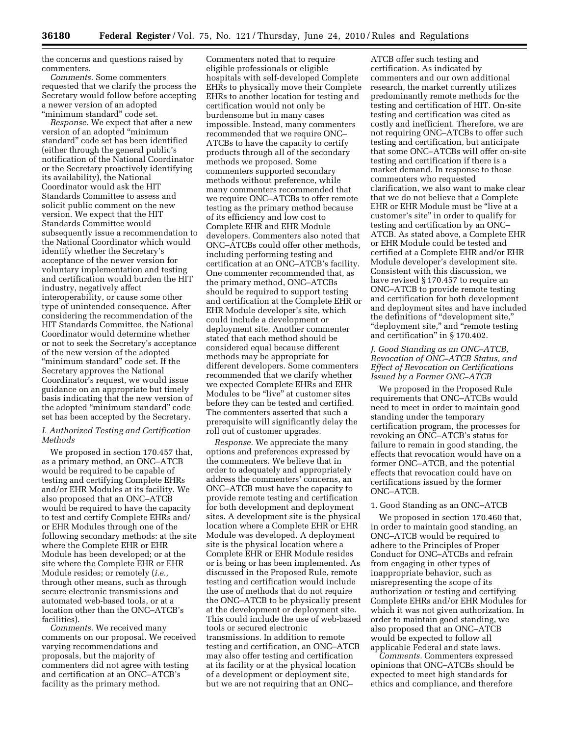the concerns and questions raised by commenters.

*Comments.* Some commenters requested that we clarify the process the Secretary would follow before accepting a newer version of an adopted ''minimum standard'' code set.

*Response.* We expect that after a new version of an adopted ''minimum standard'' code set has been identified (either through the general public's notification of the National Coordinator or the Secretary proactively identifying its availability), the National Coordinator would ask the HIT Standards Committee to assess and solicit public comment on the new version. We expect that the HIT Standards Committee would subsequently issue a recommendation to the National Coordinator which would identify whether the Secretary's acceptance of the newer version for voluntary implementation and testing and certification would burden the HIT industry, negatively affect interoperability, or cause some other type of unintended consequence. After considering the recommendation of the HIT Standards Committee, the National Coordinator would determine whether or not to seek the Secretary's acceptance of the new version of the adopted "minimum standard" code set. If the Secretary approves the National Coordinator's request, we would issue guidance on an appropriate but timely basis indicating that the new version of the adopted ''minimum standard'' code set has been accepted by the Secretary.

#### *I. Authorized Testing and Certification Methods*

We proposed in section 170.457 that, as a primary method, an ONC–ATCB would be required to be capable of testing and certifying Complete EHRs and/or EHR Modules at its facility. We also proposed that an ONC–ATCB would be required to have the capacity to test and certify Complete EHRs and/ or EHR Modules through one of the following secondary methods: at the site where the Complete EHR or EHR Module has been developed; or at the site where the Complete EHR or EHR Module resides; or remotely (*i.e.,*  through other means, such as through secure electronic transmissions and automated web-based tools, or at a location other than the ONC–ATCB's facilities).

*Comments.* We received many comments on our proposal. We received varying recommendations and proposals, but the majority of commenters did not agree with testing and certification at an ONC–ATCB's facility as the primary method.

Commenters noted that to require eligible professionals or eligible hospitals with self-developed Complete EHRs to physically move their Complete EHRs to another location for testing and certification would not only be burdensome but in many cases impossible. Instead, many commenters recommended that we require ONC– ATCBs to have the capacity to certify products through all of the secondary methods we proposed. Some commenters supported secondary methods without preference, while many commenters recommended that we require ONC–ATCBs to offer remote testing as the primary method because of its efficiency and low cost to Complete EHR and EHR Module developers. Commenters also noted that ONC–ATCBs could offer other methods, including performing testing and certification at an ONC–ATCB's facility. One commenter recommended that, as the primary method, ONC–ATCBs should be required to support testing and certification at the Complete EHR or EHR Module developer's site, which could include a development or deployment site. Another commenter stated that each method should be considered equal because different methods may be appropriate for different developers. Some commenters recommended that we clarify whether we expected Complete EHRs and EHR Modules to be "live" at customer sites before they can be tested and certified. The commenters asserted that such a prerequisite will significantly delay the roll out of customer upgrades.

*Response.* We appreciate the many options and preferences expressed by the commenters. We believe that in order to adequately and appropriately address the commenters' concerns, an ONC–ATCB must have the capacity to provide remote testing and certification for both development and deployment sites. A development site is the physical location where a Complete EHR or EHR Module was developed. A deployment site is the physical location where a Complete EHR or EHR Module resides or is being or has been implemented. As discussed in the Proposed Rule, remote testing and certification would include the use of methods that do not require the ONC–ATCB to be physically present at the development or deployment site. This could include the use of web-based tools or secured electronic transmissions. In addition to remote testing and certification, an ONC–ATCB may also offer testing and certification at its facility or at the physical location of a development or deployment site, but we are not requiring that an ONC–

ATCB offer such testing and certification. As indicated by commenters and our own additional research, the market currently utilizes predominantly remote methods for the testing and certification of HIT. On-site testing and certification was cited as costly and inefficient. Therefore, we are not requiring ONC–ATCBs to offer such testing and certification, but anticipate that some ONC–ATCBs will offer on-site testing and certification if there is a market demand. In response to those commenters who requested clarification, we also want to make clear that we do not believe that a Complete EHR or EHR Module must be ''live at a customer's site'' in order to qualify for testing and certification by an ONC– ATCB. As stated above, a Complete EHR or EHR Module could be tested and certified at a Complete EHR and/or EHR Module developer's development site. Consistent with this discussion, we have revised § 170.457 to require an ONC–ATCB to provide remote testing and certification for both development and deployment sites and have included the definitions of ''development site,'' ''deployment site,'' and ''remote testing and certification'' in § 170.402.

### *J. Good Standing as an ONC–ATCB, Revocation of ONC–ATCB Status, and Effect of Revocation on Certifications Issued by a Former ONC–ATCB*

We proposed in the Proposed Rule requirements that ONC–ATCBs would need to meet in order to maintain good standing under the temporary certification program, the processes for revoking an ONC–ATCB's status for failure to remain in good standing, the effects that revocation would have on a former ONC–ATCB, and the potential effects that revocation could have on certifications issued by the former ONC–ATCB.

#### 1. Good Standing as an ONC–ATCB

We proposed in section 170.460 that, in order to maintain good standing, an ONC–ATCB would be required to adhere to the Principles of Proper Conduct for ONC–ATCBs and refrain from engaging in other types of inappropriate behavior, such as misrepresenting the scope of its authorization or testing and certifying Complete EHRs and/or EHR Modules for which it was not given authorization. In order to maintain good standing, we also proposed that an ONC–ATCB would be expected to follow all applicable Federal and state laws.

*Comments.* Commenters expressed opinions that ONC–ATCBs should be expected to meet high standards for ethics and compliance, and therefore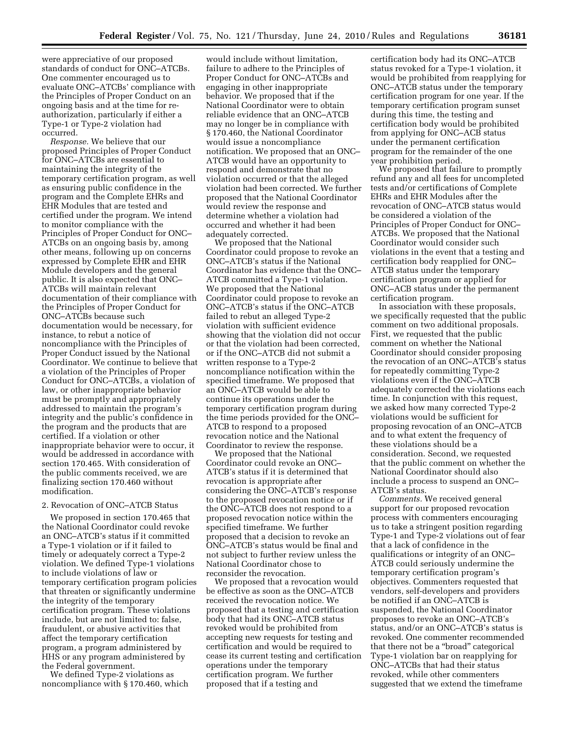were appreciative of our proposed standards of conduct for ONC–ATCBs. One commenter encouraged us to evaluate ONC–ATCBs' compliance with the Principles of Proper Conduct on an ongoing basis and at the time for reauthorization, particularly if either a Type-1 or Type-2 violation had occurred.

*Response.* We believe that our proposed Principles of Proper Conduct for ONC–ATCBs are essential to maintaining the integrity of the temporary certification program, as well as ensuring public confidence in the program and the Complete EHRs and EHR Modules that are tested and certified under the program. We intend to monitor compliance with the Principles of Proper Conduct for ONC– ATCBs on an ongoing basis by, among other means, following up on concerns expressed by Complete EHR and EHR Module developers and the general public. It is also expected that ONC– ATCBs will maintain relevant documentation of their compliance with the Principles of Proper Conduct for ONC–ATCBs because such documentation would be necessary, for instance, to rebut a notice of noncompliance with the Principles of Proper Conduct issued by the National Coordinator. We continue to believe that a violation of the Principles of Proper Conduct for ONC–ATCBs, a violation of law, or other inappropriate behavior must be promptly and appropriately addressed to maintain the program's integrity and the public's confidence in the program and the products that are certified. If a violation or other inappropriate behavior were to occur, it would be addressed in accordance with section 170.465. With consideration of the public comments received, we are finalizing section 170.460 without modification.

## 2. Revocation of ONC–ATCB Status

We proposed in section 170.465 that the National Coordinator could revoke an ONC–ATCB's status if it committed a Type-1 violation or if it failed to timely or adequately correct a Type-2 violation. We defined Type-1 violations to include violations of law or temporary certification program policies that threaten or significantly undermine the integrity of the temporary certification program. These violations include, but are not limited to: false, fraudulent, or abusive activities that affect the temporary certification program, a program administered by HHS or any program administered by the Federal government.

We defined Type-2 violations as noncompliance with § 170.460, which

would include without limitation, failure to adhere to the Principles of Proper Conduct for ONC–ATCBs and engaging in other inappropriate behavior. We proposed that if the National Coordinator were to obtain reliable evidence that an ONC–ATCB may no longer be in compliance with § 170.460, the National Coordinator would issue a noncompliance notification. We proposed that an ONC– ATCB would have an opportunity to respond and demonstrate that no violation occurred or that the alleged violation had been corrected. We further proposed that the National Coordinator would review the response and determine whether a violation had occurred and whether it had been adequately corrected.

We proposed that the National Coordinator could propose to revoke an ONC–ATCB's status if the National Coordinator has evidence that the ONC– ATCB committed a Type-1 violation. We proposed that the National Coordinator could propose to revoke an ONC–ATCB's status if the ONC–ATCB failed to rebut an alleged Type-2 violation with sufficient evidence showing that the violation did not occur or that the violation had been corrected, or if the ONC–ATCB did not submit a written response to a Type-2 noncompliance notification within the specified timeframe. We proposed that an ONC–ATCB would be able to continue its operations under the temporary certification program during the time periods provided for the ONC– ATCB to respond to a proposed revocation notice and the National Coordinator to review the response.

We proposed that the National Coordinator could revoke an ONC– ATCB's status if it is determined that revocation is appropriate after considering the ONC–ATCB's response to the proposed revocation notice or if the ONC–ATCB does not respond to a proposed revocation notice within the specified timeframe. We further proposed that a decision to revoke an ONC–ATCB's status would be final and not subject to further review unless the National Coordinator chose to reconsider the revocation.

We proposed that a revocation would be effective as soon as the ONC–ATCB received the revocation notice. We proposed that a testing and certification body that had its ONC–ATCB status revoked would be prohibited from accepting new requests for testing and certification and would be required to cease its current testing and certification operations under the temporary certification program. We further proposed that if a testing and

certification body had its ONC–ATCB status revoked for a Type-1 violation, it would be prohibited from reapplying for ONC–ATCB status under the temporary certification program for one year. If the temporary certification program sunset during this time, the testing and certification body would be prohibited from applying for ONC–ACB status under the permanent certification program for the remainder of the one year prohibition period.

We proposed that failure to promptly refund any and all fees for uncompleted tests and/or certifications of Complete EHRs and EHR Modules after the revocation of ONC–ATCB status would be considered a violation of the Principles of Proper Conduct for ONC– ATCBs. We proposed that the National Coordinator would consider such violations in the event that a testing and certification body reapplied for ONC– ATCB status under the temporary certification program or applied for ONC–ACB status under the permanent certification program.

In association with these proposals, we specifically requested that the public comment on two additional proposals. First, we requested that the public comment on whether the National Coordinator should consider proposing the revocation of an ONC–ATCB's status for repeatedly committing Type-2 violations even if the ONC–ATCB adequately corrected the violations each time. In conjunction with this request, we asked how many corrected Type-2 violations would be sufficient for proposing revocation of an ONC–ATCB and to what extent the frequency of these violations should be a consideration. Second, we requested that the public comment on whether the National Coordinator should also include a process to suspend an ONC– ATCB's status.

*Comments.* We received general support for our proposed revocation process with commenters encouraging us to take a stringent position regarding Type-1 and Type-2 violations out of fear that a lack of confidence in the qualifications or integrity of an ONC– ATCB could seriously undermine the temporary certification program's objectives. Commenters requested that vendors, self-developers and providers be notified if an ONC–ATCB is suspended, the National Coordinator proposes to revoke an ONC–ATCB's status, and/or an ONC–ATCB's status is revoked. One commenter recommended that there not be a ''broad'' categorical Type-1 violation bar on reapplying for ONC–ATCBs that had their status revoked, while other commenters suggested that we extend the timeframe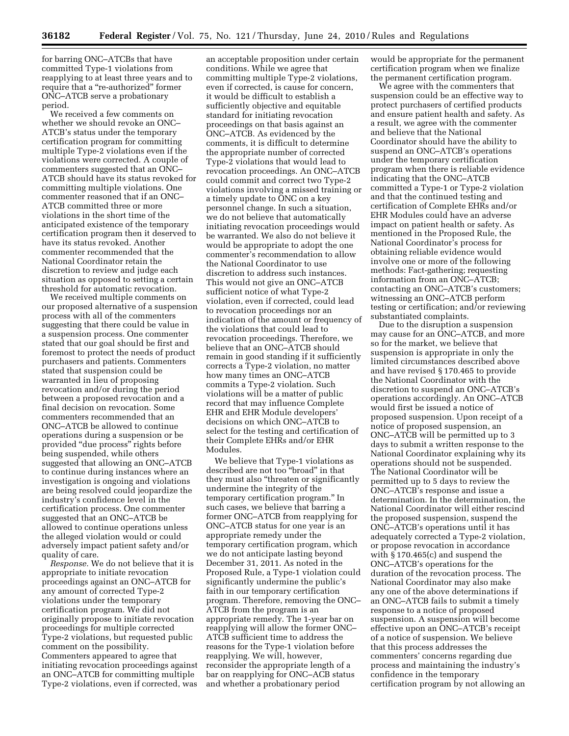for barring ONC–ATCBs that have committed Type-1 violations from reapplying to at least three years and to require that a "re-authorized" former ONC–ATCB serve a probationary period.

We received a few comments on whether we should revoke an ONC– ATCB's status under the temporary certification program for committing multiple Type-2 violations even if the violations were corrected. A couple of commenters suggested that an ONC– ATCB should have its status revoked for committing multiple violations. One commenter reasoned that if an ONC– ATCB committed three or more violations in the short time of the anticipated existence of the temporary certification program then it deserved to have its status revoked. Another commenter recommended that the National Coordinator retain the discretion to review and judge each situation as opposed to setting a certain threshold for automatic revocation.

We received multiple comments on our proposed alternative of a suspension process with all of the commenters suggesting that there could be value in a suspension process. One commenter stated that our goal should be first and foremost to protect the needs of product purchasers and patients. Commenters stated that suspension could be warranted in lieu of proposing revocation and/or during the period between a proposed revocation and a final decision on revocation. Some commenters recommended that an ONC–ATCB be allowed to continue operations during a suspension or be provided ''due process'' rights before being suspended, while others suggested that allowing an ONC–ATCB to continue during instances where an investigation is ongoing and violations are being resolved could jeopardize the industry's confidence level in the certification process. One commenter suggested that an ONC–ATCB be allowed to continue operations unless the alleged violation would or could adversely impact patient safety and/or quality of care.

*Response.* We do not believe that it is appropriate to initiate revocation proceedings against an ONC–ATCB for any amount of corrected Type-2 violations under the temporary certification program. We did not originally propose to initiate revocation proceedings for multiple corrected Type-2 violations, but requested public comment on the possibility. Commenters appeared to agree that initiating revocation proceedings against an ONC–ATCB for committing multiple Type-2 violations, even if corrected, was

an acceptable proposition under certain conditions. While we agree that committing multiple Type-2 violations, even if corrected, is cause for concern, it would be difficult to establish a sufficiently objective and equitable standard for initiating revocation proceedings on that basis against an ONC–ATCB. As evidenced by the comments, it is difficult to determine the appropriate number of corrected Type-2 violations that would lead to revocation proceedings. An ONC–AT could commit and correct two Type-2 violations involving a missed training or a timely update to ONC on a key personnel change. In such a situation, we do not believe that automatically initiating revocation proceedings would be warranted. We also do not believe it would be appropriate to adopt the one commenter's recommendation to allow the National Coordinator to use discretion to address such instances. This would not give an ONC–ATCB sufficient notice of what Type-2 violation, even if corrected, could lead to revocation proceedings nor an indication of the amount or frequency of the violations that could lead to revocation proceedings. Therefore, we believe that an ONC–ATCB should remain in good standing if it sufficiently corrects a Type-2 violation, no matter how many times an ONC–ATCB commits a Type-2 violation. Such violations will be a matter of public record that may influence Complete EHR and EHR Module developers' decisions on which ONC–ATCB to select for the testing and certification of their Complete EHRs and/or EHR Modules.

We believe that Type-1 violations as described are not too ''broad'' in that they must also "threaten or significantly undermine the integrity of the temporary certification program.'' In such cases, we believe that barring a former ONC–ATCB from reapplying for ONC–ATCB status for one year is an appropriate remedy under the temporary certification program, which we do not anticipate lasting beyond December 31, 2011. As noted in the Proposed Rule, a Type-1 violation could significantly undermine the public's faith in our temporary certification program. Therefore, removing the ONC– ATCB from the program is an appropriate remedy. The 1-year bar on reapplying will allow the former ONC– ATCB sufficient time to address the reasons for the Type-1 violation before reapplying. We will, however, reconsider the appropriate length of a bar on reapplying for ONC–ACB status and whether a probationary period

would be appropriate for the permanent certification program when we finalize the permanent certification program.

We agree with the commenters that suspension could be an effective way to protect purchasers of certified products and ensure patient health and safety. As a result, we agree with the commenter and believe that the National Coordinator should have the ability to suspend an ONC–ATCB's operations under the temporary certification program when there is reliable evidence indicating that the ONC–ATCB committed a Type-1 or Type-2 violation and that the continued testing and certification of Complete EHRs and/or EHR Modules could have an adverse impact on patient health or safety. As mentioned in the Proposed Rule, the National Coordinator's process for obtaining reliable evidence would involve one or more of the following methods: Fact-gathering; requesting information from an ONC–ATCB; contacting an ONC–ATCB's customers; witnessing an ONC–ATCB perform testing or certification; and/or reviewing substantiated complaints.

Due to the disruption a suspension may cause for an ONC–ATCB, and more so for the market, we believe that suspension is appropriate in only the limited circumstances described above and have revised § 170.465 to provide the National Coordinator with the discretion to suspend an ONC–ATCB's operations accordingly. An ONC–ATCB would first be issued a notice of proposed suspension. Upon receipt of a notice of proposed suspension, an ONC–ATCB will be permitted up to 3 days to submit a written response to the National Coordinator explaining why its operations should not be suspended. The National Coordinator will be permitted up to 5 days to review the ONC–ATCB's response and issue a determination. In the determination, the National Coordinator will either rescind the proposed suspension, suspend the ONC–ATCB's operations until it has adequately corrected a Type-2 violation, or propose revocation in accordance with § 170.465(c) and suspend the ONC–ATCB's operations for the duration of the revocation process. The National Coordinator may also make any one of the above determinations if an ONC–ATCB fails to submit a timely response to a notice of proposed suspension. A suspension will become effective upon an ONC–ATCB's receipt of a notice of suspension. We believe that this process addresses the commenters' concerns regarding due process and maintaining the industry's confidence in the temporary certification program by not allowing an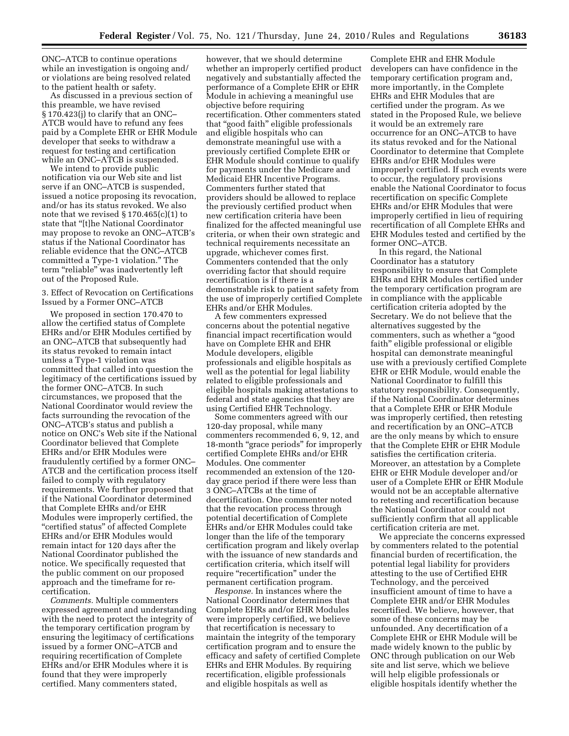ONC–ATCB to continue operations while an investigation is ongoing and/ or violations are being resolved related to the patient health or safety.

As discussed in a previous section of this preamble, we have revised § 170.423(j) to clarify that an ONC– ATCB would have to refund any fees paid by a Complete EHR or EHR Module developer that seeks to withdraw a request for testing and certification while an ONC–ATCB is suspended.

We intend to provide public notification via our Web site and list serve if an ONC–ATCB is suspended, issued a notice proposing its revocation, and/or has its status revoked. We also note that we revised § 170.465(c)(1) to state that ''[t]he National Coordinator may propose to revoke an ONC–ATCB's status if the National Coordinator has reliable evidence that the ONC–ATCB committed a Type-1 violation.'' The term "reliable" was inadvertently left out of the Proposed Rule.

#### 3. Effect of Revocation on Certifications Issued by a Former ONC–ATCB

We proposed in section 170.470 to allow the certified status of Complete EHRs and/or EHR Modules certified by an ONC–ATCB that subsequently had its status revoked to remain intact unless a Type-1 violation was committed that called into question the legitimacy of the certifications issued by the former ONC–ATCB. In such circumstances, we proposed that the National Coordinator would review the facts surrounding the revocation of the ONC–ATCB's status and publish a notice on ONC's Web site if the National Coordinator believed that Complete EHRs and/or EHR Modules were fraudulently certified by a former ONC– ATCB and the certification process itself failed to comply with regulatory requirements. We further proposed that if the National Coordinator determined that Complete EHRs and/or EHR Modules were improperly certified, the ''certified status'' of affected Complete EHRs and/or EHR Modules would remain intact for 120 days after the National Coordinator published the notice. We specifically requested that the public comment on our proposed approach and the timeframe for recertification.

*Comments.* Multiple commenters expressed agreement and understanding with the need to protect the integrity of the temporary certification program by ensuring the legitimacy of certifications issued by a former ONC–ATCB and requiring recertification of Complete EHRs and/or EHR Modules where it is found that they were improperly certified. Many commenters stated,

however, that we should determine whether an improperly certified product negatively and substantially affected the performance of a Complete EHR or EHR Module in achieving a meaningful use objective before requiring recertification. Other commenters stated that ''good faith'' eligible professionals and eligible hospitals who can demonstrate meaningful use with a previously certified Complete EHR or EHR Module should continue to qualify for payments under the Medicare and Medicaid EHR Incentive Programs. Commenters further stated that providers should be allowed to replace the previously certified product when new certification criteria have been finalized for the affected meaningful use criteria, or when their own strategic and technical requirements necessitate an upgrade, whichever comes first. Commenters contended that the only overriding factor that should require recertification is if there is a demonstrable risk to patient safety from the use of improperly certified Complete EHRs and/or EHR Modules.

A few commenters expressed concerns about the potential negative financial impact recertification would have on Complete EHR and EHR Module developers, eligible professionals and eligible hospitals as well as the potential for legal liability related to eligible professionals and eligible hospitals making attestations to federal and state agencies that they are using Certified EHR Technology.

Some commenters agreed with our 120-day proposal, while many commenters recommended 6, 9, 12, and 18-month ''grace periods'' for improperly certified Complete EHRs and/or EHR Modules. One commenter recommended an extension of the 120 day grace period if there were less than 3 ONC–ATCBs at the time of decertification. One commenter noted that the revocation process through potential decertification of Complete EHRs and/or EHR Modules could take longer than the life of the temporary certification program and likely overlap with the issuance of new standards and certification criteria, which itself will require "recertification" under the permanent certification program.

*Response.* In instances where the National Coordinator determines that Complete EHRs and/or EHR Modules were improperly certified, we believe that recertification is necessary to maintain the integrity of the temporary certification program and to ensure the efficacy and safety of certified Complete EHRs and EHR Modules. By requiring recertification, eligible professionals and eligible hospitals as well as

Complete EHR and EHR Module developers can have confidence in the temporary certification program and, more importantly, in the Complete EHRs and EHR Modules that are certified under the program. As we stated in the Proposed Rule, we believe it would be an extremely rare occurrence for an ONC–ATCB to have its status revoked and for the National Coordinator to determine that Complete EHRs and/or EHR Modules were improperly certified. If such events were to occur, the regulatory provisions enable the National Coordinator to focus recertification on specific Complete EHRs and/or EHR Modules that were improperly certified in lieu of requiring recertification of all Complete EHRs and EHR Modules tested and certified by the former ONC–ATCB.

In this regard, the National Coordinator has a statutory responsibility to ensure that Complete EHRs and EHR Modules certified under the temporary certification program are in compliance with the applicable certification criteria adopted by the Secretary. We do not believe that the alternatives suggested by the commenters, such as whether a ''good faith'' eligible professional or eligible hospital can demonstrate meaningful use with a previously certified Complete EHR or EHR Module, would enable the National Coordinator to fulfill this statutory responsibility. Consequently, if the National Coordinator determines that a Complete EHR or EHR Module was improperly certified, then retesting and recertification by an ONC–ATCB are the only means by which to ensure that the Complete EHR or EHR Module satisfies the certification criteria. Moreover, an attestation by a Complete EHR or EHR Module developer and/or user of a Complete EHR or EHR Module would not be an acceptable alternative to retesting and recertification because the National Coordinator could not sufficiently confirm that all applicable certification criteria are met.

We appreciate the concerns expressed by commenters related to the potential financial burden of recertification, the potential legal liability for providers attesting to the use of Certified EHR Technology, and the perceived insufficient amount of time to have a Complete EHR and/or EHR Modules recertified. We believe, however, that some of these concerns may be unfounded. Any decertification of a Complete EHR or EHR Module will be made widely known to the public by ONC through publication on our Web site and list serve, which we believe will help eligible professionals or eligible hospitals identify whether the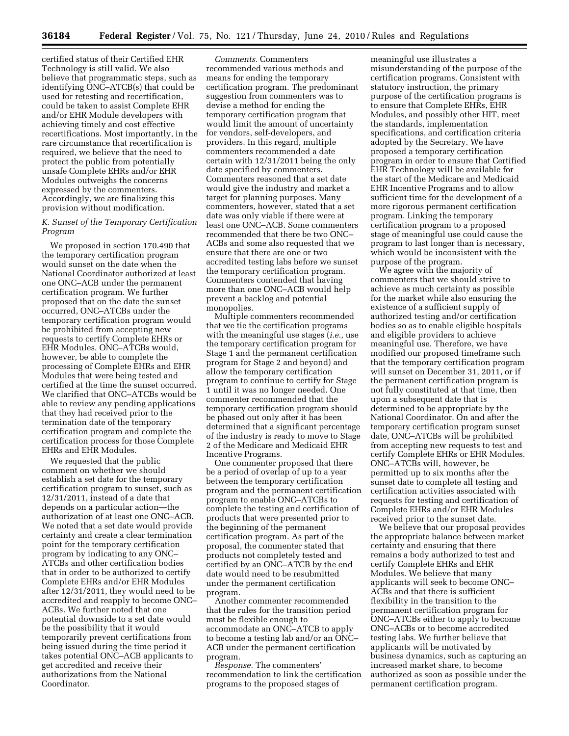certified status of their Certified EHR Technology is still valid. We also believe that programmatic steps, such as identifying ONC–ATCB(s) that could be used for retesting and recertification, could be taken to assist Complete EHR and/or EHR Module developers with achieving timely and cost effective recertifications. Most importantly, in the rare circumstance that recertification is required, we believe that the need to protect the public from potentially unsafe Complete EHRs and/or EHR Modules outweighs the concerns expressed by the commenters. Accordingly, we are finalizing this provision without modification.

#### *K. Sunset of the Temporary Certification Program*

We proposed in section 170.490 that the temporary certification program would sunset on the date when the National Coordinator authorized at least one ONC–ACB under the permanent certification program. We further proposed that on the date the sunset occurred, ONC–ATCBs under the temporary certification program would be prohibited from accepting new requests to certify Complete EHRs or EHR Modules. ONC–ATCBs would, however, be able to complete the processing of Complete EHRs and EHR Modules that were being tested and certified at the time the sunset occurred. We clarified that ONC–ATCBs would be able to review any pending applications that they had received prior to the termination date of the temporary certification program and complete the certification process for those Complete EHRs and EHR Modules.

We requested that the public comment on whether we should establish a set date for the temporary certification program to sunset, such as 12/31/2011, instead of a date that depends on a particular action—the authorization of at least one ONC–ACB. We noted that a set date would provide certainty and create a clear termination point for the temporary certification program by indicating to any ONC– ATCBs and other certification bodies that in order to be authorized to certify Complete EHRs and/or EHR Modules after 12/31/2011, they would need to be accredited and reapply to become ONC– ACBs. We further noted that one potential downside to a set date would be the possibility that it would temporarily prevent certifications from being issued during the time period it takes potential ONC–ACB applicants to get accredited and receive their authorizations from the National Coordinator.

*Comments.* Commenters recommended various methods and means for ending the temporary certification program. The predominant suggestion from commenters was to devise a method for ending the temporary certification program that would limit the amount of uncertainty for vendors, self-developers, and providers. In this regard, multiple commenters recommended a date certain with 12/31/2011 being the only date specified by commenters. Commenters reasoned that a set date would give the industry and market a target for planning purposes. Many commenters, however, stated that a set date was only viable if there were at least one ONC–ACB. Some commenters recommended that there be two ONC– ACBs and some also requested that we ensure that there are one or two accredited testing labs before we sunset the temporary certification program. Commenters contended that having more than one ONC–ACB would help prevent a backlog and potential monopolies.

Multiple commenters recommended that we tie the certification programs with the meaningful use stages (*i.e.,* use the temporary certification program for Stage 1 and the permanent certification program for Stage 2 and beyond) and allow the temporary certification program to continue to certify for Stage 1 until it was no longer needed. One commenter recommended that the temporary certification program should be phased out only after it has been determined that a significant percentage of the industry is ready to move to Stage 2 of the Medicare and Medicaid EHR Incentive Programs.

One commenter proposed that there be a period of overlap of up to a year between the temporary certification program and the permanent certification program to enable ONC–ATCBs to complete the testing and certification of products that were presented prior to the beginning of the permanent certification program. As part of the proposal, the commenter stated that products not completely tested and certified by an ONC–ATCB by the end date would need to be resubmitted under the permanent certification program.

Another commenter recommended that the rules for the transition period must be flexible enough to accommodate an ONC–ATCB to apply to become a testing lab and/or an ONC– ACB under the permanent certification program.

*Response.* The commenters' recommendation to link the certification programs to the proposed stages of

meaningful use illustrates a misunderstanding of the purpose of the certification programs. Consistent with statutory instruction, the primary purpose of the certification programs is to ensure that Complete EHRs, EHR Modules, and possibly other HIT, meet the standards, implementation specifications, and certification criteria adopted by the Secretary. We have proposed a temporary certification program in order to ensure that Certified EHR Technology will be available for the start of the Medicare and Medicaid EHR Incentive Programs and to allow sufficient time for the development of a more rigorous permanent certification program. Linking the temporary certification program to a proposed stage of meaningful use could cause the program to last longer than is necessary, which would be inconsistent with the purpose of the program.

We agree with the majority of commenters that we should strive to achieve as much certainty as possible for the market while also ensuring the existence of a sufficient supply of authorized testing and/or certification bodies so as to enable eligible hospitals and eligible providers to achieve meaningful use. Therefore, we have modified our proposed timeframe such that the temporary certification program will sunset on December 31, 2011, or if the permanent certification program is not fully constituted at that time, then upon a subsequent date that is determined to be appropriate by the National Coordinator. On and after the temporary certification program sunset date, ONC–ATCBs will be prohibited from accepting new requests to test and certify Complete EHRs or EHR Modules. ONC–ATCBs will, however, be permitted up to six months after the sunset date to complete all testing and certification activities associated with requests for testing and certification of Complete EHRs and/or EHR Modules received prior to the sunset date.

We believe that our proposal provides the appropriate balance between market certainty and ensuring that there remains a body authorized to test and certify Complete EHRs and EHR Modules. We believe that many applicants will seek to become ONC– ACBs and that there is sufficient flexibility in the transition to the permanent certification program for ONC–ATCBs either to apply to become ONC–ACBs or to become accredited testing labs. We further believe that applicants will be motivated by business dynamics, such as capturing an increased market share, to become authorized as soon as possible under the permanent certification program.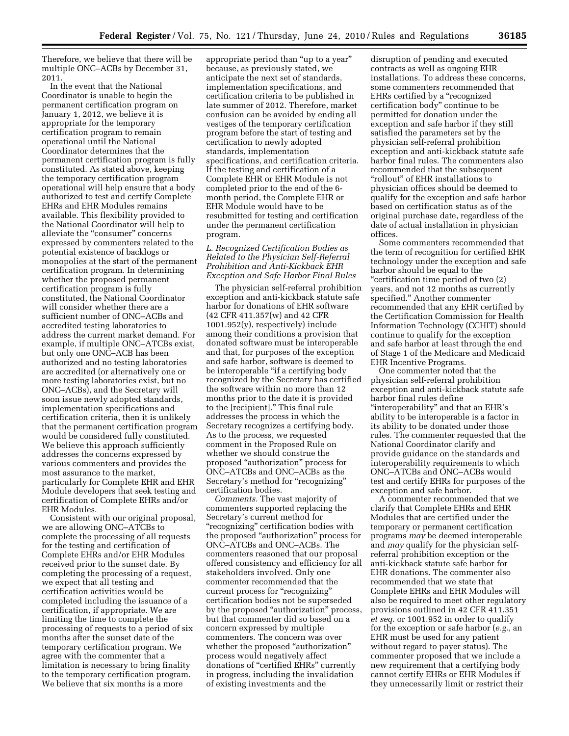Therefore, we believe that there will be multiple ONC–ACBs by December 31, 2011.

In the event that the National Coordinator is unable to begin the permanent certification program on January 1, 2012, we believe it is appropriate for the temporary certification program to remain operational until the National Coordinator determines that the permanent certification program is fully constituted. As stated above, keeping the temporary certification program operational will help ensure that a body authorized to test and certify Complete EHRs and EHR Modules remains available. This flexibility provided to the National Coordinator will help to alleviate the "consumer" concerns expressed by commenters related to the potential existence of backlogs or monopolies at the start of the permanent certification program. In determining whether the proposed permanent certification program is fully constituted, the National Coordinator will consider whether there are a sufficient number of ONC–ACBs and accredited testing laboratories to address the current market demand. For example, if multiple ONC–ATCBs exist, but only one ONC–ACB has been authorized and no testing laboratories are accredited (or alternatively one or more testing laboratories exist, but no ONC–ACBs), and the Secretary will soon issue newly adopted standards, implementation specifications and certification criteria, then it is unlikely that the permanent certification program would be considered fully constituted. We believe this approach sufficiently addresses the concerns expressed by various commenters and provides the most assurance to the market, particularly for Complete EHR and EHR Module developers that seek testing and certification of Complete EHRs and/or EHR Modules.

Consistent with our original proposal, we are allowing ONC–ATCBs to complete the processing of all requests for the testing and certification of Complete EHRs and/or EHR Modules received prior to the sunset date. By completing the processing of a request, we expect that all testing and certification activities would be completed including the issuance of a certification, if appropriate. We are limiting the time to complete the processing of requests to a period of six months after the sunset date of the temporary certification program. We agree with the commenter that a limitation is necessary to bring finality to the temporary certification program. We believe that six months is a more

appropriate period than ''up to a year'' because, as previously stated, we anticipate the next set of standards, implementation specifications, and certification criteria to be published in late summer of 2012. Therefore, market confusion can be avoided by ending all vestiges of the temporary certification program before the start of testing and certification to newly adopted standards, implementation specifications, and certification criteria. If the testing and certification of a Complete EHR or EHR Module is not completed prior to the end of the 6 month period, the Complete EHR or EHR Module would have to be resubmitted for testing and certification under the permanent certification program.

#### *L. Recognized Certification Bodies as Related to the Physician Self-Referral Prohibition and Anti-Kickback EHR Exception and Safe Harbor Final Rules*

The physician self-referral prohibition exception and anti-kickback statute safe harbor for donations of EHR software (42 CFR 411.357(w) and 42 CFR 1001.952(y), respectively) include among their conditions a provision that donated software must be interoperable and that, for purposes of the exception and safe harbor, software is deemed to be interoperable ''if a certifying body recognized by the Secretary has certified the software within no more than 12 months prior to the date it is provided to the [recipient].'' This final rule addresses the process in which the Secretary recognizes a certifying body. As to the process, we requested comment in the Proposed Rule on whether we should construe the proposed ''authorization'' process for ONC–ATCBs and ONC–ACBs as the Secretary's method for "recognizing" certification bodies.

*Comments.* The vast majority of commenters supported replacing the Secretary's current method for "recognizing" certification bodies with the proposed ''authorization'' process for ONC–ATCBs and ONC–ACBs. The commenters reasoned that our proposal offered consistency and efficiency for all stakeholders involved. Only one commenter recommended that the current process for "recognizing" certification bodies not be superseded by the proposed ''authorization'' process, but that commenter did so based on a concern expressed by multiple commenters. The concern was over whether the proposed "authorization" process would negatively affect donations of ''certified EHRs'' currently in progress, including the invalidation of existing investments and the

disruption of pending and executed contracts as well as ongoing EHR installations. To address these concerns, some commenters recommended that EHRs certified by a ''recognized certification body'' continue to be permitted for donation under the exception and safe harbor if they still satisfied the parameters set by the physician self-referral prohibition exception and anti-kickback statute safe harbor final rules. The commenters also recommended that the subsequent ''rollout'' of EHR installations to physician offices should be deemed to qualify for the exception and safe harbor based on certification status as of the original purchase date, regardless of the date of actual installation in physician offices.

Some commenters recommended that the term of recognition for certified EHR technology under the exception and safe harbor should be equal to the ''certification time period of two (2) years, and not 12 months as currently specified.'' Another commenter recommended that any EHR certified by the Certification Commission for Health Information Technology (CCHIT) should continue to qualify for the exception and safe harbor at least through the end of Stage 1 of the Medicare and Medicaid EHR Incentive Programs.

One commenter noted that the physician self-referral prohibition exception and anti-kickback statute safe harbor final rules define "interoperability" and that an EHR's ability to be interoperable is a factor in its ability to be donated under those rules. The commenter requested that the National Coordinator clarify and provide guidance on the standards and interoperability requirements to which ONC–ATCBs and ONC–ACBs would test and certify EHRs for purposes of the exception and safe harbor.

A commenter recommended that we clarify that Complete EHRs and EHR Modules that are certified under the temporary or permanent certification programs *may* be deemed interoperable and *may* qualify for the physician selfreferral prohibition exception or the anti-kickback statute safe harbor for EHR donations. The commenter also recommended that we state that Complete EHRs and EHR Modules will also be required to meet other regulatory provisions outlined in 42 CFR 411.351 *et seq.* or 1001.952 in order to qualify for the exception or safe harbor (*e.g.,* an EHR must be used for any patient without regard to payer status). The commenter proposed that we include a new requirement that a certifying body cannot certify EHRs or EHR Modules if they unnecessarily limit or restrict their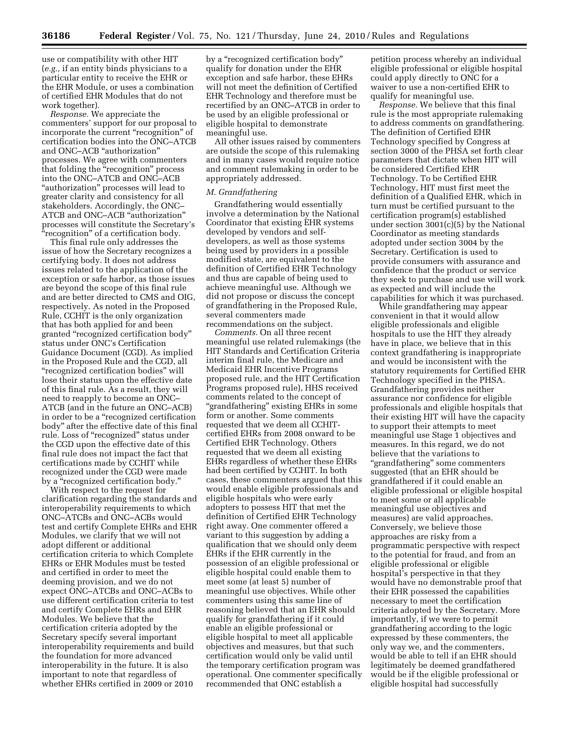use or compatibility with other HIT (*e.g.,* if an entity binds physicians to a particular entity to receive the EHR or the EHR Module, or uses a combination of certified EHR Modules that do not work together).

*Response.* We appreciate the commenters' support for our proposal to incorporate the current "recognition" of certification bodies into the ONC–ATCB and ONC–ACB ''authorization'' processes. We agree with commenters that folding the "recognition" process into the ONC–ATCB and ONC–ACB "authorization" processes will lead to greater clarity and consistency for all stakeholders. Accordingly, the ONC– ATCB and ONC–ACB ''authorization'' processes will constitute the Secretary's ''recognition'' of a certification body.

This final rule only addresses the issue of how the Secretary recognizes a certifying body. It does not address issues related to the application of the exception or safe harbor, as those issues are beyond the scope of this final rule and are better directed to CMS and OIG, respectively. As noted in the Proposed Rule, CCHIT is the only organization that has both applied for and been granted ''recognized certification body'' status under ONC's Certification Guidance Document (CGD). As implied in the Proposed Rule and the CGD, all ''recognized certification bodies'' will lose their status upon the effective date of this final rule. As a result, they will need to reapply to become an ONC– ATCB (and in the future an ONC–ACB) in order to be a ''recognized certification body'' after the effective date of this final rule. Loss of ''recognized'' status under the CGD upon the effective date of this final rule does not impact the fact that certifications made by CCHIT while recognized under the CGD were made by a ''recognized certification body.''

With respect to the request for clarification regarding the standards and interoperability requirements to which ONC–ATCBs and ONC–ACBs would test and certify Complete EHRs and EHR Modules, we clarify that we will not adopt different or additional certification criteria to which Complete EHRs or EHR Modules must be tested and certified in order to meet the deeming provision, and we do not expect ONC–ATCBs and ONC–ACBs to use different certification criteria to test and certify Complete EHRs and EHR Modules. We believe that the certification criteria adopted by the Secretary specify several important interoperability requirements and build the foundation for more advanced interoperability in the future. It is also important to note that regardless of whether EHRs certified in 2009 or 2010

by a ''recognized certification body'' qualify for donation under the EHR exception and safe harbor, these EHRs will not meet the definition of Certified EHR Technology and therefore must be recertified by an ONC–ATCB in order to be used by an eligible professional or eligible hospital to demonstrate meaningful use.

All other issues raised by commenters are outside the scope of this rulemaking and in many cases would require notice and comment rulemaking in order to be appropriately addressed.

#### *M. Grandfathering*

Grandfathering would essentially involve a determination by the National Coordinator that existing EHR systems developed by vendors and selfdevelopers, as well as those systems being used by providers in a possible modified state, are equivalent to the definition of Certified EHR Technology and thus are capable of being used to achieve meaningful use. Although we did not propose or discuss the concept of grandfathering in the Proposed Rule, several commenters made recommendations on the subject.

*Comments.* On all three recent meaningful use related rulemakings (the HIT Standards and Certification Criteria interim final rule, the Medicare and Medicaid EHR Incentive Programs proposed rule, and the HIT Certification Programs proposed rule), HHS received comments related to the concept of ''grandfathering'' existing EHRs in some form or another. Some comments requested that we deem all CCHITcertified EHRs from 2008 onward to be Certified EHR Technology. Others requested that we deem all existing EHRs regardless of whether these EHRs had been certified by CCHIT. In both cases, these commenters argued that this would enable eligible professionals and eligible hospitals who were early adopters to possess HIT that met the definition of Certified EHR Technology right away. One commenter offered a variant to this suggestion by adding a qualification that we should only deem EHRs if the EHR currently in the possession of an eligible professional or eligible hospital could enable them to meet some (at least 5) number of meaningful use objectives. While other commenters using this same line of reasoning believed that an EHR should qualify for grandfathering if it could enable an eligible professional or eligible hospital to meet all applicable objectives and measures, but that such certification would only be valid until the temporary certification program was operational. One commenter specifically recommended that ONC establish a

petition process whereby an individual eligible professional or eligible hospital could apply directly to ONC for a waiver to use a non-certified EHR to qualify for meaningful use.

*Response.* We believe that this final rule is the most appropriate rulemaking to address comments on grandfathering. The definition of Certified EHR Technology specified by Congress at section 3000 of the PHSA set forth clear parameters that dictate when HIT will be considered Certified EHR Technology. To be Certified EHR Technology, HIT must first meet the definition of a Qualified EHR, which in turn must be certified pursuant to the certification program(s) established under section 3001(c)(5) by the National Coordinator as meeting standards adopted under section 3004 by the Secretary. Certification is used to provide consumers with assurance and confidence that the product or service they seek to purchase and use will work as expected and will include the capabilities for which it was purchased.

While grandfathering may appear convenient in that it would allow eligible professionals and eligible hospitals to use the HIT they already have in place, we believe that in this context grandfathering is inappropriate and would be inconsistent with the statutory requirements for Certified EHR Technology specified in the PHSA. Grandfathering provides neither assurance nor confidence for eligible professionals and eligible hospitals that their existing HIT will have the capacity to support their attempts to meet meaningful use Stage 1 objectives and measures. In this regard, we do not believe that the variations to ''grandfathering'' some commenters suggested (that an EHR should be grandfathered if it could enable an eligible professional or eligible hospital to meet some or all applicable meaningful use objectives and measures) are valid approaches. Conversely, we believe those approaches are risky from a programmatic perspective with respect to the potential for fraud, and from an eligible professional or eligible hospital's perspective in that they would have no demonstrable proof that their EHR possessed the capabilities necessary to meet the certification criteria adopted by the Secretary. More importantly, if we were to permit grandfathering according to the logic expressed by these commenters, the only way we, and the commenters, would be able to tell if an EHR should legitimately be deemed grandfathered would be if the eligible professional or eligible hospital had successfully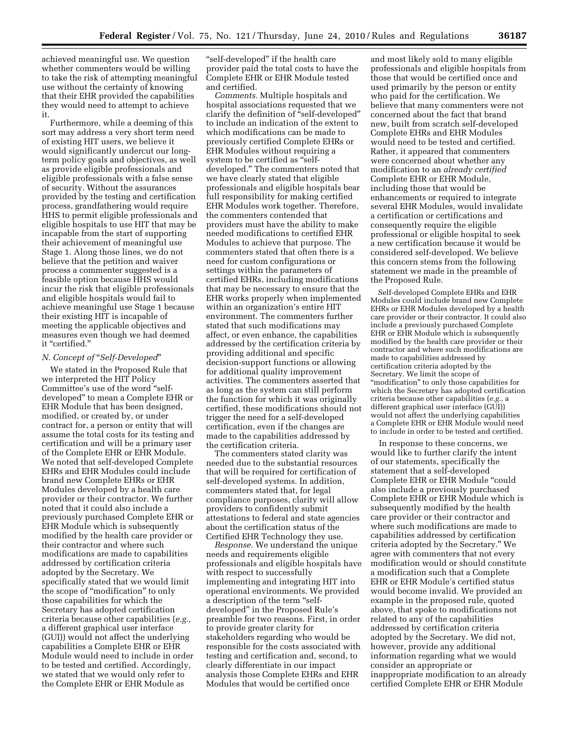achieved meaningful use. We question whether commenters would be willing to take the risk of attempting meaningful use without the certainty of knowing that their EHR provided the capabilities they would need to attempt to achieve it.

Furthermore, while a deeming of this sort may address a very short term need of existing HIT users, we believe it would significantly undercut our longterm policy goals and objectives, as well as provide eligible professionals and eligible professionals with a false sense of security. Without the assurances provided by the testing and certification process, grandfathering would require HHS to permit eligible professionals and eligible hospitals to use HIT that may be incapable from the start of supporting their achievement of meaningful use Stage 1. Along those lines, we do not believe that the petition and waiver process a commenter suggested is a feasible option because HHS would incur the risk that eligible professionals and eligible hospitals would fail to achieve meaningful use Stage 1 because their existing HIT is incapable of meeting the applicable objectives and measures even though we had deemed it ''certified.''

#### *N. Concept of* ''*Self-Developed*''

We stated in the Proposed Rule that we interpreted the HIT Policy Committee's use of the word "selfdeveloped'' to mean a Complete EHR or EHR Module that has been designed, modified, or created by, or under contract for, a person or entity that will assume the total costs for its testing and certification and will be a primary user of the Complete EHR or EHR Module. We noted that self-developed Complete EHRs and EHR Modules could include brand new Complete EHRs or EHR Modules developed by a health care provider or their contractor. We further noted that it could also include a previously purchased Complete EHR or EHR Module which is subsequently modified by the health care provider or their contractor and where such modifications are made to capabilities addressed by certification criteria adopted by the Secretary. We specifically stated that we would limit the scope of ''modification'' to only those capabilities for which the Secretary has adopted certification criteria because other capabilities (*e.g.,*  a different graphical user interface (GUI)) would not affect the underlying capabilities a Complete EHR or EHR Module would need to include in order to be tested and certified. Accordingly, we stated that we would only refer to the Complete EHR or EHR Module as

"self-developed" if the health care provider paid the total costs to have the Complete EHR or EHR Module tested and certified.

*Comments.* Multiple hospitals and hospital associations requested that we clarify the definition of ''self-developed'' to include an indication of the extent to which modifications can be made to previously certified Complete EHRs or EHR Modules without requiring a system to be certified as "selfdeveloped.'' The commenters noted that we have clearly stated that eligible professionals and eligible hospitals bear full responsibility for making certified EHR Modules work together. Therefore, the commenters contended that providers must have the ability to make needed modifications to certified EHR Modules to achieve that purpose. The commenters stated that often there is a need for custom configurations or settings within the parameters of certified EHRs, including modifications that may be necessary to ensure that the EHR works properly when implemented within an organization's entire HIT environment. The commenters further stated that such modifications may affect, or even enhance, the capabilities addressed by the certification criteria by providing additional and specific decision-support functions or allowing for additional quality improvement activities. The commenters asserted that as long as the system can still perform the function for which it was originally certified, these modifications should not trigger the need for a self-developed certification, even if the changes are made to the capabilities addressed by the certification criteria.

The commenters stated clarity was needed due to the substantial resources that will be required for certification of self-developed systems. In addition, commenters stated that, for legal compliance purposes, clarity will allow providers to confidently submit attestations to federal and state agencies about the certification status of the Certified EHR Technology they use.

*Response.* We understand the unique needs and requirements eligible professionals and eligible hospitals have with respect to successfully implementing and integrating HIT into operational environments. We provided a description of the term "selfdeveloped'' in the Proposed Rule's preamble for two reasons. First, in order to provide greater clarity for stakeholders regarding who would be responsible for the costs associated with testing and certification and, second, to clearly differentiate in our impact analysis those Complete EHRs and EHR Modules that would be certified once

and most likely sold to many eligible professionals and eligible hospitals from those that would be certified once and used primarily by the person or entity who paid for the certification. We believe that many commenters were not concerned about the fact that brand new, built from scratch self-developed Complete EHRs and EHR Modules would need to be tested and certified. Rather, it appeared that commenters were concerned about whether any modification to an *already certified*  Complete EHR or EHR Module, including those that would be enhancements or required to integrate several EHR Modules, would invalidate a certification or certifications and consequently require the eligible professional or eligible hospital to seek a new certification because it would be considered self-developed. We believe this concern stems from the following statement we made in the preamble of the Proposed Rule.

Self-developed Complete EHRs and EHR Modules could include brand new Complete EHRs or EHR Modules developed by a health care provider or their contractor. It could also include a previously purchased Complete EHR or EHR Module which is subsequently modified by the health care provider or their contractor and where such modifications are made to capabilities addressed by certification criteria adopted by the Secretary. We limit the scope of ''modification'' to only those capabilities for which the Secretary has adopted certification criteria because other capabilities (*e.g.,* a different graphical user interface (GUI)) would not affect the underlying capabilities a Complete EHR or EHR Module would need to include in order to be tested and certified.

In response to these concerns, we would like to further clarify the intent of our statements, specifically the statement that a self-developed Complete EHR or EHR Module ''could also include a previously purchased Complete EHR or EHR Module which is subsequently modified by the health care provider or their contractor and where such modifications are made to capabilities addressed by certification criteria adopted by the Secretary.'' We agree with commenters that not every modification would or should constitute a modification such that a Complete EHR or EHR Module's certified status would become invalid. We provided an example in the proposed rule, quoted above, that spoke to modifications not related to any of the capabilities addressed by certification criteria adopted by the Secretary. We did not, however, provide any additional information regarding what we would consider an appropriate or inappropriate modification to an already certified Complete EHR or EHR Module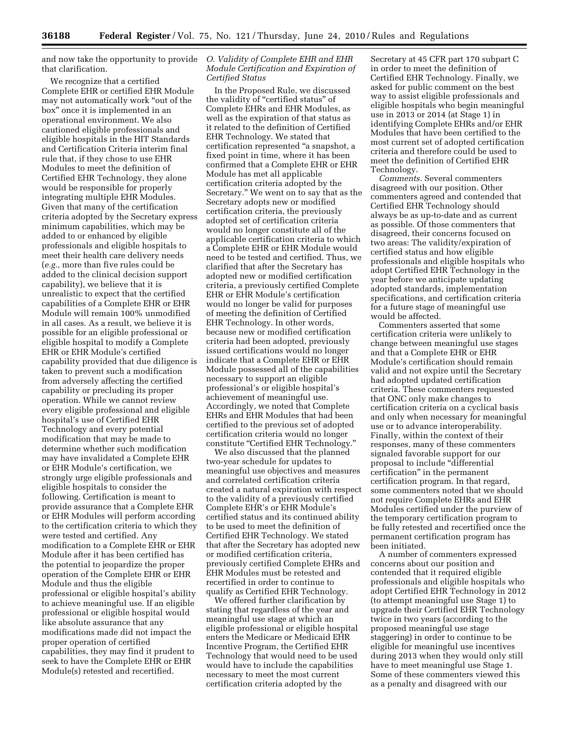and now take the opportunity to provide *O. Validity of Complete EHR and EHR*  that clarification.

We recognize that a certified Complete EHR or certified EHR Module may not automatically work ''out of the box'' once it is implemented in an operational environment. We also cautioned eligible professionals and eligible hospitals in the HIT Standards and Certification Criteria interim final rule that, if they chose to use EHR Modules to meet the definition of Certified EHR Technology, they alone would be responsible for properly integrating multiple EHR Modules. Given that many of the certification criteria adopted by the Secretary express minimum capabilities, which may be added to or enhanced by eligible professionals and eligible hospitals to meet their health care delivery needs (*e.g.,* more than five rules could be added to the clinical decision support capability), we believe that it is unrealistic to expect that the certified capabilities of a Complete EHR or EHR Module will remain 100% unmodified in all cases. As a result, we believe it is possible for an eligible professional or eligible hospital to modify a Complete EHR or EHR Module's certified capability provided that due diligence is taken to prevent such a modification from adversely affecting the certified capability or precluding its proper operation. While we cannot review every eligible professional and eligible hospital's use of Certified EHR Technology and every potential modification that may be made to determine whether such modification may have invalidated a Complete EHR or EHR Module's certification, we strongly urge eligible professionals and eligible hospitals to consider the following. Certification is meant to provide assurance that a Complete EHR or EHR Modules will perform according to the certification criteria to which they were tested and certified. Any modification to a Complete EHR or EHR Module after it has been certified has the potential to jeopardize the proper operation of the Complete EHR or EHR Module and thus the eligible professional or eligible hospital's ability to achieve meaningful use. If an eligible professional or eligible hospital would like absolute assurance that any modifications made did not impact the proper operation of certified capabilities, they may find it prudent to seek to have the Complete EHR or EHR Module(s) retested and recertified.

## *Module Certification and Expiration of Certified Status*

In the Proposed Rule, we discussed the validity of ''certified status'' of Complete EHRs and EHR Modules, as well as the expiration of that status as it related to the definition of Certified EHR Technology. We stated that certification represented ''a snapshot, a fixed point in time, where it has been confirmed that a Complete EHR or EHR Module has met all applicable certification criteria adopted by the Secretary.'' We went on to say that as the Secretary adopts new or modified certification criteria, the previously adopted set of certification criteria would no longer constitute all of the applicable certification criteria to which a Complete EHR or EHR Module would need to be tested and certified. Thus, we clarified that after the Secretary has adopted new or modified certification criteria, a previously certified Complete EHR or EHR Module's certification would no longer be valid for purposes of meeting the definition of Certified EHR Technology. In other words, because new or modified certification criteria had been adopted, previously issued certifications would no longer indicate that a Complete EHR or EHR Module possessed all of the capabilities necessary to support an eligible professional's or eligible hospital's achievement of meaningful use. Accordingly, we noted that Complete EHRs and EHR Modules that had been certified to the previous set of adopted certification criteria would no longer constitute ''Certified EHR Technology.''

We also discussed that the planned two-year schedule for updates to meaningful use objectives and measures and correlated certification criteria created a natural expiration with respect to the validity of a previously certified Complete EHR's or EHR Module's certified status and its continued ability to be used to meet the definition of Certified EHR Technology. We stated that after the Secretary has adopted new or modified certification criteria, previously certified Complete EHRs and EHR Modules must be retested and recertified in order to continue to qualify as Certified EHR Technology.

We offered further clarification by stating that regardless of the year and meaningful use stage at which an eligible professional or eligible hospital enters the Medicare or Medicaid EHR Incentive Program, the Certified EHR Technology that would need to be used would have to include the capabilities necessary to meet the most current certification criteria adopted by the

Secretary at 45 CFR part 170 subpart C in order to meet the definition of Certified EHR Technology. Finally, we asked for public comment on the best way to assist eligible professionals and eligible hospitals who begin meaningful use in 2013 or 2014 (at Stage 1) in identifying Complete EHRs and/or EHR Modules that have been certified to the most current set of adopted certification criteria and therefore could be used to meet the definition of Certified EHR Technology.

*Comments.* Several commenters disagreed with our position. Other commenters agreed and contended that Certified EHR Technology should always be as up-to-date and as current as possible. Of those commenters that disagreed, their concerns focused on two areas: The validity/expiration of certified status and how eligible professionals and eligible hospitals who adopt Certified EHR Technology in the year before we anticipate updating adopted standards, implementation specifications, and certification criteria for a future stage of meaningful use would be affected.

Commenters asserted that some certification criteria were unlikely to change between meaningful use stages and that a Complete EHR or EHR Module's certification should remain valid and not expire until the Secretary had adopted updated certification criteria. These commenters requested that ONC only make changes to certification criteria on a cyclical basis and only when necessary for meaningful use or to advance interoperability. Finally, within the context of their responses, many of these commenters signaled favorable support for our proposal to include ''differential certification'' in the permanent certification program. In that regard, some commenters noted that we should not require Complete EHRs and EHR Modules certified under the purview of the temporary certification program to be fully retested and recertified once the permanent certification program has been initiated.

A number of commenters expressed concerns about our position and contended that it required eligible professionals and eligible hospitals who adopt Certified EHR Technology in 2012 (to attempt meaningful use Stage 1) to upgrade their Certified EHR Technology twice in two years (according to the proposed meaningful use stage staggering) in order to continue to be eligible for meaningful use incentives during 2013 when they would only still have to meet meaningful use Stage 1. Some of these commenters viewed this as a penalty and disagreed with our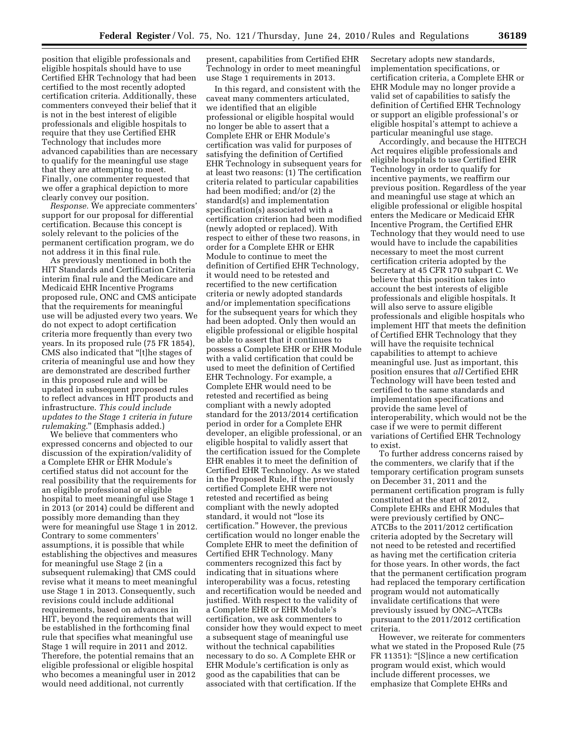position that eligible professionals and eligible hospitals should have to use Certified EHR Technology that had been certified to the most recently adopted certification criteria. Additionally, these commenters conveyed their belief that it is not in the best interest of eligible professionals and eligible hospitals to require that they use Certified EHR Technology that includes more advanced capabilities than are necessary to qualify for the meaningful use stage that they are attempting to meet. Finally, one commenter requested that we offer a graphical depiction to more clearly convey our position.

*Response.* We appreciate commenters' support for our proposal for differential certification. Because this concept is solely relevant to the policies of the permanent certification program, we do not address it in this final rule.

As previously mentioned in both the HIT Standards and Certification Criteria interim final rule and the Medicare and Medicaid EHR Incentive Programs proposed rule, ONC and CMS anticipate that the requirements for meaningful use will be adjusted every two years. We do not expect to adopt certification criteria more frequently than every two years. In its proposed rule (75 FR 1854), CMS also indicated that ''[t]he stages of criteria of meaningful use and how they are demonstrated are described further in this proposed rule and will be updated in subsequent proposed rules to reflect advances in HIT products and infrastructure. *This could include updates to the Stage 1 criteria in future rulemaking.*'' (Emphasis added.)

We believe that commenters who expressed concerns and objected to our discussion of the expiration/validity of a Complete EHR or EHR Module's certified status did not account for the real possibility that the requirements for an eligible professional or eligible hospital to meet meaningful use Stage 1 in 2013 (or 2014) could be different and possibly more demanding than they were for meaningful use Stage 1 in 2012. Contrary to some commenters' assumptions, it is possible that while establishing the objectives and measures for meaningful use Stage 2 (in a subsequent rulemaking) that CMS could revise what it means to meet meaningful use Stage 1 in 2013. Consequently, such revisions could include additional requirements, based on advances in HIT, beyond the requirements that will be established in the forthcoming final rule that specifies what meaningful use Stage 1 will require in 2011 and 2012. Therefore, the potential remains that an eligible professional or eligible hospital who becomes a meaningful user in 2012 would need additional, not currently

present, capabilities from Certified EHR Technology in order to meet meaningful use Stage 1 requirements in 2013.

In this regard, and consistent with the caveat many commenters articulated, we identified that an eligible professional or eligible hospital would no longer be able to assert that a Complete EHR or EHR Module's certification was valid for purposes of satisfying the definition of Certified EHR Technology in subsequent years for at least two reasons: (1) The certification criteria related to particular capabilities had been modified; and/or (2) the standard(s) and implementation specification(s) associated with a certification criterion had been modified (newly adopted or replaced). With respect to either of these two reasons, in order for a Complete EHR or EHR Module to continue to meet the definition of Certified EHR Technology, it would need to be retested and recertified to the new certification criteria or newly adopted standards and/or implementation specifications for the subsequent years for which they had been adopted. Only then would an eligible professional or eligible hospital be able to assert that it continues to possess a Complete EHR or EHR Module with a valid certification that could be used to meet the definition of Certified EHR Technology. For example, a Complete EHR would need to be retested and recertified as being compliant with a newly adopted standard for the 2013/2014 certification period in order for a Complete EHR developer, an eligible professional, or an eligible hospital to validly assert that the certification issued for the Complete EHR enables it to meet the definition of Certified EHR Technology. As we stated in the Proposed Rule, if the previously certified Complete EHR were not retested and recertified as being compliant with the newly adopted standard, it would not ''lose its certification.'' However, the previous certification would no longer enable the Complete EHR to meet the definition of Certified EHR Technology. Many commenters recognized this fact by indicating that in situations where interoperability was a focus, retesting and recertification would be needed and justified. With respect to the validity of a Complete EHR or EHR Module's certification, we ask commenters to consider how they would expect to meet a subsequent stage of meaningful use without the technical capabilities necessary to do so. A Complete EHR or EHR Module's certification is only as good as the capabilities that can be associated with that certification. If the

Secretary adopts new standards, implementation specifications, or certification criteria, a Complete EHR or EHR Module may no longer provide a valid set of capabilities to satisfy the definition of Certified EHR Technology or support an eligible professional's or eligible hospital's attempt to achieve a particular meaningful use stage.

Accordingly, and because the HITECH Act requires eligible professionals and eligible hospitals to use Certified EHR Technology in order to qualify for incentive payments, we reaffirm our previous position. Regardless of the year and meaningful use stage at which an eligible professional or eligible hospital enters the Medicare or Medicaid EHR Incentive Program, the Certified EHR Technology that they would need to use would have to include the capabilities necessary to meet the most current certification criteria adopted by the Secretary at 45 CFR 170 subpart C. We believe that this position takes into account the best interests of eligible professionals and eligible hospitals. It will also serve to assure eligible professionals and eligible hospitals who implement HIT that meets the definition of Certified EHR Technology that they will have the requisite technical capabilities to attempt to achieve meaningful use. Just as important, this position ensures that *all* Certified EHR Technology will have been tested and certified to the same standards and implementation specifications and provide the same level of interoperability, which would not be the case if we were to permit different variations of Certified EHR Technology to exist.

To further address concerns raised by the commenters, we clarify that if the temporary certification program sunsets on December 31, 2011 and the permanent certification program is fully constituted at the start of 2012, Complete EHRs and EHR Modules that were previously certified by ONC– ATCBs to the 2011/2012 certification criteria adopted by the Secretary will not need to be retested and recertified as having met the certification criteria for those years. In other words, the fact that the permanent certification program had replaced the temporary certification program would not automatically invalidate certifications that were previously issued by ONC–ATCBs pursuant to the 2011/2012 certification criteria.

However, we reiterate for commenters what we stated in the Proposed Rule (75 FR 11351): "[S]ince a new certification program would exist, which would include different processes, we emphasize that Complete EHRs and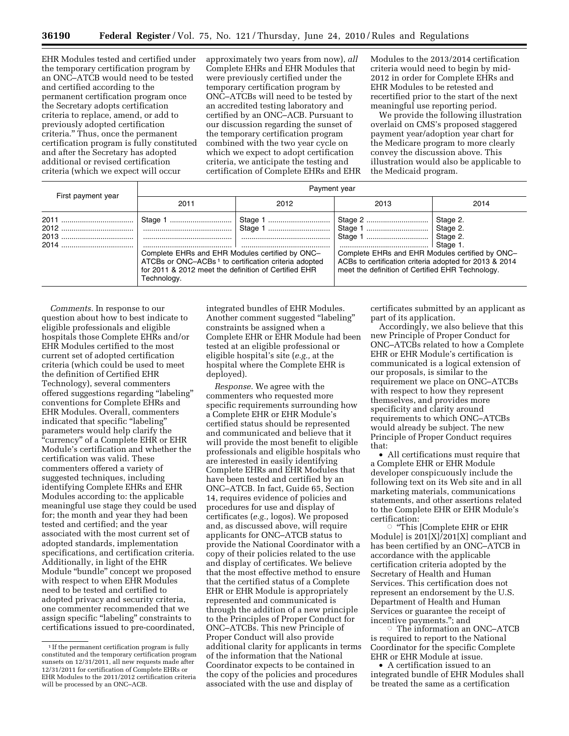EHR Modules tested and certified under the temporary certification program by an ONC–ATCB would need to be tested and certified according to the permanent certification program once the Secretary adopts certification criteria to replace, amend, or add to previously adopted certification criteria.'' Thus, once the permanent certification program is fully constituted and after the Secretary has adopted additional or revised certification criteria (which we expect will occur

approximately two years from now), *all*  Complete EHRs and EHR Modules that were previously certified under the temporary certification program by ONC–ATCBs will need to be tested by an accredited testing laboratory and certified by an ONC–ACB. Pursuant to our discussion regarding the sunset of the temporary certification program combined with the two year cycle on which we expect to adopt certification criteria, we anticipate the testing and certification of Complete EHRs and EHR Modules to the 2013/2014 certification criteria would need to begin by mid-2012 in order for Complete EHRs and EHR Modules to be retested and recertified prior to the start of the next meaningful use reporting period.

We provide the following illustration overlaid on CMS's proposed staggered payment year/adoption year chart for the Medicare program to more clearly convey the discussion above. This illustration would also be applicable to the Medicaid program.

| First payment year | Payment year                                                                                                                                                                               |      |                                                                                                                                                               |                      |  |  |  |  |  |
|--------------------|--------------------------------------------------------------------------------------------------------------------------------------------------------------------------------------------|------|---------------------------------------------------------------------------------------------------------------------------------------------------------------|----------------------|--|--|--|--|--|
|                    | 2011                                                                                                                                                                                       | 2012 | 2013                                                                                                                                                          | 2014                 |  |  |  |  |  |
|                    | Complete EHRs and EHR Modules certified by ONC-<br>ATCBs or ONC-ACBs <sup>1</sup> to certification criteria adopted<br>for 2011 & 2012 meet the definition of Certified EHR<br>Technology. |      | Complete EHRs and EHR Modules certified by ONC-<br>ACBs to certification criteria adopted for 2013 & 2014<br>meet the definition of Certified EHR Technology. | Stage 2.<br>Stage 2. |  |  |  |  |  |

*Comments.* In response to our question about how to best indicate to eligible professionals and eligible hospitals those Complete EHRs and/or EHR Modules certified to the most current set of adopted certification criteria (which could be used to meet the definition of Certified EHR Technology), several commenters offered suggestions regarding ''labeling'' conventions for Complete EHRs and EHR Modules. Overall, commenters indicated that specific "labeling" parameters would help clarify the ''currency'' of a Complete EHR or EHR Module's certification and whether the certification was valid. These commenters offered a variety of suggested techniques, including identifying Complete EHRs and EHR Modules according to: the applicable meaningful use stage they could be used for; the month and year they had been tested and certified; and the year associated with the most current set of adopted standards, implementation specifications, and certification criteria. Additionally, in light of the EHR Module ''bundle'' concept we proposed with respect to when EHR Modules need to be tested and certified to adopted privacy and security criteria, one commenter recommended that we assign specific "labeling" constraints to certifications issued to pre-coordinated,

integrated bundles of EHR Modules. Another comment suggested ''labeling'' constraints be assigned when a Complete EHR or EHR Module had been tested at an eligible professional or eligible hospital's site (*e.g.,* at the hospital where the Complete EHR is deployed).

*Response.* We agree with the commenters who requested more specific requirements surrounding how a Complete EHR or EHR Module's certified status should be represented and communicated and believe that it will provide the most benefit to eligible professionals and eligible hospitals who are interested in easily identifying Complete EHRs and EHR Modules that have been tested and certified by an ONC–ATCB. In fact, Guide 65, Section 14, requires evidence of policies and procedures for use and display of certificates (*e.g.,* logos). We proposed and, as discussed above, will require applicants for ONC–ATCB status to provide the National Coordinator with a copy of their policies related to the use and display of certificates. We believe that the most effective method to ensure that the certified status of a Complete EHR or EHR Module is appropriately represented and communicated is through the addition of a new principle to the Principles of Proper Conduct for ONC–ATCBs. This new Principle of Proper Conduct will also provide additional clarity for applicants in terms of the information that the National Coordinator expects to be contained in the copy of the policies and procedures associated with the use and display of

certificates submitted by an applicant as part of its application.

Accordingly, we also believe that this new Principle of Proper Conduct for ONC–ATCBs related to how a Complete EHR or EHR Module's certification is communicated is a logical extension of our proposals, is similar to the requirement we place on ONC–ATCBs with respect to how they represent themselves, and provides more specificity and clarity around requirements to which ONC–ATCBs would already be subject. The new Principle of Proper Conduct requires that:

• All certifications must require that a Complete EHR or EHR Module developer conspicuously include the following text on its Web site and in all marketing materials, communications statements, and other assertions related to the Complete EHR or EHR Module's certification:

Æ ''This [Complete EHR or EHR Module] is 201[X]/201[X] compliant and has been certified by an ONC–ATCB in accordance with the applicable certification criteria adopted by the Secretary of Health and Human Services. This certification does not represent an endorsement by the U.S. Department of Health and Human Services or guarantee the receipt of incentive payments.''; and

The information an ONC–ATCB is required to report to the National Coordinator for the specific Complete EHR or EHR Module at issue.

• A certification issued to an integrated bundle of EHR Modules shall be treated the same as a certification

<sup>&</sup>lt;sup>1</sup> If the permanent certification program is fully constituted and the temporary certification program sunsets on 12/31/2011, all new requests made after 12/31/2011 for certification of Complete EHRs or EHR Modules to the 2011/2012 certification criteria will be processed by an ONC–ACB.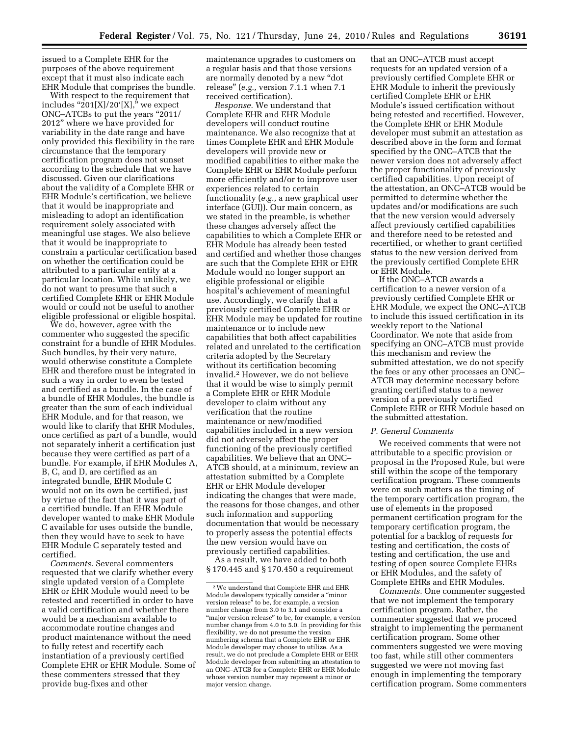issued to a Complete EHR for the purposes of the above requirement except that it must also indicate each EHR Module that comprises the bundle.

With respect to the requirement that includes " $201[X]/20'[X]$ ," we expect ONC–ATCBs to put the years ''2011/ 2012'' where we have provided for variability in the date range and have only provided this flexibility in the rare circumstance that the temporary certification program does not sunset according to the schedule that we have discussed. Given our clarifications about the validity of a Complete EHR or EHR Module's certification, we believe that it would be inappropriate and misleading to adopt an identification requirement solely associated with meaningful use stages. We also believe that it would be inappropriate to constrain a particular certification based on whether the certification could be attributed to a particular entity at a particular location. While unlikely, we do not want to presume that such a certified Complete EHR or EHR Module would or could not be useful to another eligible professional or eligible hospital.

We do, however, agree with the commenter who suggested the specific constraint for a bundle of EHR Modules. Such bundles, by their very nature, would otherwise constitute a Complete EHR and therefore must be integrated in such a way in order to even be tested and certified as a bundle. In the case of a bundle of EHR Modules, the bundle is greater than the sum of each individual EHR Module, and for that reason, we would like to clarify that EHR Modules, once certified as part of a bundle, would not separately inherit a certification just because they were certified as part of a bundle. For example, if EHR Modules A, B, C, and D, are certified as an integrated bundle, EHR Module C would not on its own be certified, just by virtue of the fact that it was part of a certified bundle. If an EHR Module developer wanted to make EHR Module C available for uses outside the bundle, then they would have to seek to have EHR Module C separately tested and certified.

*Comments.* Several commenters requested that we clarify whether every single updated version of a Complete EHR or EHR Module would need to be retested and recertified in order to have a valid certification and whether there would be a mechanism available to accommodate routine changes and product maintenance without the need to fully retest and recertify each instantiation of a previously certified Complete EHR or EHR Module. Some of these commenters stressed that they provide bug-fixes and other

maintenance upgrades to customers on a regular basis and that those versions are normally denoted by a new ''dot release'' (*e.g.,* version 7.1.1 when 7.1 received certification).

*Response.* We understand that Complete EHR and EHR Module developers will conduct routine maintenance. We also recognize that at times Complete EHR and EHR Module developers will provide new or modified capabilities to either make the Complete EHR or EHR Module perform more efficiently and/or to improve user experiences related to certain functionality (*e.g.,* a new graphical user interface (GUI)). Our main concern, as we stated in the preamble, is whether these changes adversely affect the capabilities to which a Complete EHR or EHR Module has already been tested and certified and whether those changes are such that the Complete EHR or EHR Module would no longer support an eligible professional or eligible hospital's achievement of meaningful use. Accordingly, we clarify that a previously certified Complete EHR or EHR Module may be updated for routine maintenance or to include new capabilities that both affect capabilities related and unrelated to the certification criteria adopted by the Secretary without its certification becoming invalid.2 However, we do not believe that it would be wise to simply permit a Complete EHR or EHR Module developer to claim without any verification that the routine maintenance or new/modified capabilities included in a new version did not adversely affect the proper functioning of the previously certified capabilities. We believe that an ONC– ATCB should, at a minimum, review an attestation submitted by a Complete EHR or EHR Module developer indicating the changes that were made, the reasons for those changes, and other such information and supporting documentation that would be necessary to properly assess the potential effects the new version would have on previously certified capabilities.

As a result, we have added to both § 170.445 and § 170.450 a requirement

that an ONC–ATCB must accept requests for an updated version of a previously certified Complete EHR or EHR Module to inherit the previously certified Complete EHR or EHR Module's issued certification without being retested and recertified. However, the Complete EHR or EHR Module developer must submit an attestation as described above in the form and format specified by the ONC–ATCB that the newer version does not adversely affect the proper functionality of previously certified capabilities. Upon receipt of the attestation, an ONC–ATCB would be permitted to determine whether the updates and/or modifications are such that the new version would adversely affect previously certified capabilities and therefore need to be retested and recertified, or whether to grant certified status to the new version derived from the previously certified Complete EHR or EHR Module.

If the ONC–ATCB awards a certification to a newer version of a previously certified Complete EHR or EHR Module, we expect the ONC–ATCB to include this issued certification in its weekly report to the National Coordinator. We note that aside from specifying an ONC–ATCB must provide this mechanism and review the submitted attestation, we do not specify the fees or any other processes an ONC– ATCB may determine necessary before granting certified status to a newer version of a previously certified Complete EHR or EHR Module based on the submitted attestation.

#### *P. General Comments*

We received comments that were not attributable to a specific provision or proposal in the Proposed Rule, but were still within the scope of the temporary certification program. These comments were on such matters as the timing of the temporary certification program, the use of elements in the proposed permanent certification program for the temporary certification program, the potential for a backlog of requests for testing and certification, the costs of testing and certification, the use and testing of open source Complete EHRs or EHR Modules, and the safety of Complete EHRs and EHR Modules.

*Comments.* One commenter suggested that we not implement the temporary certification program. Rather, the commenter suggested that we proceed straight to implementing the permanent certification program. Some other commenters suggested we were moving too fast, while still other commenters suggested we were not moving fast enough in implementing the temporary certification program. Some commenters

<sup>2</sup>We understand that Complete EHR and EHR Module developers typically consider a ''minor version release'' to be, for example, a version number change from 3.0 to 3.1 and consider a "major version release" to be, for example, a version number change from 4.0 to 5.0. In providing for this flexibility, we do not presume the version numbering schema that a Complete EHR or EHR Module developer may choose to utilize. As a result, we do not preclude a Complete EHR or EHR Module developer from submitting an attestation to an ONC–ATCB for a Complete EHR or EHR Module whose version number may represent a minor or major version change.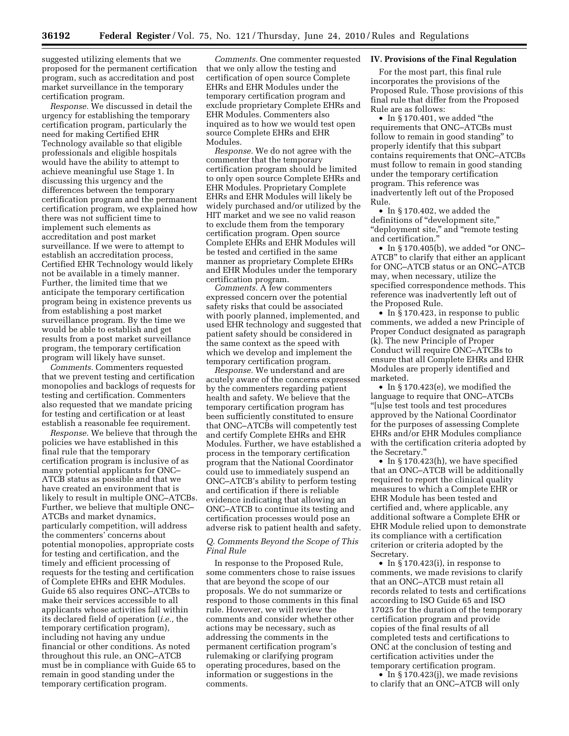suggested utilizing elements that we proposed for the permanent certification program, such as accreditation and post market surveillance in the temporary certification program.

*Response.* We discussed in detail the urgency for establishing the temporary certification program, particularly the need for making Certified EHR Technology available so that eligible professionals and eligible hospitals would have the ability to attempt to achieve meaningful use Stage 1. In discussing this urgency and the differences between the temporary certification program and the permanent certification program, we explained how there was not sufficient time to implement such elements as accreditation and post market surveillance. If we were to attempt to establish an accreditation process, Certified EHR Technology would likely not be available in a timely manner. Further, the limited time that we anticipate the temporary certification program being in existence prevents us from establishing a post market surveillance program. By the time we would be able to establish and get results from a post market surveillance program, the temporary certification program will likely have sunset.

*Comments.* Commenters requested that we prevent testing and certification monopolies and backlogs of requests for testing and certification. Commenters also requested that we mandate pricing for testing and certification or at least establish a reasonable fee requirement.

*Response.* We believe that through the policies we have established in this final rule that the temporary certification program is inclusive of as many potential applicants for ONC– ATCB status as possible and that we have created an environment that is likely to result in multiple ONC–ATCBs. Further, we believe that multiple ONC– ATCBs and market dynamics, particularly competition, will address the commenters' concerns about potential monopolies, appropriate costs for testing and certification, and the timely and efficient processing of requests for the testing and certification of Complete EHRs and EHR Modules. Guide 65 also requires ONC–ATCBs to make their services accessible to all applicants whose activities fall within its declared field of operation (*i.e.,* the temporary certification program), including not having any undue financial or other conditions. As noted throughout this rule, an ONC–ATCB must be in compliance with Guide 65 to remain in good standing under the temporary certification program.

*Comments.* One commenter requested that we only allow the testing and certification of open source Complete EHRs and EHR Modules under the temporary certification program and exclude proprietary Complete EHRs and EHR Modules. Commenters also inquired as to how we would test open source Complete EHRs and EHR Modules.

*Response.* We do not agree with the commenter that the temporary certification program should be limited to only open source Complete EHRs and EHR Modules. Proprietary Complete EHRs and EHR Modules will likely be widely purchased and/or utilized by the HIT market and we see no valid reason to exclude them from the temporary certification program. Open source Complete EHRs and EHR Modules will be tested and certified in the same manner as proprietary Complete EHRs and EHR Modules under the temporary certification program.

*Comments.* A few commenters expressed concern over the potential safety risks that could be associated with poorly planned, implemented, and used EHR technology and suggested that patient safety should be considered in the same context as the speed with which we develop and implement the temporary certification program.

*Response.* We understand and are acutely aware of the concerns expressed by the commenters regarding patient health and safety. We believe that the temporary certification program has been sufficiently constituted to ensure that ONC–ATCBs will competently test and certify Complete EHRs and EHR Modules. Further, we have established a process in the temporary certification program that the National Coordinator could use to immediately suspend an ONC–ATCB's ability to perform testing and certification if there is reliable evidence indicating that allowing an ONC–ATCB to continue its testing and certification processes would pose an adverse risk to patient health and safety.

#### *Q. Comments Beyond the Scope of This Final Rule*

In response to the Proposed Rule, some commenters chose to raise issues that are beyond the scope of our proposals. We do not summarize or respond to those comments in this final rule. However, we will review the comments and consider whether other actions may be necessary, such as addressing the comments in the permanent certification program's rulemaking or clarifying program operating procedures, based on the information or suggestions in the comments.

#### **IV. Provisions of the Final Regulation**

For the most part, this final rule incorporates the provisions of the Proposed Rule. Those provisions of this final rule that differ from the Proposed Rule are as follows:

• In §170.401, we added "the requirements that ONC–ATCBs must follow to remain in good standing'' to properly identify that this subpart contains requirements that ONC–ATCBs must follow to remain in good standing under the temporary certification program. This reference was inadvertently left out of the Proposed Rule.

• In § 170.402, we added the definitions of "development site," ''deployment site,'' and ''remote testing and certification.''

• In  $\S 170.405(b)$ , we added "or ONC-ATCB'' to clarify that either an applicant for ONC–ATCB status or an ONC–ATCB may, when necessary, utilize the specified correspondence methods. This reference was inadvertently left out of the Proposed Rule.

• In §170.423, in response to public comments, we added a new Principle of Proper Conduct designated as paragraph (k). The new Principle of Proper Conduct will require ONC–ATCBs to ensure that all Complete EHRs and EHR Modules are properly identified and marketed.

• In § 170.423(e), we modified the language to require that ONC–ATCBs ''[u]se test tools and test procedures approved by the National Coordinator for the purposes of assessing Complete EHRs and/or EHR Modules compliance with the certification criteria adopted by the Secretary.''

• In § 170.423(h), we have specified that an ONC–ATCB will be additionally required to report the clinical quality measures to which a Complete EHR or EHR Module has been tested and certified and, where applicable, any additional software a Complete EHR or EHR Module relied upon to demonstrate its compliance with a certification criterion or criteria adopted by the Secretary.

• In § 170.423(i), in response to comments, we made revisions to clarify that an ONC–ATCB must retain all records related to tests and certifications according to ISO Guide 65 and ISO 17025 for the duration of the temporary certification program and provide copies of the final results of all completed tests and certifications to ONC at the conclusion of testing and certification activities under the temporary certification program.

• In § 170.423(j), we made revisions to clarify that an ONC–ATCB will only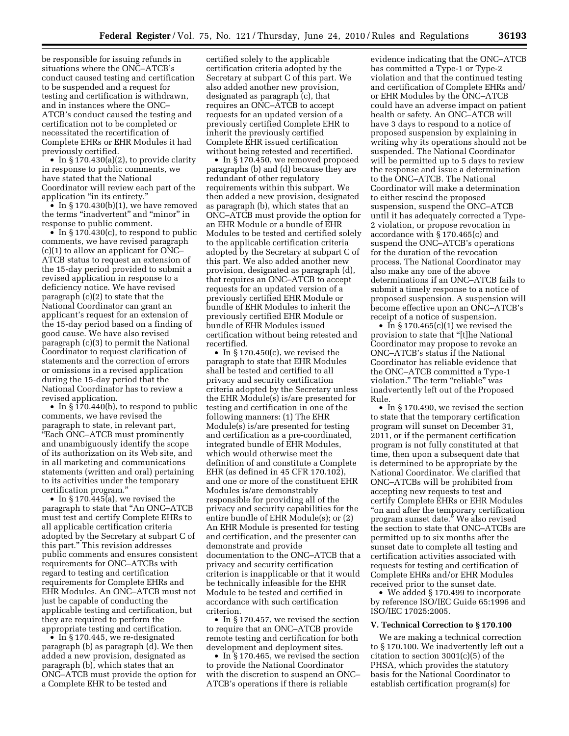be responsible for issuing refunds in situations where the ONC–ATCB's conduct caused testing and certification to be suspended and a request for testing and certification is withdrawn, and in instances where the ONC– ATCB's conduct caused the testing and certification not to be completed or necessitated the recertification of Complete EHRs or EHR Modules it had previously certified.

• In §170.430(a)(2), to provide clarity in response to public comments, we have stated that the National Coordinator will review each part of the application ''in its entirety.''

• In  $\S 170.430(b)(1)$ , we have removed the terms "inadvertent" and "minor" in response to public comment.

• In §170.430(c), to respond to public comments, we have revised paragraph (c)(1) to allow an applicant for ONC– ATCB status to request an extension of the 15-day period provided to submit a revised application in response to a deficiency notice. We have revised paragraph (c)(2) to state that the National Coordinator can grant an applicant's request for an extension of the 15-day period based on a finding of good cause. We have also revised paragraph (c)(3) to permit the National Coordinator to request clarification of statements and the correction of errors or omissions in a revised application during the 15-day period that the National Coordinator has to review a revised application.

• In §170.440(b), to respond to public comments, we have revised the paragraph to state, in relevant part, ''Each ONC–ATCB must prominently and unambiguously identify the scope of its authorization on its Web site, and in all marketing and communications statements (written and oral) pertaining to its activities under the temporary certification program.''

• In §170.445(a), we revised the paragraph to state that ''An ONC–ATCB must test and certify Complete EHRs to all applicable certification criteria adopted by the Secretary at subpart C of this part.'' This revision addresses public comments and ensures consistent requirements for ONC–ATCBs with regard to testing and certification requirements for Complete EHRs and EHR Modules. An ONC–ATCB must not just be capable of conducting the applicable testing and certification, but they are required to perform the appropriate testing and certification.

• In §170.445, we re-designated paragraph (b) as paragraph (d). We then added a new provision, designated as paragraph (b), which states that an ONC–ATCB must provide the option for a Complete EHR to be tested and

certified solely to the applicable certification criteria adopted by the Secretary at subpart C of this part. We also added another new provision, designated as paragraph (c), that requires an ONC–ATCB to accept requests for an updated version of a previously certified Complete EHR to inherit the previously certified Complete EHR issued certification without being retested and recertified.

• In § 170.450, we removed proposed paragraphs (b) and (d) because they are redundant of other regulatory requirements within this subpart. We then added a new provision, designated as paragraph (b), which states that an ONC–ATCB must provide the option for an EHR Module or a bundle of EHR Modules to be tested and certified solely to the applicable certification criteria adopted by the Secretary at subpart C of this part. We also added another new provision, designated as paragraph (d), that requires an ONC–ATCB to accept requests for an updated version of a previously certified EHR Module or bundle of EHR Modules to inherit the previously certified EHR Module or bundle of EHR Modules issued certification without being retested and recertified.

• In §170.450(c), we revised the paragraph to state that EHR Modules shall be tested and certified to all privacy and security certification criteria adopted by the Secretary unless the EHR Module(s) is/are presented for testing and certification in one of the following manners: (1) The EHR Module(s) is/are presented for testing and certification as a pre-coordinated, integrated bundle of EHR Modules, which would otherwise meet the definition of and constitute a Complete EHR (as defined in 45 CFR 170.102), and one or more of the constituent EHR Modules is/are demonstrably responsible for providing all of the privacy and security capabilities for the entire bundle of EHR Module(s); or (2) An EHR Module is presented for testing and certification, and the presenter can demonstrate and provide documentation to the ONC–ATCB that a privacy and security certification criterion is inapplicable or that it would be technically infeasible for the EHR Module to be tested and certified in accordance with such certification criterion.

• In §170.457, we revised the section to require that an ONC–ATCB provide remote testing and certification for both development and deployment sites.

• In §170.465, we revised the section to provide the National Coordinator with the discretion to suspend an ONC– ATCB's operations if there is reliable

evidence indicating that the ONC–ATCB has committed a Type-1 or Type-2 violation and that the continued testing and certification of Complete EHRs and/ or EHR Modules by the ONC–ATCB could have an adverse impact on patient health or safety. An ONC–ATCB will have 3 days to respond to a notice of proposed suspension by explaining in writing why its operations should not be suspended. The National Coordinator will be permitted up to 5 days to review the response and issue a determination to the ONC–ATCB. The National Coordinator will make a determination to either rescind the proposed suspension, suspend the ONC–ATCB until it has adequately corrected a Type-2 violation, or propose revocation in accordance with § 170.465(c) and suspend the ONC–ATCB's operations for the duration of the revocation process. The National Coordinator may also make any one of the above determinations if an ONC–ATCB fails to submit a timely response to a notice of proposed suspension. A suspension will become effective upon an ONC–ATCB's receipt of a notice of suspension.

• In  $\S 170.465(c)(1)$  we revised the provision to state that ''[t]he National Coordinator may propose to revoke an ONC–ATCB's status if the National Coordinator has reliable evidence that the ONC–ATCB committed a Type-1 violation." The term "reliable" was inadvertently left out of the Proposed Rule.

• In §170.490, we revised the section to state that the temporary certification program will sunset on December 31, 2011, or if the permanent certification program is not fully constituted at that time, then upon a subsequent date that is determined to be appropriate by the National Coordinator. We clarified that ONC–ATCBs will be prohibited from accepting new requests to test and certify Complete EHRs or EHR Modules ''on and after the temporary certification program sunset date.'' We also revised the section to state that ONC–ATCBs are permitted up to six months after the sunset date to complete all testing and certification activities associated with requests for testing and certification of Complete EHRs and/or EHR Modules received prior to the sunset date.

• We added § 170.499 to incorporate by reference ISO/IEC Guide 65:1996 and ISO/IEC 17025:2005.

#### **V. Technical Correction to § 170.100**

We are making a technical correction to § 170.100. We inadvertently left out a citation to section 3001(c)(5) of the PHSA, which provides the statutory basis for the National Coordinator to establish certification program(s) for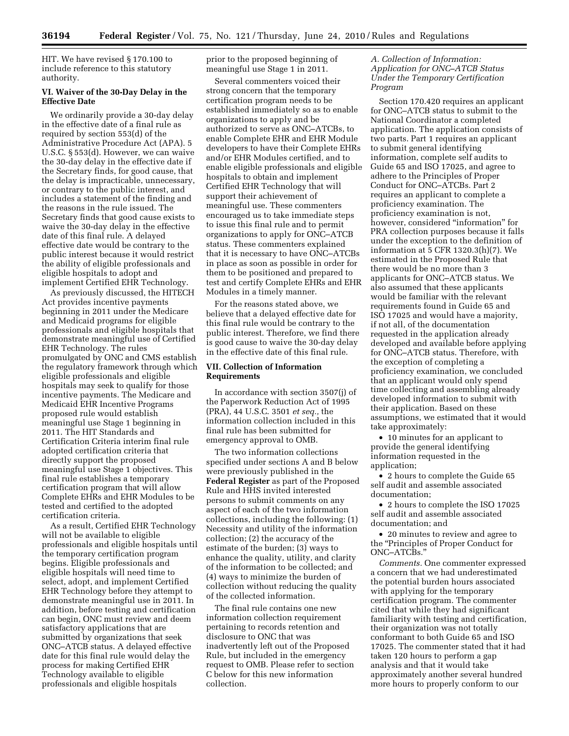HIT. We have revised § 170.100 to include reference to this statutory authority.

#### **VI. Waiver of the 30-Day Delay in the Effective Date**

We ordinarily provide a 30-day delay in the effective date of a final rule as required by section 553(d) of the Administrative Procedure Act (APA). 5 U.S.C. § 553(d). However, we can waive the 30-day delay in the effective date if the Secretary finds, for good cause, that the delay is impracticable, unnecessary, or contrary to the public interest, and includes a statement of the finding and the reasons in the rule issued. The Secretary finds that good cause exists to waive the 30-day delay in the effective date of this final rule. A delayed effective date would be contrary to the public interest because it would restrict the ability of eligible professionals and eligible hospitals to adopt and implement Certified EHR Technology.

As previously discussed, the HITECH Act provides incentive payments beginning in 2011 under the Medicare and Medicaid programs for eligible professionals and eligible hospitals that demonstrate meaningful use of Certified EHR Technology. The rules promulgated by ONC and CMS establish the regulatory framework through which eligible professionals and eligible hospitals may seek to qualify for those incentive payments. The Medicare and Medicaid EHR Incentive Programs proposed rule would establish meaningful use Stage 1 beginning in 2011. The HIT Standards and Certification Criteria interim final rule adopted certification criteria that directly support the proposed meaningful use Stage 1 objectives. This final rule establishes a temporary certification program that will allow Complete EHRs and EHR Modules to be tested and certified to the adopted certification criteria.

As a result, Certified EHR Technology will not be available to eligible professionals and eligible hospitals until the temporary certification program begins. Eligible professionals and eligible hospitals will need time to select, adopt, and implement Certified EHR Technology before they attempt to demonstrate meaningful use in 2011. In addition, before testing and certification can begin, ONC must review and deem satisfactory applications that are submitted by organizations that seek ONC–ATCB status. A delayed effective date for this final rule would delay the process for making Certified EHR Technology available to eligible professionals and eligible hospitals

prior to the proposed beginning of meaningful use Stage 1 in 2011.

Several commenters voiced their strong concern that the temporary certification program needs to be established immediately so as to enable organizations to apply and be authorized to serve as ONC–ATCBs, to enable Complete EHR and EHR Module developers to have their Complete EHRs and/or EHR Modules certified, and to enable eligible professionals and eligible hospitals to obtain and implement Certified EHR Technology that will support their achievement of meaningful use. These commenters encouraged us to take immediate steps to issue this final rule and to permit organizations to apply for ONC–ATCB status. These commenters explained that it is necessary to have ONC–ATCBs in place as soon as possible in order for them to be positioned and prepared to test and certify Complete EHRs and EHR Modules in a timely manner.

For the reasons stated above, we believe that a delayed effective date for this final rule would be contrary to the public interest. Therefore, we find there is good cause to waive the 30-day delay in the effective date of this final rule.

## **VII. Collection of Information Requirements**

In accordance with section 3507(j) of the Paperwork Reduction Act of 1995 (PRA), 44 U.S.C. 3501 *et seq.,* the information collection included in this final rule has been submitted for emergency approval to OMB.

The two information collections specified under sections A and B below were previously published in the **Federal Register** as part of the Proposed Rule and HHS invited interested persons to submit comments on any aspect of each of the two information collections, including the following: (1) Necessity and utility of the information collection; (2) the accuracy of the estimate of the burden; (3) ways to enhance the quality, utility, and clarity of the information to be collected; and (4) ways to minimize the burden of collection without reducing the quality of the collected information.

The final rule contains one new information collection requirement pertaining to records retention and disclosure to ONC that was inadvertently left out of the Proposed Rule, but included in the emergency request to OMB. Please refer to section C below for this new information collection.

*A. Collection of Information: Application for ONC–ATCB Status Under the Temporary Certification Program* 

Section 170.420 requires an applicant for ONC–ATCB status to submit to the National Coordinator a completed application. The application consists of two parts. Part 1 requires an applicant to submit general identifying information, complete self audits to Guide 65 and ISO 17025, and agree to adhere to the Principles of Proper Conduct for ONC–ATCBs. Part 2 requires an applicant to complete a proficiency examination. The proficiency examination is not, however, considered ''information'' for PRA collection purposes because it falls under the exception to the definition of information at 5 CFR 1320.3(h)(7). We estimated in the Proposed Rule that there would be no more than 3 applicants for ONC–ATCB status. We also assumed that these applicants would be familiar with the relevant requirements found in Guide 65 and ISO 17025 and would have a majority, if not all, of the documentation requested in the application already developed and available before applying for ONC–ATCB status. Therefore, with the exception of completing a proficiency examination, we concluded that an applicant would only spend time collecting and assembling already developed information to submit with their application. Based on these assumptions, we estimated that it would take approximately:

• 10 minutes for an applicant to provide the general identifying information requested in the application;

• 2 hours to complete the Guide 65 self audit and assemble associated documentation;

• 2 hours to complete the ISO 17025 self audit and assemble associated documentation; and

• 20 minutes to review and agree to the ''Principles of Proper Conduct for ONC–ATCBs.''

*Comments.* One commenter expressed a concern that we had underestimated the potential burden hours associated with applying for the temporary certification program. The commenter cited that while they had significant familiarity with testing and certification, their organization was not totally conformant to both Guide 65 and ISO 17025. The commenter stated that it had taken 120 hours to perform a gap analysis and that it would take approximately another several hundred more hours to properly conform to our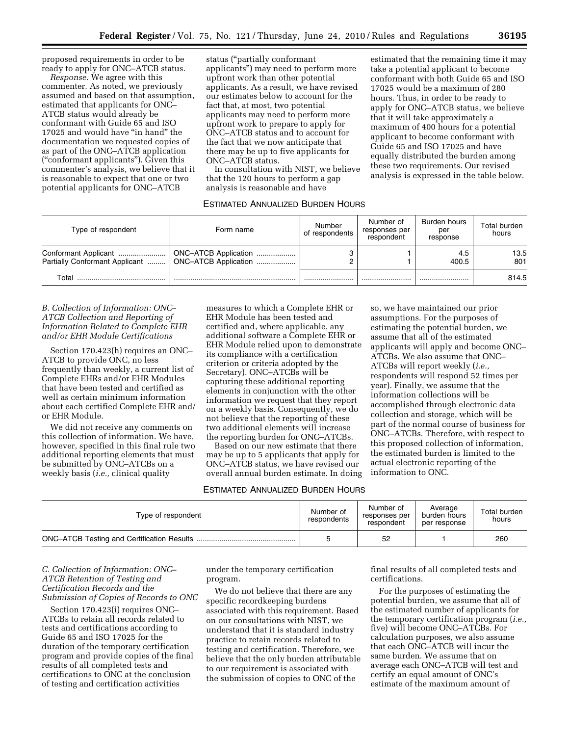proposed requirements in order to be ready to apply for ONC–ATCB status.

*Response.* We agree with this commenter. As noted, we previously assumed and based on that assumption, estimated that applicants for ONC– ATCB status would already be conformant with Guide 65 and ISO 17025 and would have ''in hand'' the documentation we requested copies of as part of the ONC–ATCB application (''conformant applicants''). Given this commenter's analysis, we believe that it is reasonable to expect that one or two potential applicants for ONC–ATCB

status (''partially conformant applicants'') may need to perform more upfront work than other potential applicants. As a result, we have revised our estimates below to account for the fact that, at most, two potential applicants may need to perform more upfront work to prepare to apply for ONC–ATCB status and to account for the fact that we now anticipate that there may be up to five applicants for ONC–ATCB status.

In consultation with NIST, we believe that the 120 hours to perform a gap analysis is reasonable and have

#### ESTIMATED ANNUALIZED BURDEN HOURS

estimated that the remaining time it may take a potential applicant to become conformant with both Guide 65 and ISO 17025 would be a maximum of 280 hours. Thus, in order to be ready to apply for ONC–ATCB status, we believe that it will take approximately a maximum of 400 hours for a potential applicant to become conformant with Guide 65 and ISO 17025 and have equally distributed the burden among these two requirements. Our revised analysis is expressed in the table below.

| Type of respondent                                     | Form name            | Number<br>of respondents | Number of<br>responses per<br>respondent | Burden hours<br>per<br>response | Total burden<br>hours |
|--------------------------------------------------------|----------------------|--------------------------|------------------------------------------|---------------------------------|-----------------------|
| Partially Conformant Applicant    ONC-ATCB Application | ONC-ATCB Application |                          |                                          | 4.5<br>400.5                    | 13.5<br>801           |
| Total                                                  |                      |                          |                                          |                                 | 814.5                 |

#### *B. Collection of Information: ONC– ATCB Collection and Reporting of Information Related to Complete EHR and/or EHR Module Certifications*

Section 170.423(h) requires an ONC– ATCB to provide ONC, no less frequently than weekly, a current list of Complete EHRs and/or EHR Modules that have been tested and certified as well as certain minimum information about each certified Complete EHR and/ or EHR Module.

We did not receive any comments on this collection of information. We have, however, specified in this final rule two additional reporting elements that must be submitted by ONC–ATCBs on a weekly basis (*i.e.,* clinical quality

measures to which a Complete EHR or EHR Module has been tested and certified and, where applicable, any additional software a Complete EHR or EHR Module relied upon to demonstrate its compliance with a certification criterion or criteria adopted by the Secretary). ONC–ATCBs will be capturing these additional reporting elements in conjunction with the other information we request that they report on a weekly basis. Consequently, we do not believe that the reporting of these two additional elements will increase the reporting burden for ONC–ATCBs.

Based on our new estimate that there may be up to 5 applicants that apply for ONC–ATCB status, we have revised our overall annual burden estimate. In doing

#### ESTIMATED ANNUALIZED BURDEN HOURS

so, we have maintained our prior assumptions. For the purposes of estimating the potential burden, we assume that all of the estimated applicants will apply and become ONC– ATCBs. We also assume that ONC– ATCBs will report weekly (*i.e.,*  respondents will respond 52 times per year). Finally, we assume that the information collections will be accomplished through electronic data collection and storage, which will be part of the normal course of business for ONC–ATCBs. Therefore, with respect to this proposed collection of information, the estimated burden is limited to the actual electronic reporting of the information to ONC.

| Type of respondent | Number of<br>respondents | Number of<br>responses per<br>respondent | Average<br>burden hours<br>per response | Total burden<br>hours |
|--------------------|--------------------------|------------------------------------------|-----------------------------------------|-----------------------|
|                    |                          | 52                                       |                                         | 260                   |

## *C. Collection of Information: ONC– ATCB Retention of Testing and Certification Records and the Submission of Copies of Records to ONC*

Section 170.423(i) requires ONC– ATCBs to retain all records related to tests and certifications according to Guide 65 and ISO 17025 for the duration of the temporary certification program and provide copies of the final results of all completed tests and certifications to ONC at the conclusion of testing and certification activities

under the temporary certification program.

We do not believe that there are any specific recordkeeping burdens associated with this requirement. Based on our consultations with NIST, we understand that it is standard industry practice to retain records related to testing and certification. Therefore, we believe that the only burden attributable to our requirement is associated with the submission of copies to ONC of the

final results of all completed tests and certifications.

For the purposes of estimating the potential burden, we assume that all of the estimated number of applicants for the temporary certification program (*i.e.,*  five) will become ONC–ATCBs. For calculation purposes, we also assume that each ONC–ATCB will incur the same burden. We assume that on average each ONC–ATCB will test and certify an equal amount of ONC's estimate of the maximum amount of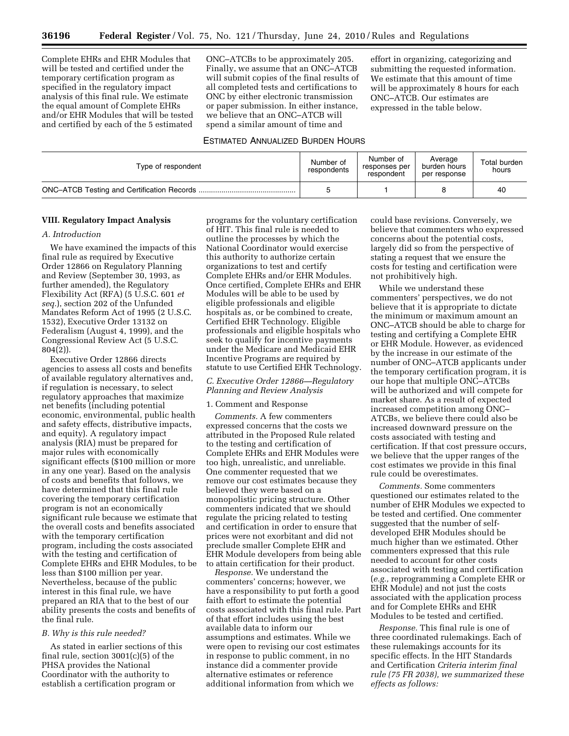Complete EHRs and EHR Modules that will be tested and certified under the temporary certification program as specified in the regulatory impact analysis of this final rule. We estimate the equal amount of Complete EHRs and/or EHR Modules that will be tested and certified by each of the 5 estimated

ONC–ATCBs to be approximately 205. Finally, we assume that an ONC–ATCB will submit copies of the final results of all completed tests and certifications to ONC by either electronic transmission or paper submission. In either instance, we believe that an ONC–ATCB will spend a similar amount of time and

effort in organizing, categorizing and submitting the requested information. We estimate that this amount of time will be approximately 8 hours for each ONC–ATCB. Our estimates are expressed in the table below.

#### ESTIMATED ANNUALIZED BURDEN HOURS

| Type of respondent | Number of<br>respondents | Number of<br>responses per<br>respondent | Average<br>burden hours<br>per response | Total burden<br>hours |
|--------------------|--------------------------|------------------------------------------|-----------------------------------------|-----------------------|
|                    |                          |                                          |                                         | 40                    |

#### **VIII. Regulatory Impact Analysis**

#### *A. Introduction*

We have examined the impacts of this final rule as required by Executive Order 12866 on Regulatory Planning and Review (September 30, 1993, as further amended), the Regulatory Flexibility Act (RFA) (5 U.S.C. 601 *et seq.*), section 202 of the Unfunded Mandates Reform Act of 1995 (2 U.S.C. 1532), Executive Order 13132 on Federalism (August 4, 1999), and the Congressional Review Act (5 U.S.C. 804(2)).

Executive Order 12866 directs agencies to assess all costs and benefits of available regulatory alternatives and, if regulation is necessary, to select regulatory approaches that maximize net benefits (including potential economic, environmental, public health and safety effects, distributive impacts, and equity). A regulatory impact analysis (RIA) must be prepared for major rules with economically significant effects (\$100 million or more in any one year). Based on the analysis of costs and benefits that follows, we have determined that this final rule covering the temporary certification program is not an economically significant rule because we estimate that the overall costs and benefits associated with the temporary certification program, including the costs associated with the testing and certification of Complete EHRs and EHR Modules, to be less than \$100 million per year. Nevertheless, because of the public interest in this final rule, we have prepared an RIA that to the best of our ability presents the costs and benefits of the final rule.

### *B. Why is this rule needed?*

As stated in earlier sections of this final rule, section 3001(c)(5) of the PHSA provides the National Coordinator with the authority to establish a certification program or

programs for the voluntary certification of HIT. This final rule is needed to outline the processes by which the National Coordinator would exercise this authority to authorize certain organizations to test and certify Complete EHRs and/or EHR Modules. Once certified, Complete EHRs and EHR Modules will be able to be used by eligible professionals and eligible hospitals as, or be combined to create, Certified EHR Technology. Eligible professionals and eligible hospitals who seek to qualify for incentive payments under the Medicare and Medicaid EHR Incentive Programs are required by statute to use Certified EHR Technology.

#### *C. Executive Order 12866—Regulatory Planning and Review Analysis*

#### 1. Comment and Response

*Comments.* A few commenters expressed concerns that the costs we attributed in the Proposed Rule related to the testing and certification of Complete EHRs and EHR Modules were too high, unrealistic, and unreliable. One commenter requested that we remove our cost estimates because they believed they were based on a monopolistic pricing structure. Other commenters indicated that we should regulate the pricing related to testing and certification in order to ensure that prices were not exorbitant and did not preclude smaller Complete EHR and EHR Module developers from being able to attain certification for their product.

*Response.* We understand the commenters' concerns; however, we have a responsibility to put forth a good faith effort to estimate the potential costs associated with this final rule. Part of that effort includes using the best available data to inform our assumptions and estimates. While we were open to revising our cost estimates in response to public comment, in no instance did a commenter provide alternative estimates or reference additional information from which we

could base revisions. Conversely, we believe that commenters who expressed concerns about the potential costs, largely did so from the perspective of stating a request that we ensure the costs for testing and certification were not prohibitively high.

While we understand these commenters' perspectives, we do not believe that it is appropriate to dictate the minimum or maximum amount an ONC–ATCB should be able to charge for testing and certifying a Complete EHR or EHR Module. However, as evidenced by the increase in our estimate of the number of ONC–ATCB applicants under the temporary certification program, it is our hope that multiple ONC–ATCBs will be authorized and will compete for market share. As a result of expected increased competition among ONC– ATCBs, we believe there could also be increased downward pressure on the costs associated with testing and certification. If that cost pressure occurs, we believe that the upper ranges of the cost estimates we provide in this final rule could be overestimates.

*Comments.* Some commenters questioned our estimates related to the number of EHR Modules we expected to be tested and certified. One commenter suggested that the number of selfdeveloped EHR Modules should be much higher than we estimated. Other commenters expressed that this rule needed to account for other costs associated with testing and certification (*e.g.,* reprogramming a Complete EHR or EHR Module) and not just the costs associated with the application process and for Complete EHRs and EHR Modules to be tested and certified.

*Response.* This final rule is one of three coordinated rulemakings. Each of these rulemakings accounts for its specific effects. In the HIT Standards and Certification *Criteria interim final rule (75 FR 2038), we summarized these effects as follows:*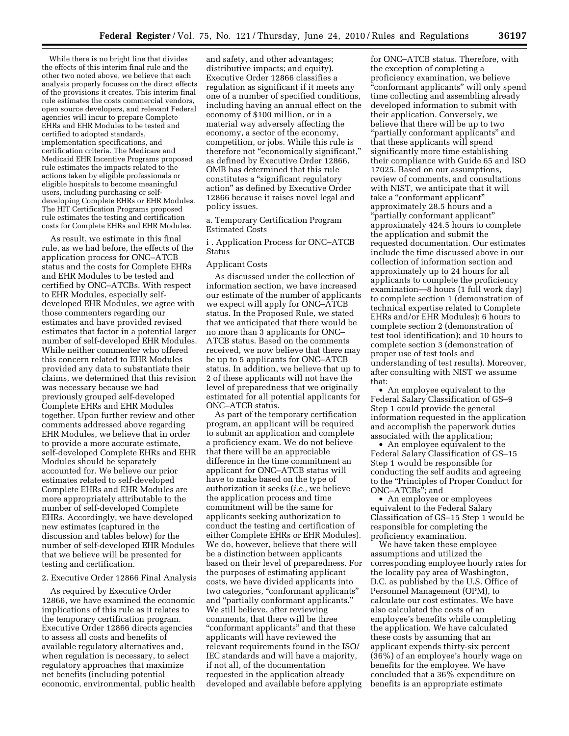While there is no bright line that divides the effects of this interim final rule and the other two noted above, we believe that each analysis properly focuses on the direct effects of the provisions it creates. This interim final rule estimates the costs commercial vendors, open source developers, and relevant Federal agencies will incur to prepare Complete EHRs and EHR Modules to be tested and certified to adopted standards, implementation specifications, and certification criteria. The Medicare and Medicaid EHR Incentive Programs proposed rule estimates the impacts related to the actions taken by eligible professionals or eligible hospitals to become meaningful users, including purchasing or selfdeveloping Complete EHRs or EHR Modules. The HIT Certification Programs proposed rule estimates the testing and certification costs for Complete EHRs and EHR Modules.

As result, we estimate in this final rule, as we had before, the effects of the application process for ONC–ATCB status and the costs for Complete EHRs and EHR Modules to be tested and certified by ONC–ATCBs. With respect to EHR Modules, especially selfdeveloped EHR Modules, we agree with those commenters regarding our estimates and have provided revised estimates that factor in a potential larger number of self-developed EHR Modules. While neither commenter who offered this concern related to EHR Modules provided any data to substantiate their claims, we determined that this revision was necessary because we had previously grouped self-developed Complete EHRs and EHR Modules together. Upon further review and other comments addressed above regarding EHR Modules, we believe that in order to provide a more accurate estimate, self-developed Complete EHRs and EHR Modules should be separately accounted for. We believe our prior estimates related to self-developed Complete EHRs and EHR Modules are more appropriately attributable to the number of self-developed Complete EHRs. Accordingly, we have developed new estimates (captured in the discussion and tables below) for the number of self-developed EHR Modules that we believe will be presented for testing and certification.

#### 2. Executive Order 12866 Final Analysis

As required by Executive Order 12866, we have examined the economic implications of this rule as it relates to the temporary certification program. Executive Order 12866 directs agencies to assess all costs and benefits of available regulatory alternatives and, when regulation is necessary, to select regulatory approaches that maximize net benefits (including potential economic, environmental, public health

and safety, and other advantages; distributive impacts; and equity). Executive Order 12866 classifies a regulation as significant if it meets any one of a number of specified conditions, including having an annual effect on the economy of \$100 million, or in a material way adversely affecting the economy, a sector of the economy, competition, or jobs. While this rule is therefore not "economically significant," as defined by Executive Order 12866, OMB has determined that this rule constitutes a ''significant regulatory action'' as defined by Executive Order 12866 because it raises novel legal and policy issues.

a. Temporary Certification Program Estimated Costs

i . Application Process for ONC–ATCB Status

### Applicant Costs

As discussed under the collection of information section, we have increased our estimate of the number of applicants we expect will apply for ONC–ATCB status. In the Proposed Rule, we stated that we anticipated that there would be no more than 3 applicants for ONC– ATCB status. Based on the comments received, we now believe that there may be up to 5 applicants for ONC–ATCB status. In addition, we believe that up to 2 of these applicants will not have the level of preparedness that we originally estimated for all potential applicants for ONC–ATCB status.

As part of the temporary certification program, an applicant will be required to submit an application and complete a proficiency exam. We do not believe that there will be an appreciable difference in the time commitment an applicant for ONC–ATCB status will have to make based on the type of authorization it seeks (*i.e.,* we believe the application process and time commitment will be the same for applicants seeking authorization to conduct the testing and certification of either Complete EHRs or EHR Modules). We do, however, believe that there will be a distinction between applicants based on their level of preparedness. For the purposes of estimating applicant costs, we have divided applicants into two categories, ''conformant applicants'' and ''partially conformant applicants.'' We still believe, after reviewing comments, that there will be three ''conformant applicants'' and that these applicants will have reviewed the relevant requirements found in the ISO/ IEC standards and will have a majority, if not all, of the documentation requested in the application already developed and available before applying

for ONC–ATCB status. Therefore, with the exception of completing a proficiency examination, we believe "conformant applicants" will only spend time collecting and assembling already developed information to submit with their application. Conversely, we believe that there will be up to two ''partially conformant applicants'' and that these applicants will spend significantly more time establishing their compliance with Guide 65 and ISO 17025. Based on our assumptions, review of comments, and consultations with NIST, we anticipate that it will take a ''conformant applicant'' approximately 28.5 hours and a ''partially conformant applicant'' approximately 424.5 hours to complete the application and submit the requested documentation. Our estimates include the time discussed above in our collection of information section and approximately up to 24 hours for all applicants to complete the proficiency examination—8 hours (1 full work day) to complete section 1 (demonstration of technical expertise related to Complete EHRs and/or EHR Modules); 6 hours to complete section 2 (demonstration of test tool identification); and 10 hours to complete section 3 (demonstration of proper use of test tools and understanding of test results). Moreover, after consulting with NIST we assume that:

• An employee equivalent to the Federal Salary Classification of GS–9 Step 1 could provide the general information requested in the application and accomplish the paperwork duties associated with the application;

• An employee equivalent to the Federal Salary Classification of GS–15 Step 1 would be responsible for conducting the self audits and agreeing to the ''Principles of Proper Conduct for ONC–ATCBs''; and

• An employee or employees equivalent to the Federal Salary Classification of GS–15 Step 1 would be responsible for completing the proficiency examination.

We have taken these employee assumptions and utilized the corresponding employee hourly rates for the locality pay area of Washington, D.C. as published by the U.S. Office of Personnel Management (OPM), to calculate our cost estimates. We have also calculated the costs of an employee's benefits while completing the application. We have calculated these costs by assuming that an applicant expends thirty-six percent (36%) of an employee's hourly wage on benefits for the employee. We have concluded that a 36% expenditure on benefits is an appropriate estimate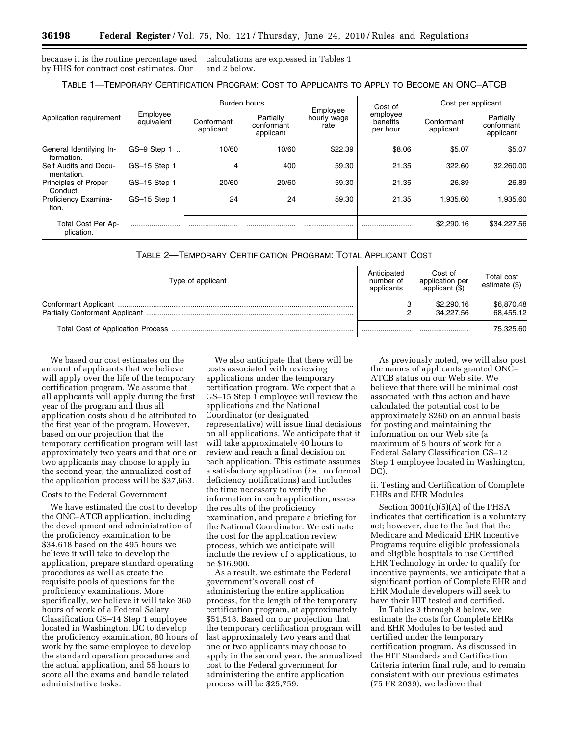because it is the routine percentage used calculations are expressed in Tables 1 by HHS for contract cost estimates. Our and 2 below.

| Application requirement               |                        |                         | Burden hours                         |                                 | Cost of                          | Cost per applicant      |                                      |  |
|---------------------------------------|------------------------|-------------------------|--------------------------------------|---------------------------------|----------------------------------|-------------------------|--------------------------------------|--|
|                                       | Employee<br>equivalent | Conformant<br>applicant | Partially<br>conformant<br>applicant | Employee<br>hourly wage<br>rate | employee<br>benefits<br>per hour | Conformant<br>applicant | Partially<br>conformant<br>applicant |  |
| General Identifying In-<br>formation. | $GS-9$ Step 1          | 10/60                   | 10/60                                | \$22.39                         | \$8.06                           | \$5.07                  | \$5.07                               |  |
| Self Audits and Docu-<br>mentation.   | GS-15 Step 1           | 4                       | 400                                  | 59.30                           | 21.35                            | 322.60                  | 32,260,00                            |  |
| Principles of Proper<br>Conduct.      | GS-15 Step 1           | 20/60                   | 20/60                                | 59.30                           | 21.35                            | 26.89                   | 26.89                                |  |
| Proficiency Examina-<br>tion.         | GS-15 Step 1           | 24                      | 24                                   | 59.30                           | 21.35                            | 1,935.60                | 1.935.60                             |  |
| Total Cost Per Ap-<br>plication.      |                        |                         |                                      |                                 |                                  | \$2,290.16              | \$34,227.56                          |  |

TABLE 2—TEMPORARY CERTIFICATION PROGRAM: TOTAL APPLICANT COST

| Type of applicant | Anticipated<br>number of<br>applicants | Cost of<br>application per<br>applicant (\$) | Total cost<br>estimate (\$) |
|-------------------|----------------------------------------|----------------------------------------------|-----------------------------|
|                   | 3<br>∩                                 | \$2,290.16<br>34.227.56                      | \$6,870.48<br>68.455.12     |
|                   |                                        |                                              | 75,325.60                   |

We based our cost estimates on the amount of applicants that we believe will apply over the life of the temporary certification program. We assume that all applicants will apply during the first year of the program and thus all application costs should be attributed to the first year of the program. However, based on our projection that the temporary certification program will last approximately two years and that one or two applicants may choose to apply in the second year, the annualized cost of the application process will be \$37,663.

#### Costs to the Federal Government

We have estimated the cost to develop the ONC–ATCB application, including the development and administration of the proficiency examination to be \$34,618 based on the 495 hours we believe it will take to develop the application, prepare standard operating procedures as well as create the requisite pools of questions for the proficiency examinations. More specifically, we believe it will take 360 hours of work of a Federal Salary Classification GS–14 Step 1 employee located in Washington, DC to develop the proficiency examination, 80 hours of work by the same employee to develop the standard operation procedures and the actual application, and 55 hours to score all the exams and handle related administrative tasks.

We also anticipate that there will be costs associated with reviewing applications under the temporary certification program. We expect that a GS–15 Step 1 employee will review the applications and the National Coordinator (or designated representative) will issue final decisions on all applications. We anticipate that it will take approximately 40 hours to review and reach a final decision on each application. This estimate assumes a satisfactory application (*i.e.,* no formal deficiency notifications) and includes the time necessary to verify the information in each application, assess the results of the proficiency examination, and prepare a briefing for the National Coordinator. We estimate the cost for the application review process, which we anticipate will include the review of 5 applications, to be \$16,900.

As a result, we estimate the Federal government's overall cost of administering the entire application process, for the length of the temporary certification program, at approximately \$51,518. Based on our projection that the temporary certification program will last approximately two years and that one or two applicants may choose to apply in the second year, the annualized cost to the Federal government for administering the entire application process will be \$25,759.

As previously noted, we will also post the names of applicants granted ONC– ATCB status on our Web site. We believe that there will be minimal cost associated with this action and have calculated the potential cost to be approximately \$260 on an annual basis for posting and maintaining the information on our Web site (a maximum of 5 hours of work for a Federal Salary Classification GS–12 Step 1 employee located in Washington, DC).

ii. Testing and Certification of Complete EHRs and EHR Modules

Section 3001(c)(5)(A) of the PHSA indicates that certification is a voluntary act; however, due to the fact that the Medicare and Medicaid EHR Incentive Programs require eligible professionals and eligible hospitals to use Certified EHR Technology in order to qualify for incentive payments, we anticipate that a significant portion of Complete EHR and EHR Module developers will seek to have their HIT tested and certified.

In Tables 3 through 8 below, we estimate the costs for Complete EHRs and EHR Modules to be tested and certified under the temporary certification program. As discussed in the HIT Standards and Certification Criteria interim final rule, and to remain consistent with our previous estimates (75 FR 2039), we believe that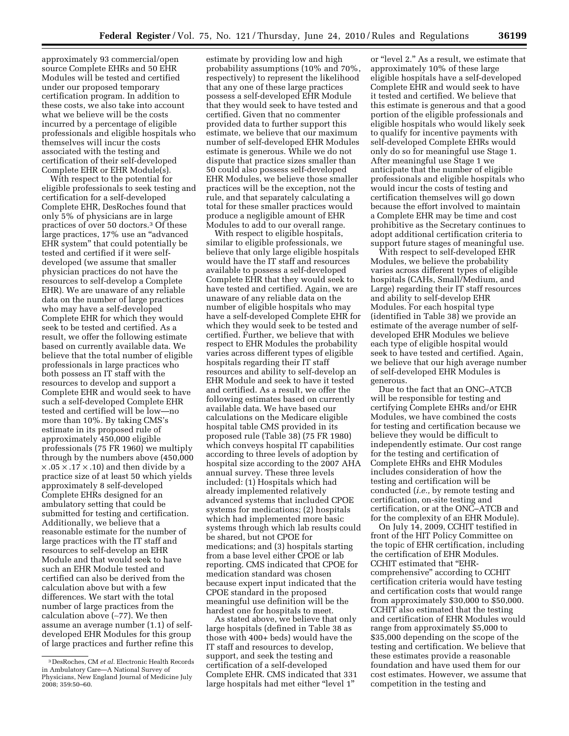approximately 93 commercial/open source Complete EHRs and 50 EHR Modules will be tested and certified under our proposed temporary certification program. In addition to these costs, we also take into account what we believe will be the costs incurred by a percentage of eligible professionals and eligible hospitals who themselves will incur the costs associated with the testing and certification of their self-developed Complete EHR or EHR Module(s).

With respect to the potential for eligible professionals to seek testing and certification for a self-developed Complete EHR, DesRoches found that only 5% of physicians are in large practices of over 50 doctors.3 Of these large practices, 17% use an ''advanced EHR system'' that could potentially be tested and certified if it were selfdeveloped (we assume that smaller physician practices do not have the resources to self-develop a Complete EHR). We are unaware of any reliable data on the number of large practices who may have a self-developed Complete EHR for which they would seek to be tested and certified. As a result, we offer the following estimate based on currently available data. We believe that the total number of eligible professionals in large practices who both possess an IT staff with the resources to develop and support a Complete EHR and would seek to have such a self-developed Complete EHR tested and certified will be low—no more than 10%. By taking CMS's estimate in its proposed rule of approximately 450,000 eligible professionals (75 FR 1960) we multiply through by the numbers above (450,000  $\times$  .05  $\times$  .17  $\times$  .10) and then divide by a practice size of at least 50 which yields approximately 8 self-developed Complete EHRs designed for an ambulatory setting that could be submitted for testing and certification. Additionally, we believe that a reasonable estimate for the number of large practices with the IT staff and resources to self-develop an EHR Module and that would seek to have such an EHR Module tested and certified can also be derived from the calculation above but with a few differences. We start with the total number of large practices from the calculation above (∼77). We then assume an average number (1.1) of selfdeveloped EHR Modules for this group of large practices and further refine this

estimate by providing low and high probability assumptions (10% and 70%, respectively) to represent the likelihood that any one of these large practices possess a self-developed EHR Module that they would seek to have tested and certified. Given that no commenter provided data to further support this estimate, we believe that our maximum number of self-developed EHR Modules estimate is generous. While we do not dispute that practice sizes smaller than 50 could also possess self-developed EHR Modules, we believe those smaller practices will be the exception, not the rule, and that separately calculating a total for these smaller practices would produce a negligible amount of EHR Modules to add to our overall range.

With respect to eligible hospitals, similar to eligible professionals, we believe that only large eligible hospitals would have the IT staff and resources available to possess a self-developed Complete EHR that they would seek to have tested and certified. Again, we are unaware of any reliable data on the number of eligible hospitals who may have a self-developed Complete EHR for which they would seek to be tested and certified. Further, we believe that with respect to EHR Modules the probability varies across different types of eligible hospitals regarding their IT staff resources and ability to self-develop an EHR Module and seek to have it tested and certified. As a result, we offer the following estimates based on currently available data. We have based our calculations on the Medicare eligible hospital table CMS provided in its proposed rule (Table 38) (75 FR 1980) which conveys hospital IT capabilities according to three levels of adoption by hospital size according to the 2007 AHA annual survey. These three levels included: (1) Hospitals which had already implemented relatively advanced systems that included CPOE systems for medications; (2) hospitals which had implemented more basic systems through which lab results could be shared, but not CPOE for medications; and (3) hospitals starting from a base level either CPOE or lab reporting. CMS indicated that CPOE for medication standard was chosen because expert input indicated that the CPOE standard in the proposed meaningful use definition will be the hardest one for hospitals to meet.

As stated above, we believe that only large hospitals (defined in Table 38 as those with 400+ beds) would have the IT staff and resources to develop, support, and seek the testing and certification of a self-developed Complete EHR. CMS indicated that 331 large hospitals had met either "level 1"

or "level 2." As a result, we estimate that approximately 10% of these large eligible hospitals have a self-developed Complete EHR and would seek to have it tested and certified. We believe that this estimate is generous and that a good portion of the eligible professionals and eligible hospitals who would likely seek to qualify for incentive payments with self-developed Complete EHRs would only do so for meaningful use Stage 1. After meaningful use Stage 1 we anticipate that the number of eligible professionals and eligible hospitals who would incur the costs of testing and certification themselves will go down because the effort involved to maintain a Complete EHR may be time and cost prohibitive as the Secretary continues to adopt additional certification criteria to support future stages of meaningful use.

With respect to self-developed EHR Modules, we believe the probability varies across different types of eligible hospitals (CAHs, Small/Medium, and Large) regarding their IT staff resources and ability to self-develop EHR Modules. For each hospital type (identified in Table 38) we provide an estimate of the average number of selfdeveloped EHR Modules we believe each type of eligible hospital would seek to have tested and certified. Again, we believe that our high average number of self-developed EHR Modules is generous.

Due to the fact that an ONC–ATCB will be responsible for testing and certifying Complete EHRs and/or EHR Modules, we have combined the costs for testing and certification because we believe they would be difficult to independently estimate. Our cost range for the testing and certification of Complete EHRs and EHR Modules includes consideration of how the testing and certification will be conducted (*i.e.,* by remote testing and certification, on-site testing and certification, or at the ONC–ATCB and for the complexity of an EHR Module).

On July 14, 2009, CCHIT testified in front of the HIT Policy Committee on the topic of EHR certification, including the certification of EHR Modules. CCHIT estimated that ''EHRcomprehensive'' according to CCHIT certification criteria would have testing and certification costs that would range from approximately \$30,000 to \$50,000. CCHIT also estimated that the testing and certification of EHR Modules would range from approximately \$5,000 to \$35,000 depending on the scope of the testing and certification. We believe that these estimates provide a reasonable foundation and have used them for our cost estimates. However, we assume that competition in the testing and

<sup>3</sup> DesRoches, CM *et al.* Electronic Health Records in Ambulatory Care—A National Survey of Physicians, New England Journal of Medicine July 2008; 359:50–60.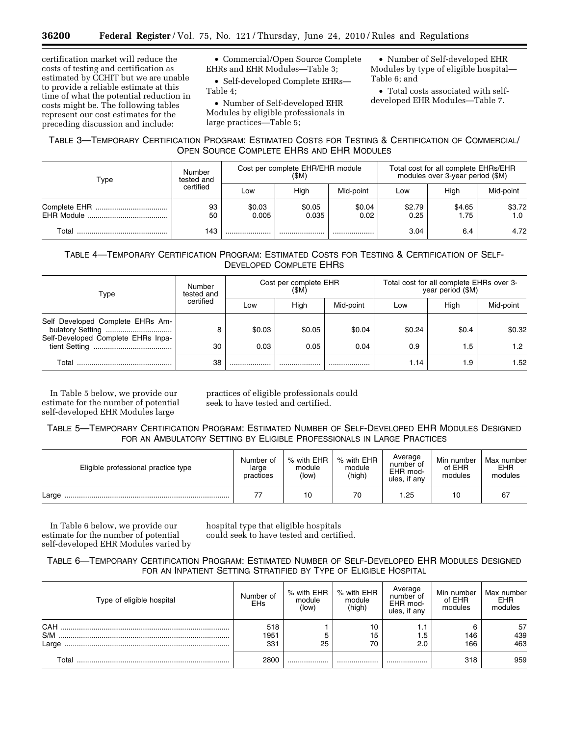certification market will reduce the costs of testing and certification as estimated by CCHIT but we are unable to provide a reliable estimate at this time of what the potential reduction in costs might be. The following tables represent our cost estimates for the preceding discussion and include:

• Commercial/Open Source Complete EHRs and EHR Modules—Table 3;

• Self-developed Complete EHRs— Table 4;

• Number of Self-developed EHR Modules by eligible professionals in large practices—Table 5;

• Number of Self-developed EHR Modules by type of eligible hospital— Table 6; and

• Total costs associated with selfdeveloped EHR Modules—Table 7.

## TABLE 3—TEMPORARY CERTIFICATION PROGRAM: ESTIMATED COSTS FOR TESTING & CERTIFICATION OF COMMERCIAL/ OPEN SOURCE COMPLETE EHRS AND EHR MODULES

| Type  | Number<br>tested and |                 | Cost per complete EHR/EHR module<br>(\$M) |                | Total cost for all complete EHRs/EHR<br>modules over 3-year period (\$M) |                                                         |               |  |
|-------|----------------------|-----------------|-------------------------------------------|----------------|--------------------------------------------------------------------------|---------------------------------------------------------|---------------|--|
|       | certified            | LOW             | Hiah                                      | Mid-point      | Low                                                                      | Hiah<br>\$2.79<br>\$4.65<br>0.25<br>1.75<br>3.04<br>6.4 | Mid-point     |  |
|       | 93<br>50             | \$0.03<br>0.005 | \$0.05<br>0.035                           | \$0.04<br>0.02 |                                                                          |                                                         | \$3.72<br>1.0 |  |
| Total | 143                  |                 |                                           |                |                                                                          |                                                         | 4.72          |  |

## TABLE 4—TEMPORARY CERTIFICATION PROGRAM: ESTIMATED COSTS FOR TESTING & CERTIFICATION OF SELF-DEVELOPED COMPLETE EHRS

| Type                                                                   | Number<br>tested and | Cost per complete EHR<br>(SM) |                                                                                                       |           | Total cost for all complete EHRs over 3-<br>year period (\$M) |     |                  |
|------------------------------------------------------------------------|----------------------|-------------------------------|-------------------------------------------------------------------------------------------------------|-----------|---------------------------------------------------------------|-----|------------------|
|                                                                        | certified            | Low                           | High<br>High<br>Mid-point<br>Low<br>\$0.24<br>\$0.4<br>\$0.04<br>\$0.05<br>0.05<br>0.04<br>0.9<br>1.5 | Mid-point |                                                               |     |                  |
| Self Developed Complete EHRs Am-<br>Self-Developed Complete EHRs Inpa- | 8                    | \$0.03                        |                                                                                                       |           |                                                               |     | \$0.32           |
|                                                                        | 30                   | 0.03                          |                                                                                                       |           |                                                               |     | 1.2 <sub>1</sub> |
| Total                                                                  | 38                   |                               |                                                                                                       |           | 1.14                                                          | 1.9 | 1.52             |

In Table 5 below, we provide our estimate for the number of potential self-developed EHR Modules large

practices of eligible professionals could seek to have tested and certified.

## TABLE 5—TEMPORARY CERTIFICATION PROGRAM: ESTIMATED NUMBER OF SELF-DEVELOPED EHR MODULES DESIGNED FOR AN AMBULATORY SETTING BY ELIGIBLE PROFESSIONALS IN LARGE PRACTICES

| Eligible professional practice type | Number of<br>large<br>practices | % with EHR<br>module<br>(low) | % with EHR<br>module<br>(high) | Average<br>number of<br>EHR mod-<br>ules, if any | Min number<br>of EHR<br>modules | Max number<br><b>EHR</b><br>modules |
|-------------------------------------|---------------------------------|-------------------------------|--------------------------------|--------------------------------------------------|---------------------------------|-------------------------------------|
| Large                               |                                 | 10                            | 70                             | 1.25                                             | 10                              | 67                                  |

In Table 6 below, we provide our estimate for the number of potential self-developed EHR Modules varied by hospital type that eligible hospitals could seek to have tested and certified.

## TABLE 6—TEMPORARY CERTIFICATION PROGRAM: ESTIMATED NUMBER OF SELF-DEVELOPED EHR MODULES DESIGNED FOR AN INPATIENT SETTING STRATIFIED BY TYPE OF ELIGIBLE HOSPITAL

| Type of eligible hospital | Number of<br><b>EHs</b> | % with EHR<br>module<br>(low) | % with EHR<br>module<br>(high) | Average<br>number of<br>EHR mod-<br>ules, if any | Min number<br>of EHR<br>modules | Max number<br><b>EHR</b><br>modules |
|---------------------------|-------------------------|-------------------------------|--------------------------------|--------------------------------------------------|---------------------------------|-------------------------------------|
| CAH<br>S/M                | 518<br>1951             |                               | 10<br>15                       | 1.1<br>1.5                                       | 146                             | 57<br>439                           |
| Large                     | 331                     | 25                            | 70                             | 2.0                                              | 166                             | 463                                 |
| Total                     | 2800                    |                               |                                |                                                  | 318                             | 959                                 |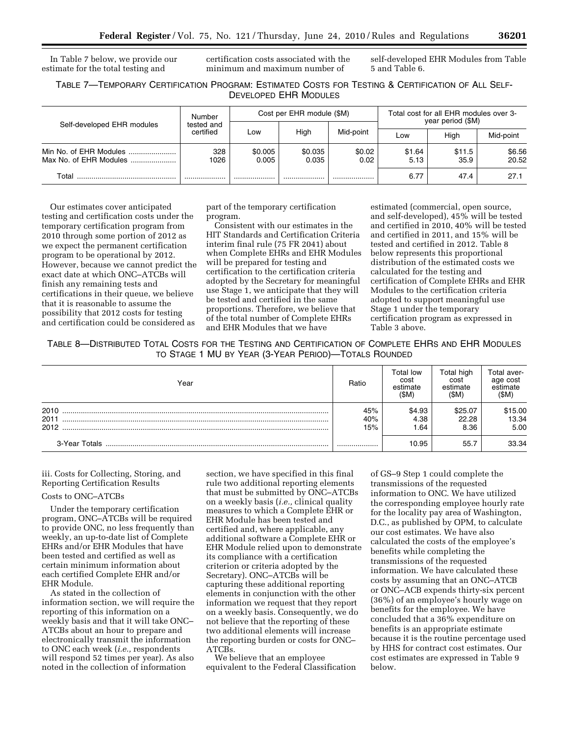In Table 7 below, we provide our estimate for the total testing and

certification costs associated with the minimum and maximum number of

self-developed EHR Modules from Table 5 and Table 6.

## TABLE 7—TEMPORARY CERTIFICATION PROGRAM: ESTIMATED COSTS FOR TESTING & CERTIFICATION OF ALL SELF-DEVELOPED EHR MODULES

|                                                  | Number                                                                                                                                                | Cost per EHR module (\$M) |           |  | Total cost for all EHR modules over 3-<br>year period (\$M) |                |                 |  |
|--------------------------------------------------|-------------------------------------------------------------------------------------------------------------------------------------------------------|---------------------------|-----------|--|-------------------------------------------------------------|----------------|-----------------|--|
| Self-developed EHR modules                       | tested and<br>High<br>Mid-point<br>certified<br>Low<br>Low<br>328<br>\$0.005<br>\$0.035<br>\$0.02<br>\$1.64<br>1026<br>0.005<br>0.02<br>0.035<br>5.13 | Hiah                      | Mid-point |  |                                                             |                |                 |  |
| Min No. of EHR Modules<br>Max No. of EHR Modules |                                                                                                                                                       |                           |           |  |                                                             | \$11.5<br>35.9 | \$6.56<br>20.52 |  |
| Total                                            |                                                                                                                                                       | .                         |           |  | 6.77                                                        | 47.4           | 27.1            |  |

Our estimates cover anticipated testing and certification costs under the temporary certification program from 2010 through some portion of 2012 as we expect the permanent certification program to be operational by 2012. However, because we cannot predict the exact date at which ONC–ATCBs will finish any remaining tests and certifications in their queue, we believe that it is reasonable to assume the possibility that 2012 costs for testing and certification could be considered as

part of the temporary certification program.

Consistent with our estimates in the HIT Standards and Certification Criteria interim final rule (75 FR 2041) about when Complete EHRs and EHR Modules will be prepared for testing and certification to the certification criteria adopted by the Secretary for meaningful use Stage 1, we anticipate that they will be tested and certified in the same proportions. Therefore, we believe that of the total number of Complete EHRs and EHR Modules that we have

estimated (commercial, open source, and self-developed), 45% will be tested and certified in 2010, 40% will be tested and certified in 2011, and 15% will be tested and certified in 2012. Table 8 below represents this proportional distribution of the estimated costs we calculated for the testing and certification of Complete EHRs and EHR Modules to the certification criteria adopted to support meaningful use Stage 1 under the temporary certification program as expressed in Table 3 above.

TABLE 8—DISTRIBUTED TOTAL COSTS FOR THE TESTING AND CERTIFICATION OF COMPLETE EHRS AND EHR MODULES TO STAGE 1 MU BY YEAR (3-YEAR PERIOD)—TOTALS ROUNDED

| Year          | Ratio | Total low<br>cost<br>estimate<br>(SM) | Total high<br>cost<br>estimate<br>(SM) | Total aver-<br>age cost<br>estimate<br>(\$M) |
|---------------|-------|---------------------------------------|----------------------------------------|----------------------------------------------|
| 2010          | 45%   | \$4.93                                | \$25.07                                | \$15.00                                      |
| 2011          | 40%   | 4.38                                  | 22.28                                  | 13.34                                        |
| 2012          | 15%   | l.64                                  | 8.36                                   | 5.00                                         |
| 3-Year Totals |       | 10.95                                 | 55.7                                   | 33.34                                        |

## iii. Costs for Collecting, Storing, and Reporting Certification Results

#### Costs to ONC–ATCBs

Under the temporary certification program, ONC–ATCBs will be required to provide ONC, no less frequently than weekly, an up-to-date list of Complete EHRs and/or EHR Modules that have been tested and certified as well as certain minimum information about each certified Complete EHR and/or EHR Module.

As stated in the collection of information section, we will require the reporting of this information on a weekly basis and that it will take ONC– ATCBs about an hour to prepare and electronically transmit the information to ONC each week (*i.e.,* respondents will respond 52 times per year). As also noted in the collection of information

section, we have specified in this final rule two additional reporting elements that must be submitted by ONC–ATCBs on a weekly basis (*i.e.,* clinical quality measures to which a Complete EHR or EHR Module has been tested and certified and, where applicable, any additional software a Complete EHR or EHR Module relied upon to demonstrate its compliance with a certification criterion or criteria adopted by the Secretary). ONC–ATCBs will be capturing these additional reporting elements in conjunction with the other information we request that they report on a weekly basis. Consequently, we do not believe that the reporting of these two additional elements will increase the reporting burden or costs for ONC– ATCBs.

We believe that an employee equivalent to the Federal Classification

of GS–9 Step 1 could complete the transmissions of the requested information to ONC. We have utilized the corresponding employee hourly rate for the locality pay area of Washington, D.C., as published by OPM, to calculate our cost estimates. We have also calculated the costs of the employee's benefits while completing the transmissions of the requested information. We have calculated these costs by assuming that an ONC–ATCB or ONC–ACB expends thirty-six percent (36%) of an employee's hourly wage on benefits for the employee. We have concluded that a 36% expenditure on benefits is an appropriate estimate because it is the routine percentage used by HHS for contract cost estimates. Our cost estimates are expressed in Table 9 below.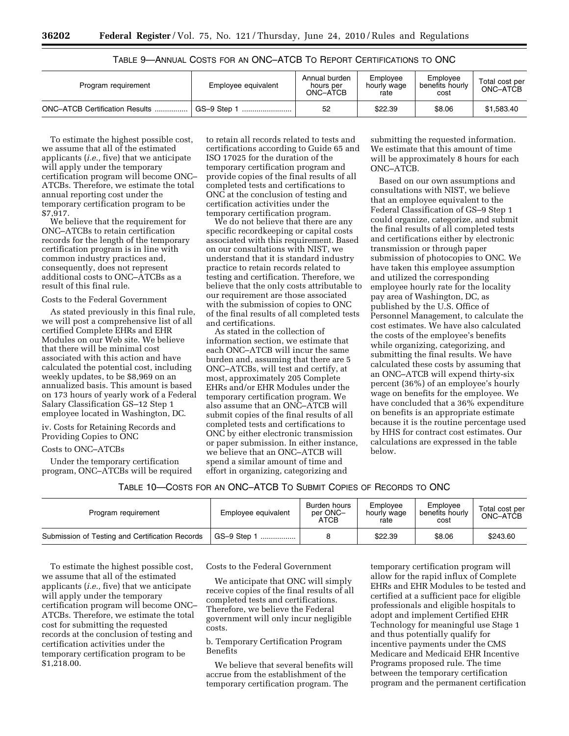| Program requirement                   | Employee equivalent | Annual burden<br>hours per<br>ONC-ATCB | Emplovee<br>hourly wage<br>rate | Employee<br>benefits hourly<br>cost | Total cost per<br>ONC-ATCB |
|---------------------------------------|---------------------|----------------------------------------|---------------------------------|-------------------------------------|----------------------------|
| <b>ONC-ATCB Certification Results</b> | GS-9 Step 1         | 52                                     | \$22.39                         | \$8.06                              | \$1,583.40                 |

TABLE 9—ANNUAL COSTS FOR AN ONC–ATCB TO REPORT CERTIFICATIONS TO ONC

To estimate the highest possible cost, we assume that all of the estimated applicants (*i.e.,* five) that we anticipate will apply under the temporary certification program will become ONC– ATCBs. Therefore, we estimate the total annual reporting cost under the temporary certification program to be \$7,917.

We believe that the requirement for ONC–ATCBs to retain certification records for the length of the temporary certification program is in line with common industry practices and, consequently, does not represent additional costs to ONC–ATCBs as a result of this final rule.

#### Costs to the Federal Government

As stated previously in this final rule, we will post a comprehensive list of all certified Complete EHRs and EHR Modules on our Web site. We believe that there will be minimal cost associated with this action and have calculated the potential cost, including weekly updates, to be \$8,969 on an annualized basis. This amount is based on 173 hours of yearly work of a Federal Salary Classification GS–12 Step 1 employee located in Washington, DC.

iv. Costs for Retaining Records and Providing Copies to ONC

#### Costs to ONC–ATCBs

Under the temporary certification program, ONC–ATCBs will be required to retain all records related to tests and certifications according to Guide 65 and ISO 17025 for the duration of the temporary certification program and provide copies of the final results of all completed tests and certifications to ONC at the conclusion of testing and certification activities under the temporary certification program.

We do not believe that there are any specific recordkeeping or capital costs associated with this requirement. Based on our consultations with NIST, we understand that it is standard industry practice to retain records related to testing and certification. Therefore, we believe that the only costs attributable to our requirement are those associated with the submission of copies to ONC of the final results of all completed tests and certifications.

As stated in the collection of information section, we estimate that each ONC–ATCB will incur the same burden and, assuming that there are 5 ONC–ATCBs, will test and certify, at most, approximately 205 Complete EHRs and/or EHR Modules under the temporary certification program. We also assume that an ONC–ATCB will submit copies of the final results of all completed tests and certifications to ONC by either electronic transmission or paper submission. In either instance, we believe that an ONC–ATCB will spend a similar amount of time and effort in organizing, categorizing and

submitting the requested information. We estimate that this amount of time will be approximately 8 hours for each ONC–ATCB.

Based on our own assumptions and consultations with NIST, we believe that an employee equivalent to the Federal Classification of GS–9 Step 1 could organize, categorize, and submit the final results of all completed tests and certifications either by electronic transmission or through paper submission of photocopies to ONC. We have taken this employee assumption and utilized the corresponding employee hourly rate for the locality pay area of Washington, DC, as published by the U.S. Office of Personnel Management, to calculate the cost estimates. We have also calculated the costs of the employee's benefits while organizing, categorizing, and submitting the final results. We have calculated these costs by assuming that an ONC–ATCB will expend thirty-six percent (36%) of an employee's hourly wage on benefits for the employee. We have concluded that a 36% expenditure on benefits is an appropriate estimate because it is the routine percentage used by HHS for contract cost estimates. Our calculations are expressed in the table below.

| Program requirement                             | Employee equivalent | Burden hours<br>per ONC-<br>ATCB | Employee<br>hourly wage<br>rate | Emplovee<br>benefits hourly<br>cost | Total cost per<br>ONC-ATCB |
|-------------------------------------------------|---------------------|----------------------------------|---------------------------------|-------------------------------------|----------------------------|
| Submission of Testing and Certification Records | GS-9 Step 1<br>     |                                  | \$22.39                         | \$8.06                              | \$243.60                   |

To estimate the highest possible cost, we assume that all of the estimated applicants (*i.e.,* five) that we anticipate will apply under the temporary certification program will become ONC– ATCBs. Therefore, we estimate the total cost for submitting the requested records at the conclusion of testing and certification activities under the temporary certification program to be \$1,218.00.

Costs to the Federal Government

We anticipate that ONC will simply receive copies of the final results of all completed tests and certifications. Therefore, we believe the Federal government will only incur negligible costs.

b. Temporary Certification Program Benefits

We believe that several benefits will accrue from the establishment of the temporary certification program. The

temporary certification program will allow for the rapid influx of Complete EHRs and EHR Modules to be tested and certified at a sufficient pace for eligible professionals and eligible hospitals to adopt and implement Certified EHR Technology for meaningful use Stage 1 and thus potentially qualify for incentive payments under the CMS Medicare and Medicaid EHR Incentive Programs proposed rule. The time between the temporary certification program and the permanent certification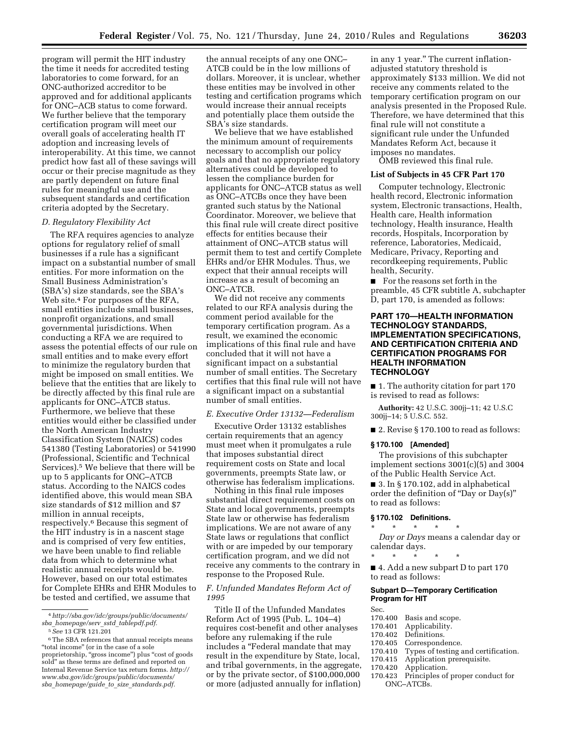program will permit the HIT industry the time it needs for accredited testing laboratories to come forward, for an ONC-authorized accreditor to be approved and for additional applicants for ONC–ACB status to come forward. We further believe that the temporary certification program will meet our overall goals of accelerating health IT adoption and increasing levels of interoperability. At this time, we cannot predict how fast all of these savings will occur or their precise magnitude as they are partly dependent on future final rules for meaningful use and the subsequent standards and certification criteria adopted by the Secretary.

#### *D. Regulatory Flexibility Act*

The RFA requires agencies to analyze options for regulatory relief of small businesses if a rule has a significant impact on a substantial number of small entities. For more information on the Small Business Administration's (SBA's) size standards, see the SBA's Web site.4 For purposes of the RFA, small entities include small businesses, nonprofit organizations, and small governmental jurisdictions. When conducting a RFA we are required to assess the potential effects of our rule on small entities and to make every effort to minimize the regulatory burden that might be imposed on small entities. We believe that the entities that are likely to be directly affected by this final rule are applicants for ONC–ATCB status. Furthermore, we believe that these entities would either be classified under the North American Industry Classification System (NAICS) codes 541380 (Testing Laboratories) or 541990 (Professional, Scientific and Technical Services).5 We believe that there will be up to 5 applicants for ONC–ATCB status. According to the NAICS codes identified above, this would mean SBA size standards of \$12 million and \$7 million in annual receipts, respectively.6 Because this segment of the HIT industry is in a nascent stage and is comprised of very few entities, we have been unable to find reliable data from which to determine what realistic annual receipts would be. However, based on our total estimates for Complete EHRs and EHR Modules to be tested and certified, we assume that

the annual receipts of any one ONC– ATCB could be in the low millions of dollars. Moreover, it is unclear, whether these entities may be involved in other testing and certification programs which would increase their annual receipts and potentially place them outside the SBA's size standards.

We believe that we have established the minimum amount of requirements necessary to accomplish our policy goals and that no appropriate regulatory alternatives could be developed to lessen the compliance burden for applicants for ONC–ATCB status as well as ONC–ATCBs once they have been granted such status by the National Coordinator. Moreover, we believe that this final rule will create direct positive effects for entities because their attainment of ONC–ATCB status will permit them to test and certify Complete EHRs and/or EHR Modules. Thus, we expect that their annual receipts will increase as a result of becoming an ONC–ATCB.

We did not receive any comments related to our RFA analysis during the comment period available for the temporary certification program. As a result, we examined the economic implications of this final rule and have concluded that it will not have a significant impact on a substantial number of small entities. The Secretary certifies that this final rule will not have a significant impact on a substantial number of small entities.

#### *E. Executive Order 13132—Federalism*

Executive Order 13132 establishes certain requirements that an agency must meet when it promulgates a rule that imposes substantial direct requirement costs on State and local governments, preempts State law, or otherwise has federalism implications.

Nothing in this final rule imposes substantial direct requirement costs on State and local governments, preempts State law or otherwise has federalism implications. We are not aware of any State laws or regulations that conflict with or are impeded by our temporary certification program, and we did not receive any comments to the contrary in response to the Proposed Rule.

#### *F. Unfunded Mandates Reform Act of 1995*

Title II of the Unfunded Mandates Reform Act of 1995 (Pub. L. 104–4) requires cost-benefit and other analyses before any rulemaking if the rule includes a ''Federal mandate that may result in the expenditure by State, local, and tribal governments, in the aggregate, or by the private sector, of \$100,000,000 or more (adjusted annually for inflation)

in any 1 year.'' The current inflationadjusted statutory threshold is approximately \$133 million. We did not receive any comments related to the temporary certification program on our analysis presented in the Proposed Rule. Therefore, we have determined that this final rule will not constitute a significant rule under the Unfunded Mandates Reform Act, because it imposes no mandates.

OMB reviewed this final rule.

## **List of Subjects in 45 CFR Part 170**

Computer technology, Electronic health record, Electronic information system, Electronic transactions, Health, Health care, Health information technology, Health insurance, Health records, Hospitals, Incorporation by reference, Laboratories, Medicaid, Medicare, Privacy, Reporting and recordkeeping requirements, Public health, Security.

■ For the reasons set forth in the preamble, 45 CFR subtitle A, subchapter D, part 170, is amended as follows:

#### **PART 170—HEALTH INFORMATION TECHNOLOGY STANDARDS, IMPLEMENTATION SPECIFICATIONS, AND CERTIFICATION CRITERIA AND CERTIFICATION PROGRAMS FOR HEALTH INFORMATION TECHNOLOGY**

■ 1. The authority citation for part 170 is revised to read as follows:

**Authority:** 42 U.S.C. 300jj–11; 42 U.S.C 300jj–14; 5 U.S.C. 552.

■ 2. Revise § 170.100 to read as follows:

#### **§ 170.100 [Amended]**

The provisions of this subchapter implement sections 3001(c)(5) and 3004 of the Public Health Service Act.

■ 3. In § 170.102, add in alphabetical order the definition of ''Day or Day(s)'' to read as follows:

#### **§ 170.102 Definitions.**

\* \* \* \* \* *Day or Days* means a calendar day or calendar days.

\* \* \* \* \* ■ 4. Add a new subpart D to part 170 to read as follows:

## **Subpart D—Temporary Certification Program for HIT**

- Sec.<br>170.400 Basis and scope.
- 170.401 Applicability.
- 
- 170.402 Definitions.<br>170.405 Corresponde Correspondence.
- 
- 170.410 Types of testing and certification.<br>170.415 Application prerequisite.
- 170.415 Application prerequisite.<br>170.420 Application. Application.
- 170.423 Principles of proper conduct for ONC–ATCBs.

<sup>4</sup>*http://sba.gov/idc/groups/public/documents/ sba*\_*homepage/serv*\_*sstd*\_*tablepdf.pdf.* 

<sup>5</sup>*See* 13 CFR 121.201

 $^{\rm 6}$  The SBA references that annual receipts means ''total income'' (or in the case of a sole proprietorship, "gross income") plus "cost of goods sold'' as these terms are defined and reported on Internal Revenue Service tax return forms. *http:// www.sba.gov/idc/groups/public/documents/ sba*\_*homepage/guide*\_*to*\_*size*\_*standards.pdf.*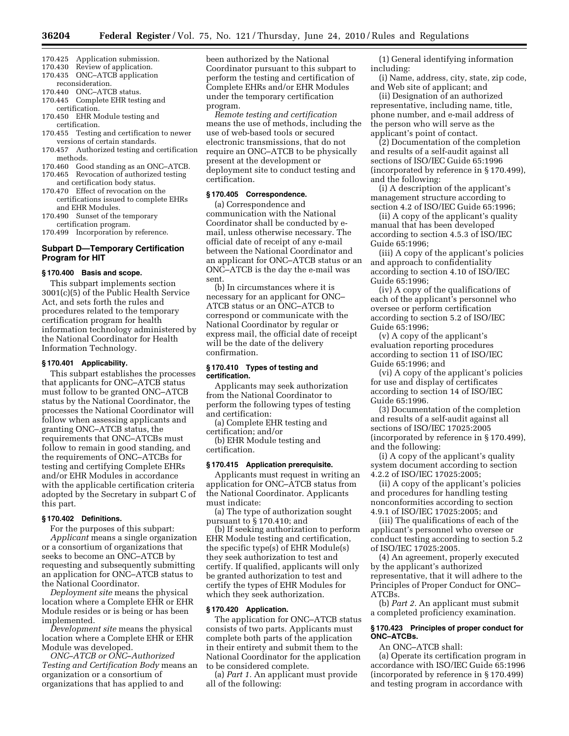- 170.425 Application submission.
- 170.430 Review of application.
- 170.435 ONC–ATCB application reconsideration.
- 170.440 ONC–ATCB status.
- 170.445 Complete EHR testing and certification.
- 170.450 EHR Module testing and certification.
- 170.455 Testing and certification to newer versions of certain standards.
- 170.457 Authorized testing and certification methods.
- 170.460 Good standing as an ONC–ATCB.
- 170.465 Revocation of authorized testing
- and certification body status. 170.470 Effect of revocation on the
- certifications issued to complete EHRs and EHR Modules. 170.490 Sunset of the temporary
- certification program.
- 170.499 Incorporation by reference.

#### **Subpart D—Temporary Certification Program for HIT**

#### **§ 170.400 Basis and scope.**

This subpart implements section 3001(c)(5) of the Public Health Service Act, and sets forth the rules and procedures related to the temporary certification program for health information technology administered by the National Coordinator for Health Information Technology.

#### **§ 170.401 Applicability.**

This subpart establishes the processes that applicants for ONC–ATCB status must follow to be granted ONC–ATCB status by the National Coordinator, the processes the National Coordinator will follow when assessing applicants and granting ONC–ATCB status, the requirements that ONC–ATCBs must follow to remain in good standing, and the requirements of ONC–ATCBs for testing and certifying Complete EHRs and/or EHR Modules in accordance with the applicable certification criteria adopted by the Secretary in subpart C of this part.

## **§ 170.402 Definitions.**

For the purposes of this subpart: *Applicant* means a single organization or a consortium of organizations that seeks to become an ONC–ATCB by requesting and subsequently submitting an application for ONC–ATCB status to the National Coordinator.

*Deployment site* means the physical location where a Complete EHR or EHR Module resides or is being or has been implemented.

*Development site* means the physical location where a Complete EHR or EHR Module was developed.

*ONC–ATCB or ONC–Authorized Testing and Certification Body* means an organization or a consortium of organizations that has applied to and

been authorized by the National Coordinator pursuant to this subpart to perform the testing and certification of Complete EHRs and/or EHR Modules under the temporary certification program.

*Remote testing and certification*  means the use of methods, including the use of web-based tools or secured electronic transmissions, that do not require an ONC–ATCB to be physically present at the development or deployment site to conduct testing and certification.

#### **§ 170.405 Correspondence.**

(a) Correspondence and communication with the National Coordinator shall be conducted by email, unless otherwise necessary. The official date of receipt of any e-mail between the National Coordinator and an applicant for ONC–ATCB status or an ONC–ATCB is the day the e-mail was sent.

(b) In circumstances where it is necessary for an applicant for ONC– ATCB status or an ONC–ATCB to correspond or communicate with the National Coordinator by regular or express mail, the official date of receipt will be the date of the delivery confirmation.

#### **§ 170.410 Types of testing and certification.**

Applicants may seek authorization from the National Coordinator to perform the following types of testing and certification:

(a) Complete EHR testing and

certification; and/or (b) EHR Module testing and certification.

#### **§ 170.415 Application prerequisite.**

Applicants must request in writing an application for ONC–ATCB status from the National Coordinator. Applicants must indicate:

(a) The type of authorization sought pursuant to § 170.410; and

(b) If seeking authorization to perform EHR Module testing and certification, the specific type(s) of EHR Module(s) they seek authorization to test and certify. If qualified, applicants will only be granted authorization to test and certify the types of EHR Modules for which they seek authorization.

#### **§ 170.420 Application.**

The application for ONC–ATCB status consists of two parts. Applicants must complete both parts of the application in their entirety and submit them to the National Coordinator for the application to be considered complete.

(a) *Part 1.* An applicant must provide all of the following:

(1) General identifying information including:

(i) Name, address, city, state, zip code, and Web site of applicant; and

(ii) Designation of an authorized representative, including name, title, phone number, and e-mail address of the person who will serve as the applicant's point of contact.

(2) Documentation of the completion and results of a self-audit against all sections of ISO/IEC Guide 65:1996 (incorporated by reference in § 170.499), and the following:

(i) A description of the applicant's management structure according to section 4.2 of ISO/IEC Guide 65:1996;

(ii) A copy of the applicant's quality manual that has been developed according to section 4.5.3 of ISO/IEC Guide 65:1996;

(iii) A copy of the applicant's policies and approach to confidentiality according to section 4.10 of ISO/IEC Guide 65:1996;

(iv) A copy of the qualifications of each of the applicant's personnel who oversee or perform certification according to section 5.2 of ISO/IEC Guide 65:1996;

(v) A copy of the applicant's evaluation reporting procedures according to section 11 of ISO/IEC Guide 65:1996; and

(vi) A copy of the applicant's policies for use and display of certificates according to section 14 of ISO/IEC Guide 65:1996.

(3) Documentation of the completion and results of a self-audit against all sections of ISO/IEC 17025:2005 (incorporated by reference in § 170.499), and the following:

(i) A copy of the applicant's quality system document according to section 4.2.2 of ISO/IEC 17025:2005;

(ii) A copy of the applicant's policies and procedures for handling testing nonconformities according to section 4.9.1 of ISO/IEC 17025:2005; and

(iii) The qualifications of each of the applicant's personnel who oversee or conduct testing according to section 5.2 of ISO/IEC 17025:2005.

(4) An agreement, properly executed by the applicant's authorized representative, that it will adhere to the Principles of Proper Conduct for ONC– ATCBs.

(b) *Part 2.* An applicant must submit a completed proficiency examination.

#### **§ 170.423 Principles of proper conduct for ONC–ATCBs.**

An ONC–ATCB shall:

(a) Operate its certification program in accordance with ISO/IEC Guide 65:1996 (incorporated by reference in § 170.499) and testing program in accordance with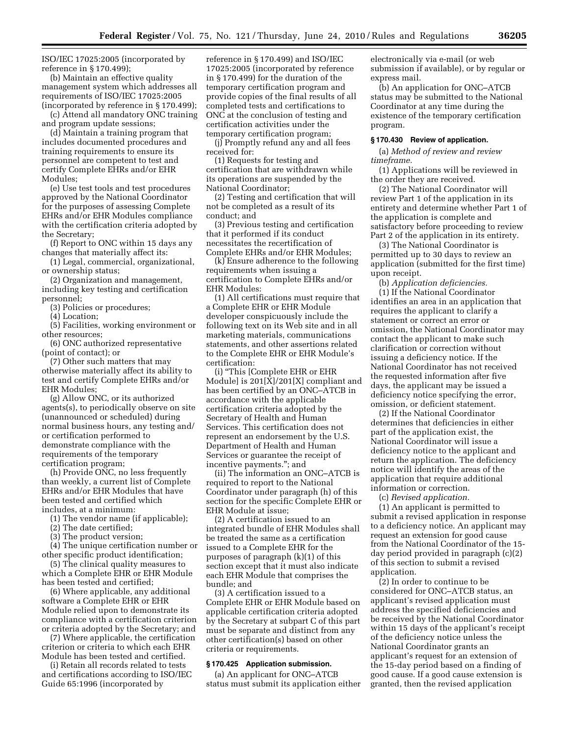ISO/IEC 17025:2005 (incorporated by reference in § 170.499);

(b) Maintain an effective quality management system which addresses all requirements of ISO/IEC 17025:2005 (incorporated by reference in § 170.499);

(c) Attend all mandatory ONC training and program update sessions;

(d) Maintain a training program that includes documented procedures and training requirements to ensure its personnel are competent to test and certify Complete EHRs and/or EHR Modules;

(e) Use test tools and test procedures approved by the National Coordinator for the purposes of assessing Complete EHRs and/or EHR Modules compliance with the certification criteria adopted by the Secretary;

(f) Report to ONC within 15 days any changes that materially affect its:

(1) Legal, commercial, organizational, or ownership status;

(2) Organization and management, including key testing and certification personnel;

(3) Policies or procedures;

(4) Location;

(5) Facilities, working environment or other resources;

(6) ONC authorized representative (point of contact); or

(7) Other such matters that may otherwise materially affect its ability to test and certify Complete EHRs and/or EHR Modules;

(g) Allow ONC, or its authorized agents(s), to periodically observe on site (unannounced or scheduled) during normal business hours, any testing and/ or certification performed to demonstrate compliance with the requirements of the temporary certification program;

(h) Provide ONC, no less frequently than weekly, a current list of Complete EHRs and/or EHR Modules that have been tested and certified which includes, at a minimum:

(1) The vendor name (if applicable);

(2) The date certified;

(3) The product version;

(4) The unique certification number or other specific product identification;

(5) The clinical quality measures to which a Complete EHR or EHR Module has been tested and certified;

(6) Where applicable, any additional software a Complete EHR or EHR Module relied upon to demonstrate its compliance with a certification criterion or criteria adopted by the Secretary; and

(7) Where applicable, the certification criterion or criteria to which each EHR Module has been tested and certified.

(i) Retain all records related to tests and certifications according to ISO/IEC Guide 65:1996 (incorporated by

reference in § 170.499) and ISO/IEC 17025:2005 (incorporated by reference in § 170.499) for the duration of the temporary certification program and provide copies of the final results of all completed tests and certifications to ONC at the conclusion of testing and certification activities under the temporary certification program;

(j) Promptly refund any and all fees received for:

(1) Requests for testing and certification that are withdrawn while its operations are suspended by the National Coordinator;

(2) Testing and certification that will not be completed as a result of its conduct; and

(3) Previous testing and certification that it performed if its conduct necessitates the recertification of Complete EHRs and/or EHR Modules;

(k) Ensure adherence to the following requirements when issuing a certification to Complete EHRs and/or EHR Modules:

(1) All certifications must require that a Complete EHR or EHR Module developer conspicuously include the following text on its Web site and in all marketing materials, communications statements, and other assertions related to the Complete EHR or EHR Module's certification:

(i) ''This [Complete EHR or EHR Module] is 201[X]/201[X] compliant and has been certified by an ONC–ATCB in accordance with the applicable certification criteria adopted by the Secretary of Health and Human Services. This certification does not represent an endorsement by the U.S. Department of Health and Human Services or guarantee the receipt of incentive payments.''; and

(ii) The information an ONC–ATCB is required to report to the National Coordinator under paragraph (h) of this section for the specific Complete EHR or EHR Module at issue;

(2) A certification issued to an integrated bundle of EHR Modules shall be treated the same as a certification issued to a Complete EHR for the purposes of paragraph (k)(1) of this section except that it must also indicate each EHR Module that comprises the bundle; and

(3) A certification issued to a Complete EHR or EHR Module based on applicable certification criteria adopted by the Secretary at subpart C of this part must be separate and distinct from any other certification(s) based on other criteria or requirements.

## **§ 170.425 Application submission.**

(a) An applicant for ONC–ATCB status must submit its application either electronically via e-mail (or web submission if available), or by regular or express mail.

(b) An application for ONC–ATCB status may be submitted to the National Coordinator at any time during the existence of the temporary certification program.

#### **§ 170.430 Review of application.**

(a) *Method of review and review timeframe.* 

(1) Applications will be reviewed in the order they are received.

(2) The National Coordinator will review Part 1 of the application in its entirety and determine whether Part 1 of the application is complete and satisfactory before proceeding to review Part 2 of the application in its entirety.

(3) The National Coordinator is permitted up to 30 days to review an application (submitted for the first time) upon receipt.

(b) *Application deficiencies.*  (1) If the National Coordinator identifies an area in an application that requires the applicant to clarify a statement or correct an error or omission, the National Coordinator may contact the applicant to make such clarification or correction without issuing a deficiency notice. If the National Coordinator has not received the requested information after five days, the applicant may be issued a deficiency notice specifying the error, omission, or deficient statement.

(2) If the National Coordinator determines that deficiencies in either part of the application exist, the National Coordinator will issue a deficiency notice to the applicant and return the application. The deficiency notice will identify the areas of the application that require additional information or correction.

(c) *Revised application.* 

(1) An applicant is permitted to submit a revised application in response to a deficiency notice. An applicant may request an extension for good cause from the National Coordinator of the 15 day period provided in paragraph (c)(2) of this section to submit a revised application.

(2) In order to continue to be considered for ONC–ATCB status, an applicant's revised application must address the specified deficiencies and be received by the National Coordinator within 15 days of the applicant's receipt of the deficiency notice unless the National Coordinator grants an applicant's request for an extension of the 15-day period based on a finding of good cause. If a good cause extension is granted, then the revised application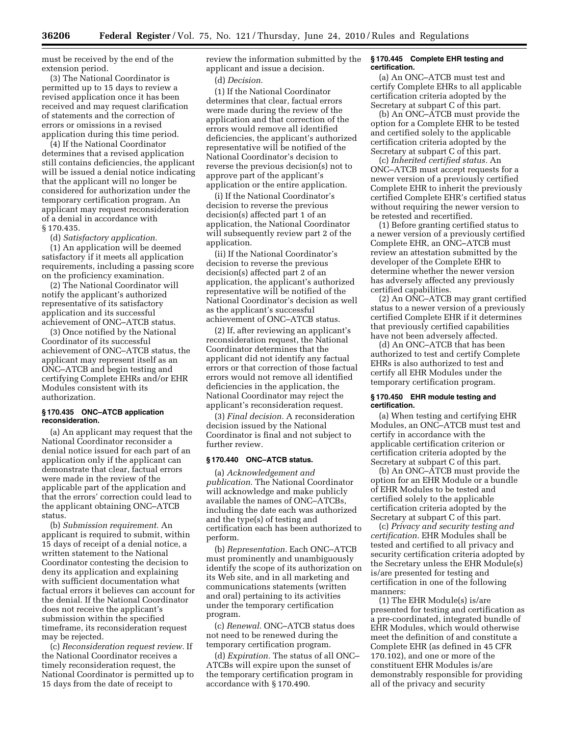must be received by the end of the extension period.

(3) The National Coordinator is permitted up to 15 days to review a revised application once it has been received and may request clarification of statements and the correction of errors or omissions in a revised application during this time period.

(4) If the National Coordinator determines that a revised application still contains deficiencies, the applicant will be issued a denial notice indicating that the applicant will no longer be considered for authorization under the temporary certification program. An applicant may request reconsideration of a denial in accordance with § 170.435.

(d) *Satisfactory application.* 

(1) An application will be deemed satisfactory if it meets all application requirements, including a passing score on the proficiency examination.

(2) The National Coordinator will notify the applicant's authorized representative of its satisfactory application and its successful achievement of ONC–ATCB status.

(3) Once notified by the National Coordinator of its successful achievement of ONC–ATCB status, the applicant may represent itself as an ONC–ATCB and begin testing and certifying Complete EHRs and/or EHR Modules consistent with its authorization.

#### **§ 170.435 ONC–ATCB application reconsideration.**

(a) An applicant may request that the National Coordinator reconsider a denial notice issued for each part of an application only if the applicant can demonstrate that clear, factual errors were made in the review of the applicable part of the application and that the errors' correction could lead to the applicant obtaining ONC–ATCB status.

(b) *Submission requirement.* An applicant is required to submit, within 15 days of receipt of a denial notice, a written statement to the National Coordinator contesting the decision to deny its application and explaining with sufficient documentation what factual errors it believes can account for the denial. If the National Coordinator does not receive the applicant's submission within the specified timeframe, its reconsideration request may be rejected.

(c) *Reconsideration request review.* If the National Coordinator receives a timely reconsideration request, the National Coordinator is permitted up to 15 days from the date of receipt to

review the information submitted by the applicant and issue a decision.

(d) *Decision.* 

(1) If the National Coordinator determines that clear, factual errors were made during the review of the application and that correction of the errors would remove all identified deficiencies, the applicant's authorized representative will be notified of the National Coordinator's decision to reverse the previous decision(s) not to approve part of the applicant's application or the entire application.

(i) If the National Coordinator's decision to reverse the previous decision(s) affected part 1 of an application, the National Coordinator will subsequently review part 2 of the application.

(ii) If the National Coordinator's decision to reverse the previous decision(s) affected part 2 of an application, the applicant's authorized representative will be notified of the National Coordinator's decision as well as the applicant's successful achievement of ONC–ATCB status.

(2) If, after reviewing an applicant's reconsideration request, the National Coordinator determines that the applicant did not identify any factual errors or that correction of those factual errors would not remove all identified deficiencies in the application, the National Coordinator may reject the applicant's reconsideration request.

(3) *Final decision.* A reconsideration decision issued by the National Coordinator is final and not subject to further review.

## **§ 170.440 ONC–ATCB status.**

(a) *Acknowledgement and publication.* The National Coordinator will acknowledge and make publicly available the names of ONC–ATCBs, including the date each was authorized and the type(s) of testing and certification each has been authorized to perform.

(b) *Representation.* Each ONC–ATCB must prominently and unambiguously identify the scope of its authorization on its Web site, and in all marketing and communications statements (written and oral) pertaining to its activities under the temporary certification program.

(c) *Renewal.* ONC–ATCB status does not need to be renewed during the temporary certification program.

(d) *Expiration.* The status of all ONC– ATCBs will expire upon the sunset of the temporary certification program in accordance with § 170.490.

#### **§ 170.445 Complete EHR testing and certification.**

(a) An ONC–ATCB must test and certify Complete EHRs to all applicable certification criteria adopted by the Secretary at subpart C of this part.

(b) An ONC–ATCB must provide the option for a Complete EHR to be tested and certified solely to the applicable certification criteria adopted by the Secretary at subpart C of this part.

(c) *Inherited certified status.* An ONC–ATCB must accept requests for a newer version of a previously certified Complete EHR to inherit the previously certified Complete EHR's certified status without requiring the newer version to be retested and recertified.

(1) Before granting certified status to a newer version of a previously certified Complete EHR, an ONC–ATCB must review an attestation submitted by the developer of the Complete EHR to determine whether the newer version has adversely affected any previously certified capabilities.

(2) An ONC–ATCB may grant certified status to a newer version of a previously certified Complete EHR if it determines that previously certified capabilities have not been adversely affected.

(d) An ONC–ATCB that has been authorized to test and certify Complete EHRs is also authorized to test and certify all EHR Modules under the temporary certification program.

#### **§ 170.450 EHR module testing and certification.**

(a) When testing and certifying EHR Modules, an ONC–ATCB must test and certify in accordance with the applicable certification criterion or certification criteria adopted by the Secretary at subpart C of this part.

(b) An ONC–ATCB must provide the option for an EHR Module or a bundle of EHR Modules to be tested and certified solely to the applicable certification criteria adopted by the Secretary at subpart C of this part.

(c) *Privacy and security testing and certification.* EHR Modules shall be tested and certified to all privacy and security certification criteria adopted by the Secretary unless the EHR Module(s) is/are presented for testing and certification in one of the following manners:

(1) The EHR Module(s) is/are presented for testing and certification as a pre-coordinated, integrated bundle of EHR Modules, which would otherwise meet the definition of and constitute a Complete EHR (as defined in 45 CFR 170.102), and one or more of the constituent EHR Modules is/are demonstrably responsible for providing all of the privacy and security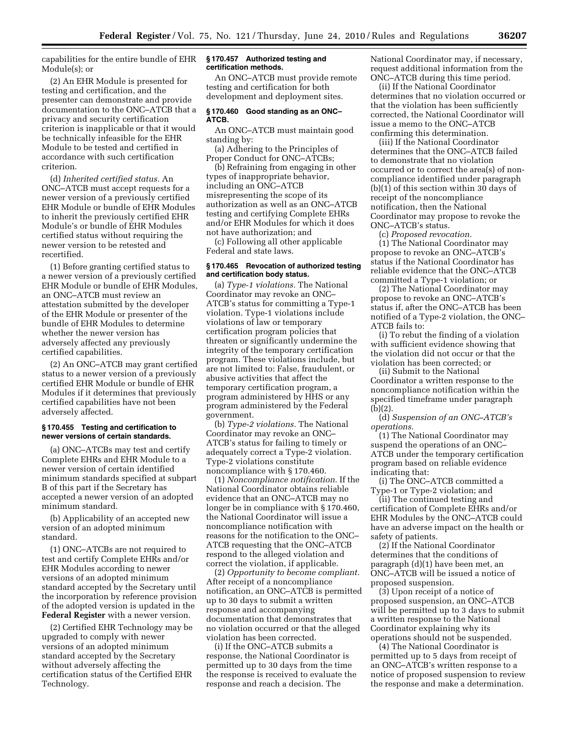capabilities for the entire bundle of EHR Module(s); or

(2) An EHR Module is presented for testing and certification, and the presenter can demonstrate and provide documentation to the ONC–ATCB that a privacy and security certification criterion is inapplicable or that it would be technically infeasible for the EHR Module to be tested and certified in accordance with such certification criterion.

(d) *Inherited certified status.* An ONC–ATCB must accept requests for a newer version of a previously certified EHR Module or bundle of EHR Modules to inherit the previously certified EHR Module's or bundle of EHR Modules certified status without requiring the newer version to be retested and recertified.

(1) Before granting certified status to a newer version of a previously certified EHR Module or bundle of EHR Modules, an ONC–ATCB must review an attestation submitted by the developer of the EHR Module or presenter of the bundle of EHR Modules to determine whether the newer version has adversely affected any previously certified capabilities.

(2) An ONC–ATCB may grant certified status to a newer version of a previously certified EHR Module or bundle of EHR Modules if it determines that previously certified capabilities have not been adversely affected.

#### **§ 170.455 Testing and certification to newer versions of certain standards.**

(a) ONC–ATCBs may test and certify Complete EHRs and EHR Module to a newer version of certain identified minimum standards specified at subpart B of this part if the Secretary has accepted a newer version of an adopted minimum standard.

(b) Applicability of an accepted new version of an adopted minimum standard.

(1) ONC–ATCBs are not required to test and certify Complete EHRs and/or EHR Modules according to newer versions of an adopted minimum standard accepted by the Secretary until the incorporation by reference provision of the adopted version is updated in the **Federal Register** with a newer version.

(2) Certified EHR Technology may be upgraded to comply with newer versions of an adopted minimum standard accepted by the Secretary without adversely affecting the certification status of the Certified EHR Technology.

#### **§ 170.457 Authorized testing and certification methods.**

An ONC–ATCB must provide remote testing and certification for both development and deployment sites.

#### **§ 170.460 Good standing as an ONC– ATCB.**

An ONC–ATCB must maintain good standing by:

(a) Adhering to the Principles of Proper Conduct for ONC–ATCBs;

(b) Refraining from engaging in other types of inappropriate behavior, including an ONC–ATCB misrepresenting the scope of its authorization as well as an ONC–ATCB testing and certifying Complete EHRs and/or EHR Modules for which it does not have authorization; and

(c) Following all other applicable Federal and state laws.

#### **§ 170.465 Revocation of authorized testing and certification body status.**

(a) *Type-1 violations.* The National Coordinator may revoke an ONC– ATCB's status for committing a Type-1 violation. Type-1 violations include violations of law or temporary certification program policies that threaten or significantly undermine the integrity of the temporary certification program. These violations include, but are not limited to: False, fraudulent, or abusive activities that affect the temporary certification program, a program administered by HHS or any program administered by the Federal government.

(b) *Type-2 violations.* The National Coordinator may revoke an ONC– ATCB's status for failing to timely or adequately correct a Type-2 violation. Type-2 violations constitute noncompliance with § 170.460.

(1) *Noncompliance notification.* If the National Coordinator obtains reliable evidence that an ONC–ATCB may no longer be in compliance with § 170.460, the National Coordinator will issue a noncompliance notification with reasons for the notification to the ONC– ATCB requesting that the ONC–ATCB respond to the alleged violation and correct the violation, if applicable.

(2) *Opportunity to become compliant.*  After receipt of a noncompliance notification, an ONC–ATCB is permitted up to 30 days to submit a written response and accompanying documentation that demonstrates that no violation occurred or that the alleged violation has been corrected.

(i) If the ONC–ATCB submits a response, the National Coordinator is permitted up to 30 days from the time the response is received to evaluate the response and reach a decision. The

National Coordinator may, if necessary, request additional information from the ONC–ATCB during this time period.

(ii) If the National Coordinator determines that no violation occurred or that the violation has been sufficiently corrected, the National Coordinator will issue a memo to the ONC–ATCB confirming this determination.

(iii) If the National Coordinator determines that the ONC–ATCB failed to demonstrate that no violation occurred or to correct the area(s) of noncompliance identified under paragraph (b)(1) of this section within 30 days of receipt of the noncompliance notification, then the National Coordinator may propose to revoke the ONC–ATCB's status.

(c) *Proposed revocation.* 

(1) The National Coordinator may propose to revoke an ONC–ATCB's status if the National Coordinator has reliable evidence that the ONC–ATCB committed a Type-1 violation; or

(2) The National Coordinator may propose to revoke an ONC–ATCB's status if, after the ONC–ATCB has been notified of a Type-2 violation, the ONC– ATCB fails to:

(i) To rebut the finding of a violation with sufficient evidence showing that the violation did not occur or that the violation has been corrected; or

(ii) Submit to the National Coordinator a written response to the noncompliance notification within the specified timeframe under paragraph (b)(2).

(d) *Suspension of an ONC–ATCB's operations.* 

(1) The National Coordinator may suspend the operations of an ONC– ATCB under the temporary certification program based on reliable evidence indicating that:

(i) The ONC–ATCB committed a Type-1 or Type-2 violation; and

(ii) The continued testing and certification of Complete EHRs and/or EHR Modules by the ONC–ATCB could have an adverse impact on the health or safety of patients.

(2) If the National Coordinator determines that the conditions of paragraph (d)(1) have been met, an ONC–ATCB will be issued a notice of proposed suspension.

(3) Upon receipt of a notice of proposed suspension, an ONC–ATCB will be permitted up to 3 days to submit a written response to the National Coordinator explaining why its operations should not be suspended.

(4) The National Coordinator is permitted up to 5 days from receipt of an ONC–ATCB's written response to a notice of proposed suspension to review the response and make a determination.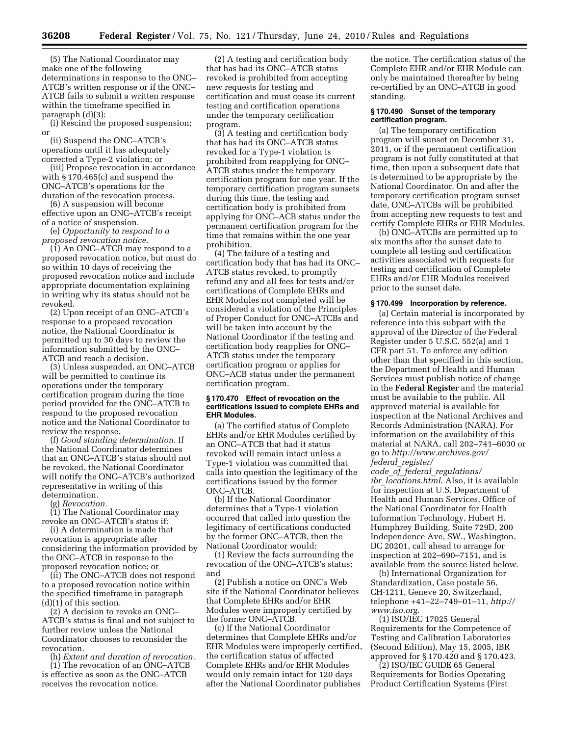(5) The National Coordinator may make one of the following determinations in response to the ONC– ATCB's written response or if the ONC– ATCB fails to submit a written response within the timeframe specified in paragraph (d)(3):

(i) Rescind the proposed suspension; or

(ii) Suspend the ONC–ATCB's operations until it has adequately corrected a Type-2 violation; or

(iii) Propose revocation in accordance with § 170.465(c) and suspend the ONC–ATCB's operations for the duration of the revocation process.

(6) A suspension will become effective upon an ONC–ATCB's receipt of a notice of suspension.

(e) *Opportunity to respond to a proposed revocation notice.* 

(1) An ONC–ATCB may respond to a proposed revocation notice, but must do so within 10 days of receiving the proposed revocation notice and include appropriate documentation explaining in writing why its status should not be revoked.

(2) Upon receipt of an ONC–ATCB's response to a proposed revocation notice, the National Coordinator is permitted up to 30 days to review the information submitted by the ONC– ATCB and reach a decision.

(3) Unless suspended, an ONC–ATCB will be permitted to continue its operations under the temporary certification program during the time period provided for the ONC–ATCB to respond to the proposed revocation notice and the National Coordinator to review the response.

(f) *Good standing determination.* If the National Coordinator determines that an ONC–ATCB's status should not be revoked, the National Coordinator will notify the ONC–ATCB's authorized representative in writing of this determination.

(g) *Revocation.* 

(1) The National Coordinator may revoke an ONC–ATCB's status if:

(i) A determination is made that revocation is appropriate after considering the information provided by the ONC–ATCB in response to the proposed revocation notice; or

(ii) The ONC–ATCB does not respond to a proposed revocation notice within the specified timeframe in paragraph (d)(1) of this section.

(2) A decision to revoke an ONC– ATCB's status is final and not subject to further review unless the National Coordinator chooses to reconsider the revocation.

(h) *Extent and duration of revocation.* 

(1) The revocation of an ONC–ATCB is effective as soon as the ONC–ATCB receives the revocation notice.

(2) A testing and certification body that has had its ONC–ATCB status revoked is prohibited from accepting new requests for testing and certification and must cease its current testing and certification operations under the temporary certification program.

(3) A testing and certification body that has had its ONC–ATCB status revoked for a Type-1 violation is prohibited from reapplying for ONC– ATCB status under the temporary certification program for one year. If the temporary certification program sunsets during this time, the testing and certification body is prohibited from applying for ONC–ACB status under the permanent certification program for the time that remains within the one year prohibition.

(4) The failure of a testing and certification body that has had its ONC– ATCB status revoked, to promptly refund any and all fees for tests and/or certifications of Complete EHRs and EHR Modules not completed will be considered a violation of the Principles of Proper Conduct for ONC–ATCBs and will be taken into account by the National Coordinator if the testing and certification body reapplies for ONC– ATCB status under the temporary certification program or applies for ONC–ACB status under the permanent certification program.

#### **§ 170.470 Effect of revocation on the certifications issued to complete EHRs and EHR Modules.**

(a) The certified status of Complete EHRs and/or EHR Modules certified by an ONC–ATCB that had it status revoked will remain intact unless a Type-1 violation was committed that calls into question the legitimacy of the certifications issued by the former ONC–ATCB.

(b) If the National Coordinator determines that a Type-1 violation occurred that called into question the legitimacy of certifications conducted by the former ONC–ATCB, then the National Coordinator would:

(1) Review the facts surrounding the revocation of the ONC–ATCB's status; and

(2) Publish a notice on ONC's Web site if the National Coordinator believes that Complete EHRs and/or EHR Modules were improperly certified by the former ONC–ATCB.

(c) If the National Coordinator determines that Complete EHRs and/or EHR Modules were improperly certified, the certification status of affected Complete EHRs and/or EHR Modules would only remain intact for 120 days after the National Coordinator publishes

the notice. The certification status of the Complete EHR and/or EHR Module can only be maintained thereafter by being re-certified by an ONC–ATCB in good standing.

#### **§ 170.490 Sunset of the temporary certification program.**

(a) The temporary certification program will sunset on December 31, 2011, or if the permanent certification program is not fully constituted at that time, then upon a subsequent date that is determined to be appropriate by the National Coordinator. On and after the temporary certification program sunset date, ONC–ATCBs will be prohibited from accepting new requests to test and certify Complete EHRs or EHR Modules.

(b) ONC–ATCBs are permitted up to six months after the sunset date to complete all testing and certification activities associated with requests for testing and certification of Complete EHRs and/or EHR Modules received prior to the sunset date.

#### **§ 170.499 Incorporation by reference.**

(a) Certain material is incorporated by reference into this subpart with the approval of the Director of the Federal Register under 5 U.S.C. 552(a) and 1 CFR part 51. To enforce any edition other than that specified in this section, the Department of Health and Human Services must publish notice of change in the **Federal Register** and the material must be available to the public. All approved material is available for inspection at the National Archives and Records Administration (NARA). For information on the availability of this material at NARA, call 202–741–6030 or go to *http://www.archives.gov/ federal*\_*register/* 

*code*\_*of*\_*federal*\_*regulations/ ibr*\_*locations.html*. Also, it is available for inspection at U.S. Department of Health and Human Services, Office of the National Coordinator for Health Information Technology, Hubert H. Humphrey Building, Suite 729D, 200 Independence Ave, SW., Washington, DC 20201, call ahead to arrange for inspection at 202–690–7151, and is available from the source listed below.

(b) International Organization for Standardization, Case postale 56, CH·1211, Geneve 20, Switzerland, telephone +41–22–749–01–11, *http:// www.iso.org*.

(1) ISO/IEC 17025 General Requirements for the Competence of Testing and Calibration Laboratories (Second Edition), May 15, 2005, IBR approved for § 170.420 and § 170.423.

(2) ISO/IEC GUIDE 65 General Requirements for Bodies Operating Product Certification Systems (First